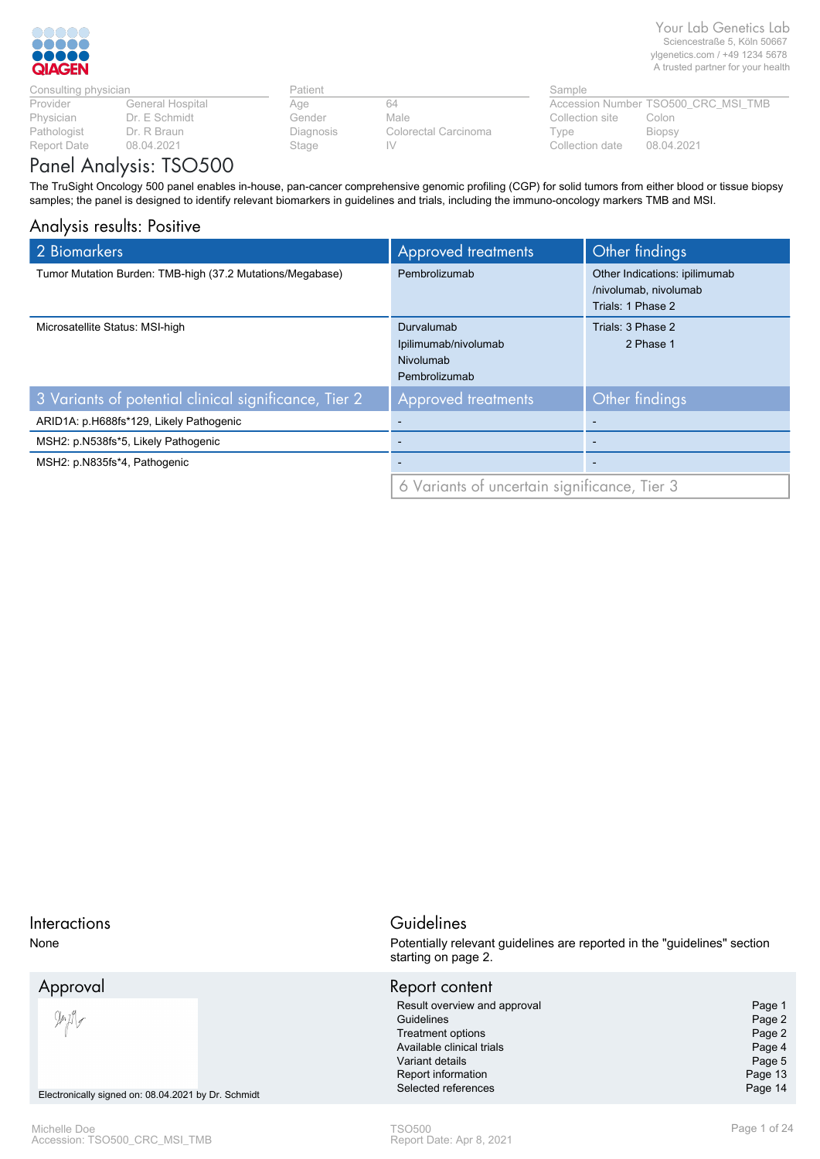

| Consulting physician |                  | Patient   |                      | Sample   |
|----------------------|------------------|-----------|----------------------|----------|
| Provider             | General Hospital | Aae       | 64                   | Access   |
| Physician            | Dr. E Schmidt    | Gender    | Male                 | Collecti |
| Pathologist          | Dr. R Braun      | Diagnosis | Colorectal Carcinoma | Type     |
| Report Date          | 08.04.2021       | Stage     |                      | Collecti |

| Patient   |      |
|-----------|------|
| Age       | 64   |
| Gender    | Male |
| Diagnosis | Colo |
| Stage     |      |

| Patient           | Sample               |                      |
|-------------------|----------------------|----------------------|
| Aae               | 64                   | <b>Accession Nur</b> |
| Gender            | Male.                | Collection site      |
| Diagnosis         | Colorectal Carcinoma | Type                 |
| $C_{\text{hams}}$ |                      | Callaglian data      |

Collection date 08.04.2021 Biopsy Colon mber TSO500\_CRC\_MSI\_TMB

# Panel Analysis: TSO500

The TruSight Oncology 500 panel enables in-house, pan-cancer comprehensive genomic profiling (CGP) for solid tumors from either blood or tissue biopsy samples; the panel is designed to identify relevant biomarkers in guidelines and trials, including the immuno-oncology markers TMB and MSI.

# Analysis results: Positive

| 2 Biomarkers                                              | Approved treatments                          | Other findings                |
|-----------------------------------------------------------|----------------------------------------------|-------------------------------|
| Tumor Mutation Burden: TMB-high (37.2 Mutations/Megabase) | Pembrolizumab                                | Other Indications: ipilimumab |
|                                                           |                                              | /nivolumab, nivolumab         |
|                                                           |                                              | Trials: 1 Phase 2             |
| Microsatellite Status: MSI-high                           | Durvalumab                                   | Trials: 3 Phase 2             |
|                                                           | Ipilimumab/nivolumab                         | 2 Phase 1                     |
|                                                           | Nivolumab                                    |                               |
|                                                           | Pembrolizumab                                |                               |
| 3 Variants of potential clinical significance, Tier 2     | <b>Approved treatments</b>                   | Other findings                |
| ARID1A: p.H688fs*129, Likely Pathogenic                   | -                                            |                               |
| MSH2: p.N538fs*5, Likely Pathogenic                       | $\overline{\phantom{a}}$                     | $\overline{\phantom{a}}$      |
| MSH2: p.N835fs*4, Pathogenic                              | $\overline{\phantom{a}}$                     | $\overline{\phantom{a}}$      |
|                                                           | 6 Variants of uncertain significance, Tier 3 |                               |

| <b>Interactions</b><br>None                                                      | Guidelines<br>Potentially relevant guidelines are reported in the "guidelines" section<br>starting on page 2.                                                                         |              |  |
|----------------------------------------------------------------------------------|---------------------------------------------------------------------------------------------------------------------------------------------------------------------------------------|--------------|--|
| Approval<br>$\frac{1}{2}$<br>Electronically signed on: 08.04.2021 by Dr. Schmidt | Report content<br>Result overview and approval<br>Guidelines<br><b>Treatment options</b><br>Available clinical trials<br>Variant details<br>Report information<br>Selected references |              |  |
| Michelle Doe<br>Accession: TSO500 CRC MSI TMB                                    | <b>TSO500</b><br>Report Date: Apr 8, 2021                                                                                                                                             | Page 1 of 24 |  |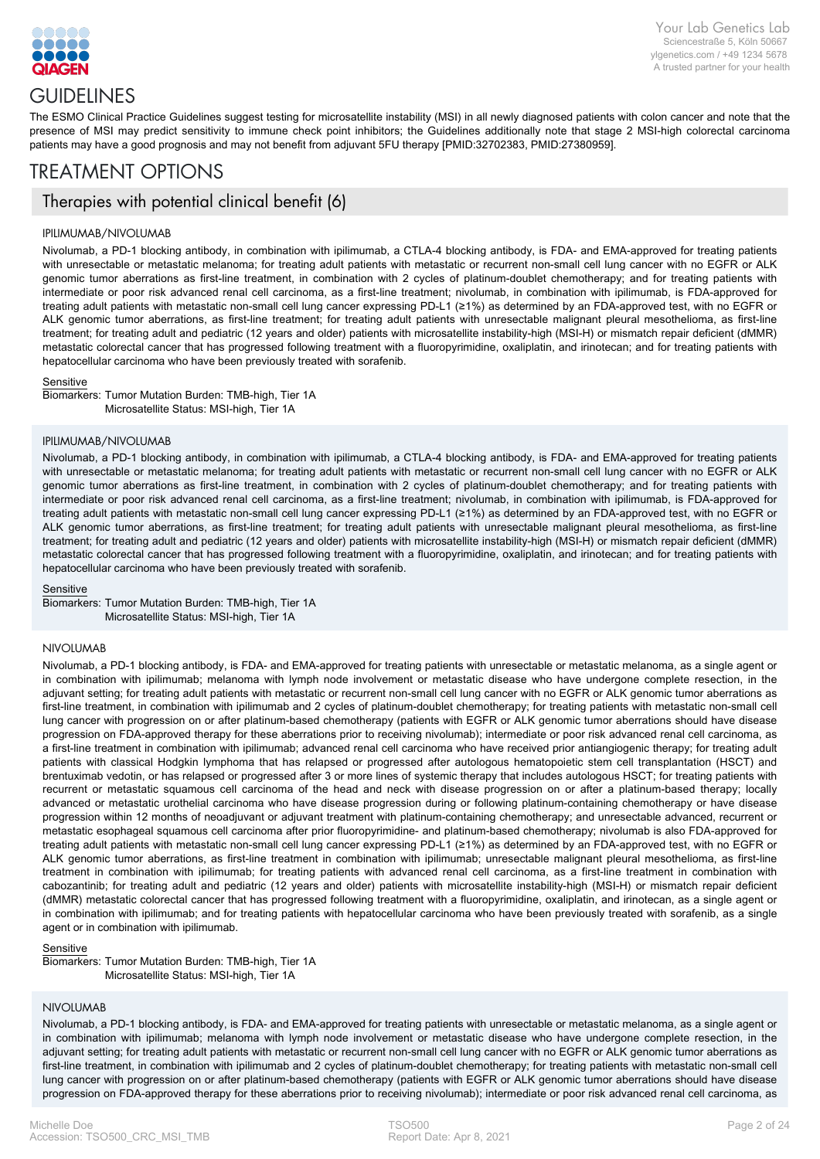

# **GUIDELINES**

The ESMO Clinical Practice Guidelines suggest testing for microsatellite instability (MSI) in all newly diagnosed patients with colon cancer and note that the presence of MSI may predict sensitivity to immune check point inhibitors; the Guidelines additionally note that stage 2 MSI-high colorectal carcinoma patients may have a good prognosis and may not benefit from adjuvant 5FU therapy [PMID:32702383, PMID:27380959].

# TREATMENT OPTIONS

# Therapies with potential clinical benefit (6)

#### IPILIMUMAB/NIVOLUMAB

Nivolumab, a PD-1 blocking antibody, in combination with ipilimumab, a CTLA-4 blocking antibody, is FDA- and EMA-approved for treating patients with unresectable or metastatic melanoma; for treating adult patients with metastatic or recurrent non-small cell lung cancer with no EGFR or ALK genomic tumor aberrations as first-line treatment, in combination with 2 cycles of platinum-doublet chemotherapy; and for treating patients with intermediate or poor risk advanced renal cell carcinoma, as a first-line treatment; nivolumab, in combination with ipilimumab, is FDA-approved for treating adult patients with metastatic non-small cell lung cancer expressing PD-L1 (≥1%) as determined by an FDA-approved test, with no EGFR or ALK genomic tumor aberrations, as first-line treatment; for treating adult patients with unresectable malignant pleural mesothelioma, as first-line treatment; for treating adult and pediatric (12 years and older) patients with microsatellite instability-high (MSI-H) or mismatch repair deficient (dMMR) metastatic colorectal cancer that has progressed following treatment with a fluoropyrimidine, oxaliplatin, and irinotecan; and for treating patients with hepatocellular carcinoma who have been previously treated with sorafenib.

#### Sensitive

Microsatellite Status: MSI-high, Tier 1A Biomarkers: Tumor Mutation Burden: TMB-high, Tier 1A

#### IPILIMUMAB/NIVOLUMAB

Nivolumab, a PD-1 blocking antibody, in combination with ipilimumab, a CTLA-4 blocking antibody, is FDA- and EMA-approved for treating patients with unresectable or metastatic melanoma; for treating adult patients with metastatic or recurrent non-small cell lung cancer with no EGFR or ALK genomic tumor aberrations as first-line treatment, in combination with 2 cycles of platinum-doublet chemotherapy; and for treating patients with intermediate or poor risk advanced renal cell carcinoma, as a first-line treatment; nivolumab, in combination with ipilimumab, is FDA-approved for treating adult patients with metastatic non-small cell lung cancer expressing PD-L1 (≥1%) as determined by an FDA-approved test, with no EGFR or ALK genomic tumor aberrations, as first-line treatment; for treating adult patients with unresectable malignant pleural mesothelioma, as first-line treatment; for treating adult and pediatric (12 years and older) patients with microsatellite instability-high (MSI-H) or mismatch repair deficient (dMMR) metastatic colorectal cancer that has progressed following treatment with a fluoropyrimidine, oxaliplatin, and irinotecan; and for treating patients with hepatocellular carcinoma who have been previously treated with sorafenib.

Sensitive

Microsatellite Status: MSI-high, Tier 1A Biomarkers: Tumor Mutation Burden: TMB-high, Tier 1A

#### NIVOLUMAB

Nivolumab, a PD-1 blocking antibody, is FDA- and EMA-approved for treating patients with unresectable or metastatic melanoma, as a single agent or in combination with ipilimumab; melanoma with lymph node involvement or metastatic disease who have undergone complete resection, in the adjuvant setting; for treating adult patients with metastatic or recurrent non-small cell lung cancer with no EGFR or ALK genomic tumor aberrations as first-line treatment, in combination with ipilimumab and 2 cycles of platinum-doublet chemotherapy; for treating patients with metastatic non-small cell lung cancer with progression on or after platinum-based chemotherapy (patients with EGFR or ALK genomic tumor aberrations should have disease progression on FDA-approved therapy for these aberrations prior to receiving nivolumab); intermediate or poor risk advanced renal cell carcinoma, as a first-line treatment in combination with ipilimumab; advanced renal cell carcinoma who have received prior antiangiogenic therapy; for treating adult patients with classical Hodgkin lymphoma that has relapsed or progressed after autologous hematopoietic stem cell transplantation (HSCT) and brentuximab vedotin, or has relapsed or progressed after 3 or more lines of systemic therapy that includes autologous HSCT; for treating patients with recurrent or metastatic squamous cell carcinoma of the head and neck with disease progression on or after a platinum-based therapy; locally advanced or metastatic urothelial carcinoma who have disease progression during or following platinum-containing chemotherapy or have disease progression within 12 months of neoadjuvant or adjuvant treatment with platinum-containing chemotherapy; and unresectable advanced, recurrent or metastatic esophageal squamous cell carcinoma after prior fluoropyrimidine- and platinum-based chemotherapy; nivolumab is also FDA-approved for treating adult patients with metastatic non-small cell lung cancer expressing PD-L1 (≥1%) as determined by an FDA-approved test, with no EGFR or ALK genomic tumor aberrations, as first-line treatment in combination with ipilimumab; unresectable malignant pleural mesothelioma, as first-line treatment in combination with ipilimumab; for treating patients with advanced renal cell carcinoma, as a first-line treatment in combination with cabozantinib; for treating adult and pediatric (12 years and older) patients with microsatellite instability-high (MSI-H) or mismatch repair deficient (dMMR) metastatic colorectal cancer that has progressed following treatment with a fluoropyrimidine, oxaliplatin, and irinotecan, as a single agent or in combination with ipilimumab; and for treating patients with hepatocellular carcinoma who have been previously treated with sorafenib, as a single agent or in combination with ipilimumab.

#### Sensitive

Microsatellite Status: MSI-high, Tier 1A Biomarkers: Tumor Mutation Burden: TMB-high, Tier 1A

#### NIVOLUMAB

Nivolumab, a PD-1 blocking antibody, is FDA- and EMA-approved for treating patients with unresectable or metastatic melanoma, as a single agent or in combination with ipilimumab; melanoma with lymph node involvement or metastatic disease who have undergone complete resection, in the adjuvant setting; for treating adult patients with metastatic or recurrent non-small cell lung cancer with no EGFR or ALK genomic tumor aberrations as first-line treatment, in combination with ipilimumab and 2 cycles of platinum-doublet chemotherapy; for treating patients with metastatic non-small cell lung cancer with progression on or after platinum-based chemotherapy (patients with EGFR or ALK genomic tumor aberrations should have disease progression on FDA-approved therapy for these aberrations prior to receiving nivolumab); intermediate or poor risk advanced renal cell carcinoma, as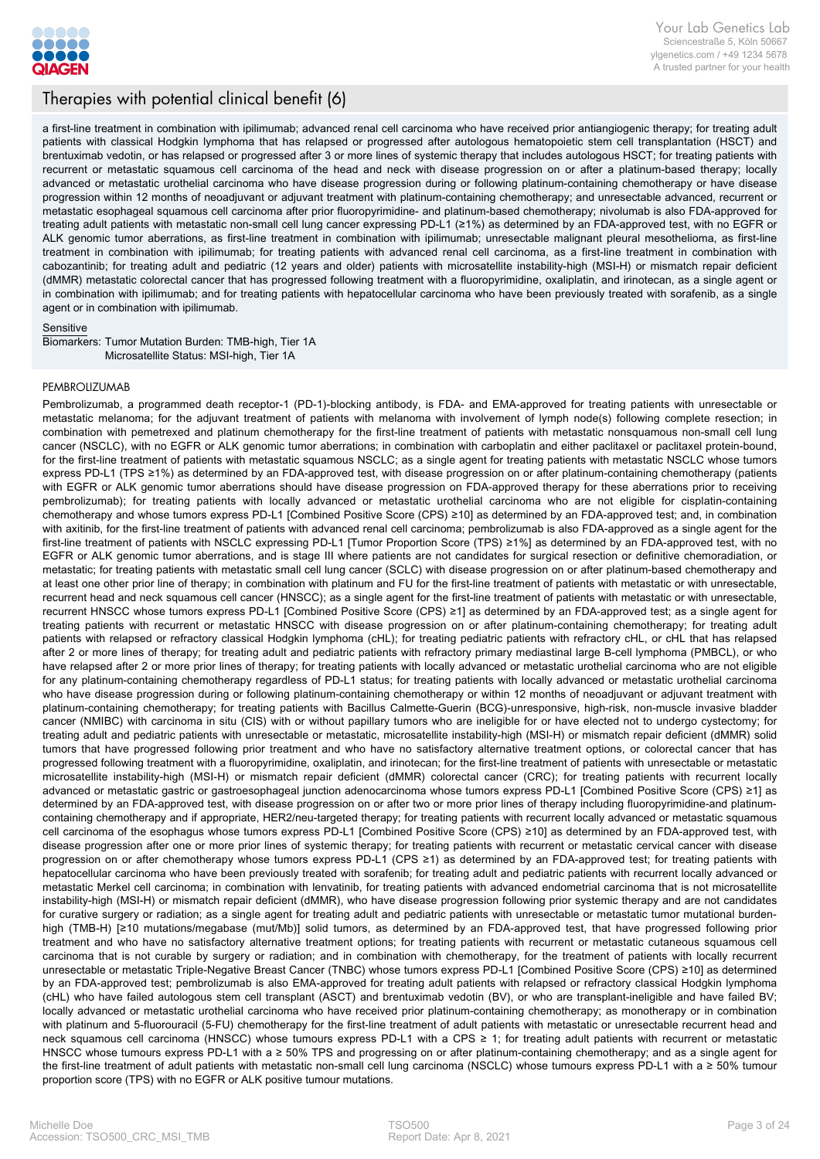

# Therapies with potential clinical benefit (6)

a first-line treatment in combination with ipilimumab; advanced renal cell carcinoma who have received prior antiangiogenic therapy; for treating adult patients with classical Hodgkin lymphoma that has relapsed or progressed after autologous hematopoietic stem cell transplantation (HSCT) and brentuximab vedotin, or has relapsed or progressed after 3 or more lines of systemic therapy that includes autologous HSCT; for treating patients with recurrent or metastatic squamous cell carcinoma of the head and neck with disease progression on or after a platinum-based therapy; locally advanced or metastatic urothelial carcinoma who have disease progression during or following platinum-containing chemotherapy or have disease progression within 12 months of neoadjuvant or adjuvant treatment with platinum-containing chemotherapy; and unresectable advanced, recurrent or metastatic esophageal squamous cell carcinoma after prior fluoropyrimidine- and platinum-based chemotherapy; nivolumab is also FDA-approved for treating adult patients with metastatic non-small cell lung cancer expressing PD-L1 (≥1%) as determined by an FDA-approved test, with no EGFR or ALK genomic tumor aberrations, as first-line treatment in combination with ipilimumab; unresectable malignant pleural mesothelioma, as first-line treatment in combination with ipilimumab; for treating patients with advanced renal cell carcinoma, as a first-line treatment in combination with cabozantinib; for treating adult and pediatric (12 years and older) patients with microsatellite instability-high (MSI-H) or mismatch repair deficient (dMMR) metastatic colorectal cancer that has progressed following treatment with a fluoropyrimidine, oxaliplatin, and irinotecan, as a single agent or in combination with ipilimumab; and for treating patients with hepatocellular carcinoma who have been previously treated with sorafenib, as a single agent or in combination with ipilimumab.

#### Sensitive

Microsatellite Status: MSI-high, Tier 1A Biomarkers: Tumor Mutation Burden: TMB-high, Tier 1A

#### PEMBROLIZUMAB

Pembrolizumab, a programmed death receptor-1 (PD-1)-blocking antibody, is FDA- and EMA-approved for treating patients with unresectable or metastatic melanoma; for the adjuvant treatment of patients with melanoma with involvement of lymph node(s) following complete resection; in combination with pemetrexed and platinum chemotherapy for the first-line treatment of patients with metastatic nonsquamous non-small cell lung cancer (NSCLC), with no EGFR or ALK genomic tumor aberrations; in combination with carboplatin and either paclitaxel or paclitaxel protein-bound, for the first-line treatment of patients with metastatic squamous NSCLC; as a single agent for treating patients with metastatic NSCLC whose tumors express PD-L1 (TPS ≥1%) as determined by an FDA-approved test, with disease progression on or after platinum-containing chemotherapy (patients with EGFR or ALK genomic tumor aberrations should have disease progression on FDA-approved therapy for these aberrations prior to receiving pembrolizumab); for treating patients with locally advanced or metastatic urothelial carcinoma who are not eligible for cisplatin-containing chemotherapy and whose tumors express PD-L1 [Combined Positive Score (CPS) ≥10] as determined by an FDA-approved test; and, in combination with axitinib, for the first-line treatment of patients with advanced renal cell carcinoma; pembrolizumab is also FDA-approved as a single agent for the first-line treatment of patients with NSCLC expressing PD-L1 [Tumor Proportion Score (TPS) ≥1%] as determined by an FDA-approved test, with no EGFR or ALK genomic tumor aberrations, and is stage III where patients are not candidates for surgical resection or definitive chemoradiation, or metastatic; for treating patients with metastatic small cell lung cancer (SCLC) with disease progression on or after platinum-based chemotherapy and at least one other prior line of therapy; in combination with platinum and FU for the first-line treatment of patients with metastatic or with unresectable, recurrent head and neck squamous cell cancer (HNSCC); as a single agent for the first-line treatment of patients with metastatic or with unresectable, recurrent HNSCC whose tumors express PD-L1 [Combined Positive Score (CPS) ≥1] as determined by an FDA-approved test; as a single agent for treating patients with recurrent or metastatic HNSCC with disease progression on or after platinum-containing chemotherapy; for treating adult patients with relapsed or refractory classical Hodgkin lymphoma (cHL); for treating pediatric patients with refractory cHL, or cHL that has relapsed after 2 or more lines of therapy; for treating adult and pediatric patients with refractory primary mediastinal large B-cell lymphoma (PMBCL), or who have relapsed after 2 or more prior lines of therapy; for treating patients with locally advanced or metastatic urothelial carcinoma who are not eligible for any platinum-containing chemotherapy regardless of PD-L1 status; for treating patients with locally advanced or metastatic urothelial carcinoma who have disease progression during or following platinum-containing chemotherapy or within 12 months of neoadjuvant or adjuvant treatment with platinum-containing chemotherapy; for treating patients with Bacillus Calmette-Guerin (BCG)-unresponsive, high-risk, non-muscle invasive bladder cancer (NMIBC) with carcinoma in situ (CIS) with or without papillary tumors who are ineligible for or have elected not to undergo cystectomy; for treating adult and pediatric patients with unresectable or metastatic, microsatellite instability-high (MSI-H) or mismatch repair deficient (dMMR) solid tumors that have progressed following prior treatment and who have no satisfactory alternative treatment options, or colorectal cancer that has progressed following treatment with a fluoropyrimidine, oxaliplatin, and irinotecan; for the first-line treatment of patients with unresectable or metastatic microsatellite instability-high (MSI-H) or mismatch repair deficient (dMMR) colorectal cancer (CRC); for treating patients with recurrent locally advanced or metastatic gastric or gastroesophageal junction adenocarcinoma whose tumors express PD-L1 [Combined Positive Score (CPS) ≥1] as determined by an FDA-approved test, with disease progression on or after two or more prior lines of therapy including fluoropyrimidine-and platinumcontaining chemotherapy and if appropriate, HER2/neu-targeted therapy; for treating patients with recurrent locally advanced or metastatic squamous cell carcinoma of the esophagus whose tumors express PD-L1 [Combined Positive Score (CPS) ≥10] as determined by an FDA-approved test, with disease progression after one or more prior lines of systemic therapy; for treating patients with recurrent or metastatic cervical cancer with disease progression on or after chemotherapy whose tumors express PD-L1 (CPS ≥1) as determined by an FDA-approved test; for treating patients with hepatocellular carcinoma who have been previously treated with sorafenib; for treating adult and pediatric patients with recurrent locally advanced or metastatic Merkel cell carcinoma; in combination with lenvatinib, for treating patients with advanced endometrial carcinoma that is not microsatellite instability-high (MSI-H) or mismatch repair deficient (dMMR), who have disease progression following prior systemic therapy and are not candidates for curative surgery or radiation; as a single agent for treating adult and pediatric patients with unresectable or metastatic tumor mutational burdenhigh (TMB-H) [≥10 mutations/megabase (mut/Mb)] solid tumors, as determined by an FDA-approved test, that have progressed following prior treatment and who have no satisfactory alternative treatment options; for treating patients with recurrent or metastatic cutaneous squamous cell carcinoma that is not curable by surgery or radiation; and in combination with chemotherapy, for the treatment of patients with locally recurrent unresectable or metastatic Triple-Negative Breast Cancer (TNBC) whose tumors express PD-L1 [Combined Positive Score (CPS) ≥10] as determined by an FDA-approved test; pembrolizumab is also EMA-approved for treating adult patients with relapsed or refractory classical Hodgkin lymphoma (cHL) who have failed autologous stem cell transplant (ASCT) and brentuximab vedotin (BV), or who are transplant-ineligible and have failed BV; locally advanced or metastatic urothelial carcinoma who have received prior platinum-containing chemotherapy; as monotherapy or in combination with platinum and 5-fluorouracil (5-FU) chemotherapy for the first-line treatment of adult patients with metastatic or unresectable recurrent head and neck squamous cell carcinoma (HNSCC) whose tumours express PD-L1 with a CPS ≥ 1; for treating adult patients with recurrent or metastatic HNSCC whose tumours express PD-L1 with a ≥ 50% TPS and progressing on or after platinum-containing chemotherapy; and as a single agent for the first-line treatment of adult patients with metastatic non-small cell lung carcinoma (NSCLC) whose tumours express PD-L1 with a ≥ 50% tumour proportion score (TPS) with no EGFR or ALK positive tumour mutations.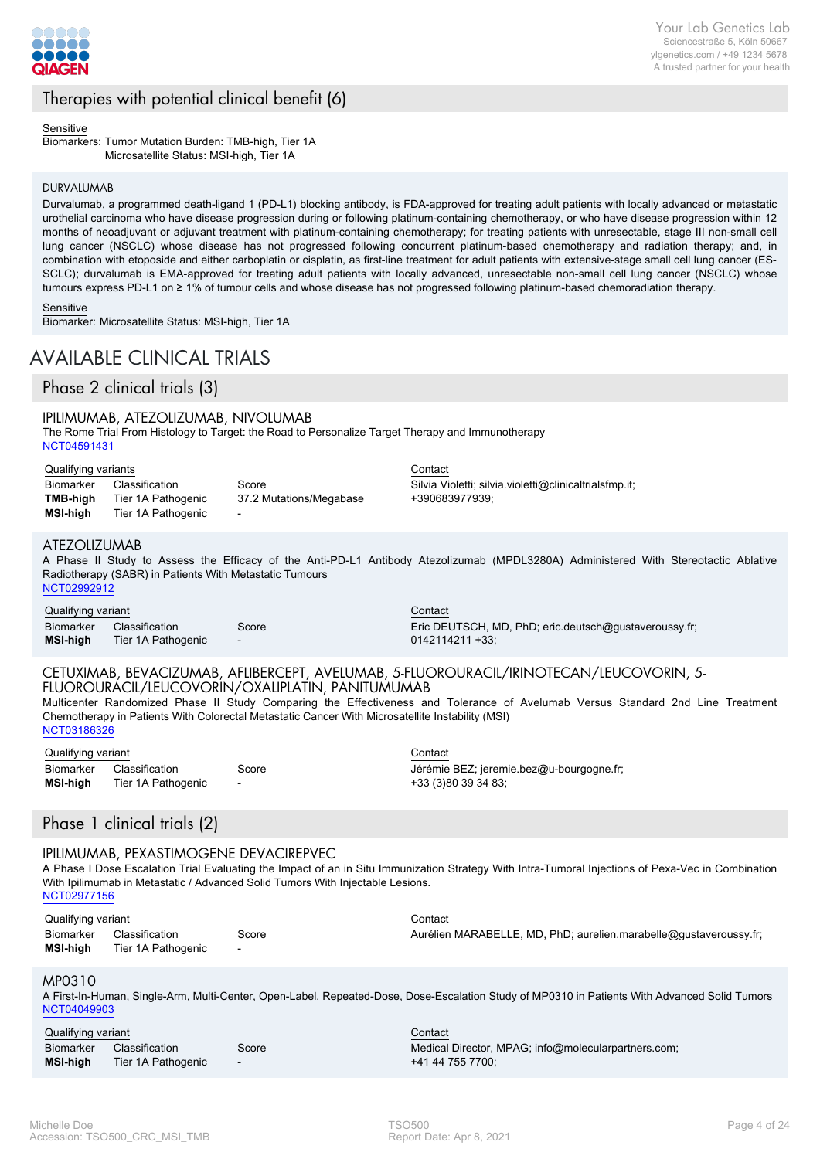

# Therapies with potential clinical benefit (6)

Sensitive

Microsatellite Status: MSI-high, Tier 1A Biomarkers: Tumor Mutation Burden: TMB-high, Tier 1A

#### DURVALUMAB

Durvalumab, a programmed death-ligand 1 (PD-L1) blocking antibody, is FDA-approved for treating adult patients with locally advanced or metastatic urothelial carcinoma who have disease progression during or following platinum-containing chemotherapy, or who have disease progression within 12 months of neoadjuvant or adjuvant treatment with platinum-containing chemotherapy; for treating patients with unresectable, stage III non-small cell lung cancer (NSCLC) whose disease has not progressed following concurrent platinum-based chemotherapy and radiation therapy; and, in combination with etoposide and either carboplatin or cisplatin, as first-line treatment for adult patients with extensive-stage small cell lung cancer (ES-SCLC); durvalumab is EMA-approved for treating adult patients with locally advanced, unresectable non-small cell lung cancer (NSCLC) whose tumours express PD-L1 on ≥ 1% of tumour cells and whose disease has not progressed following platinum-based chemoradiation therapy.

**Sensitive** 

Biomarker: Microsatellite Status: MSI-high, Tier 1A

# AVAILABLE CLINICAL TRIALS

Phase 2 clinical trials (3)

### IPILIMUMAB, ATEZOLIZUMAB, NIVOLUMAB

The Rome Trial From Histology to Target: the Road to Personalize Target Therapy and Immunotherapy [NCT04591431](http://clinicaltrials.gov/show/NCT04591431)

#### Qualifying variants **Contact**

| <b>Biomarker</b> | Classification     | Score                    |
|------------------|--------------------|--------------------------|
| TMB-high         | Tier 1A Pathogenic | 37.2 Mutations/Megabase  |
| MSI-high         | Tier 1A Pathogenic | $\overline{\phantom{0}}$ |

#### ATEZOLIZUMAB

A Phase II Study to Assess the Efficacy of the Anti-PD-L1 Antibody Atezolizumab (MPDL3280A) Administered With Stereotactic Ablative Radiotherapy (SABR) in Patients With Metastatic Tumours [NCT02992912](http://clinicaltrials.gov/show/NCT02992912)

+390683977939;

Qualifying variant Contact Contact Contact Contact Contact Contact Contact Contact Contact Contact Contact Contact Contact Contact Contact Contact Contact Contact Contact Contact Contact Contact Contact Contact Contact Con Biomarker Classification Score **MSI-high** Tier 1A Pathogenic

Eric DEUTSCH, MD, PhD; eric.deutsch@gustaveroussy.fr; 0142114211 +33;

### CETUXIMAB, BEVACIZUMAB, AFLIBERCEPT, AVELUMAB, 5-FLUOROURACIL/IRINOTECAN/LEUCOVORIN, 5- FLUOROURACIL/LEUCOVORIN/OXALIPLATIN, PANITUMUMAB

Multicenter Randomized Phase II Study Comparing the Effectiveness and Tolerance of Avelumab Versus Standard 2nd Line Treatment Chemotherapy in Patients With Colorectal Metastatic Cancer With Microsatellite Instability (MSI) [NCT03186326](http://clinicaltrials.gov/show/NCT03186326)

| Qualifying variant |                    |                          | Contact   |
|--------------------|--------------------|--------------------------|-----------|
| Biomarker          | Classification     | Score                    | Jérémie   |
| MSI-hiah           | Tier 1A Pathogenic | $\overline{\phantom{a}}$ | $+33(3)8$ |

Jérémie BEZ; jeremie.bez@u-bourgogne.fr; +33 (3)80 39 34 83;

Silvia Violetti; silvia.violetti@clinicaltrialsfmp.it;

## Phase 1 clinical trials (2)

#### IPILIMUMAB, PEXASTIMOGENE DEVACIREPVEC

A Phase I Dose Escalation Trial Evaluating the Impact of an in Situ Immunization Strategy With Intra-Tumoral Injections of Pexa-Vec in Combination With Ipilimumab in Metastatic / Advanced Solid Tumors With Injectable Lesions. [NCT02977156](http://clinicaltrials.gov/show/NCT02977156)

| Qualifying variant |                    |                          | Contact                                                           |
|--------------------|--------------------|--------------------------|-------------------------------------------------------------------|
| Biomarker          | Classification     | Score                    | Aurélien MARABELLE, MD, PhD; aurelien marabelle@gustaveroussy.fr; |
| MSI-high           | Tier 1A Pathogenic | $\overline{\phantom{0}}$ |                                                                   |

#### MP0310

A First-In-Human, Single-Arm, Multi-Center, Open-Label, Repeated-Dose, Dose-Escalation Study of MP0310 in Patients With Advanced Solid Tumors [NCT04049903](http://clinicaltrials.gov/show/NCT04049903)

| Qualifying variant |                    |                          | Contact<br>___                                      |
|--------------------|--------------------|--------------------------|-----------------------------------------------------|
| Biomarker          | Classification     | Score                    | Medical Director, MPAG; info@molecularpartners.com; |
| <b>MSI-high</b>    | Tier 1A Pathogenic | $\overline{\phantom{0}}$ | +41 44 755 7700:                                    |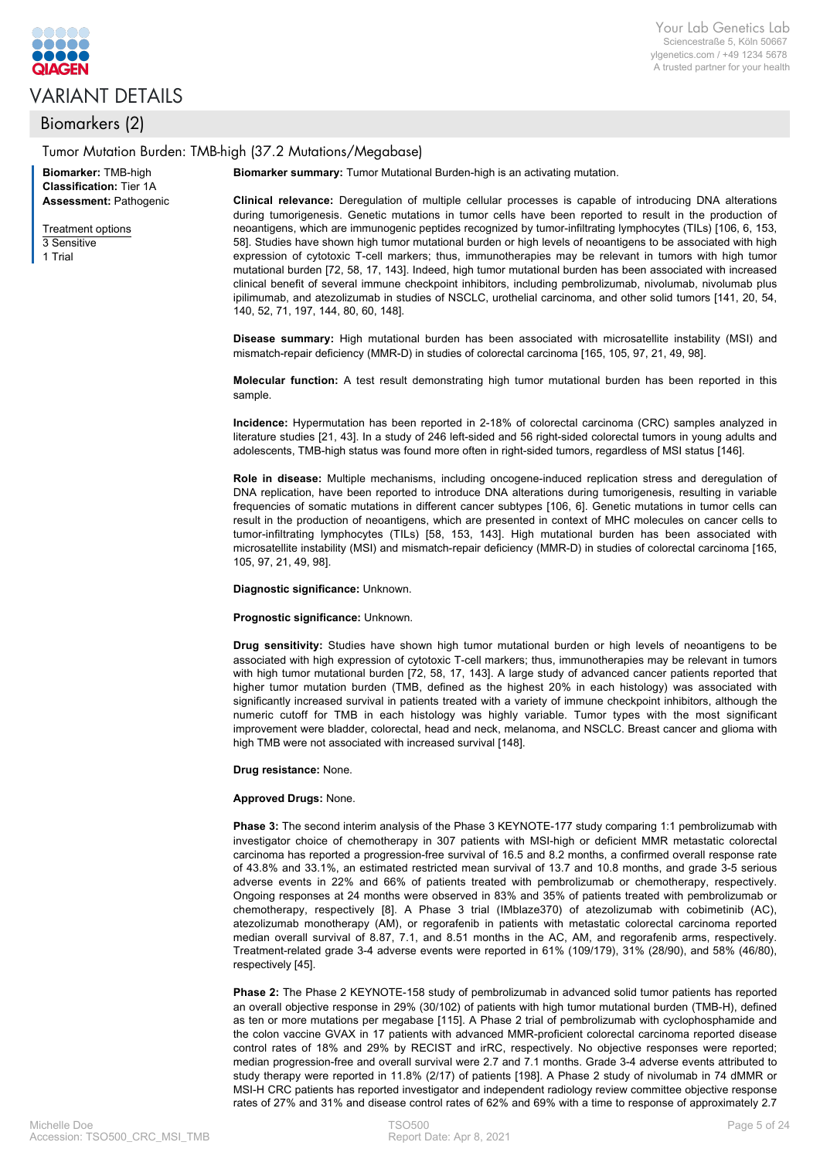

# VARIANT DETAILS

## Biomarkers (2)

#### Tumor Mutation Burden: TMB-high (37.2 Mutations/Megabase)

Your Lab Genetics Lab Sciencestraße 5, Köln 50667 ylgenetics.com / +49 1234 5678 A trusted partner for your health

**Biomarker summary:** Tumor Mutational Burden-high is an activating mutation.

**Biomarker:** TMB-high **Classification:** Tier 1A **Assessment:** Pathogenic

Treatment options 3 Sensitive

1 Trial

**Clinical relevance:** Deregulation of multiple cellular processes is capable of introducing DNA alterations during tumorigenesis. Genetic mutations in tumor cells have been reported to result in the production of neoantigens, which are immunogenic peptides recognized by tumor-infiltrating lymphocytes (TILs) [106, 6, 153, 58]. Studies have shown high tumor mutational burden or high levels of neoantigens to be associated with high expression of cytotoxic T-cell markers; thus, immunotherapies may be relevant in tumors with high tumor mutational burden [72, 58, 17, 143]. Indeed, high tumor mutational burden has been associated with increased clinical benefit of several immune checkpoint inhibitors, including pembrolizumab, nivolumab, nivolumab plus ipilimumab, and atezolizumab in studies of NSCLC, urothelial carcinoma, and other solid tumors [141, 20, 54, 140, 52, 71, 197, 144, 80, 60, 148].

**Disease summary:** High mutational burden has been associated with microsatellite instability (MSI) and mismatch-repair deficiency (MMR-D) in studies of colorectal carcinoma [165, 105, 97, 21, 49, 98].

**Molecular function:** A test result demonstrating high tumor mutational burden has been reported in this sample.

**Incidence:** Hypermutation has been reported in 2-18% of colorectal carcinoma (CRC) samples analyzed in literature studies [21, 43]. In a study of 246 left-sided and 56 right-sided colorectal tumors in young adults and adolescents, TMB-high status was found more often in right-sided tumors, regardless of MSI status [146].

**Role in disease:** Multiple mechanisms, including oncogene-induced replication stress and deregulation of DNA replication, have been reported to introduce DNA alterations during tumorigenesis, resulting in variable frequencies of somatic mutations in different cancer subtypes [106, 6]. Genetic mutations in tumor cells can result in the production of neoantigens, which are presented in context of MHC molecules on cancer cells to tumor-infiltrating lymphocytes (TILs) [58, 153, 143]. High mutational burden has been associated with microsatellite instability (MSI) and mismatch-repair deficiency (MMR-D) in studies of colorectal carcinoma [165, 105, 97, 21, 49, 98].

**Diagnostic significance:** Unknown.

**Prognostic significance:** Unknown.

**Drug sensitivity:** Studies have shown high tumor mutational burden or high levels of neoantigens to be associated with high expression of cytotoxic T-cell markers; thus, immunotherapies may be relevant in tumors with high tumor mutational burden [72, 58, 17, 143]. A large study of advanced cancer patients reported that higher tumor mutation burden (TMB, defined as the highest 20% in each histology) was associated with significantly increased survival in patients treated with a variety of immune checkpoint inhibitors, although the numeric cutoff for TMB in each histology was highly variable. Tumor types with the most significant improvement were bladder, colorectal, head and neck, melanoma, and NSCLC. Breast cancer and glioma with high TMB were not associated with increased survival [148].

**Drug resistance:** None.

#### **Approved Drugs:** None.

**Phase 3:** The second interim analysis of the Phase 3 KEYNOTE-177 study comparing 1:1 pembrolizumab with investigator choice of chemotherapy in 307 patients with MSI-high or deficient MMR metastatic colorectal carcinoma has reported a progression-free survival of 16.5 and 8.2 months, a confirmed overall response rate of 43.8% and 33.1%, an estimated restricted mean survival of 13.7 and 10.8 months, and grade 3-5 serious adverse events in 22% and 66% of patients treated with pembrolizumab or chemotherapy, respectively. Ongoing responses at 24 months were observed in 83% and 35% of patients treated with pembrolizumab or chemotherapy, respectively [8]. A Phase 3 trial (IMblaze370) of atezolizumab with cobimetinib (AC), atezolizumab monotherapy (AM), or regorafenib in patients with metastatic colorectal carcinoma reported median overall survival of 8.87, 7.1, and 8.51 months in the AC, AM, and regorafenib arms, respectively. Treatment-related grade 3-4 adverse events were reported in 61% (109/179), 31% (28/90), and 58% (46/80), respectively [45].

**Phase 2:** The Phase 2 KEYNOTE-158 study of pembrolizumab in advanced solid tumor patients has reported an overall objective response in 29% (30/102) of patients with high tumor mutational burden (TMB-H), defined as ten or more mutations per megabase [115]. A Phase 2 trial of pembrolizumab with cyclophosphamide and the colon vaccine GVAX in 17 patients with advanced MMR-proficient colorectal carcinoma reported disease control rates of 18% and 29% by RECIST and irRC, respectively. No objective responses were reported; median progression-free and overall survival were 2.7 and 7.1 months. Grade 3-4 adverse events attributed to study therapy were reported in 11.8% (2/17) of patients [198]. A Phase 2 study of nivolumab in 74 dMMR or MSI-H CRC patients has reported investigator and independent radiology review committee objective response rates of 27% and 31% and disease control rates of 62% and 69% with a time to response of approximately 2.7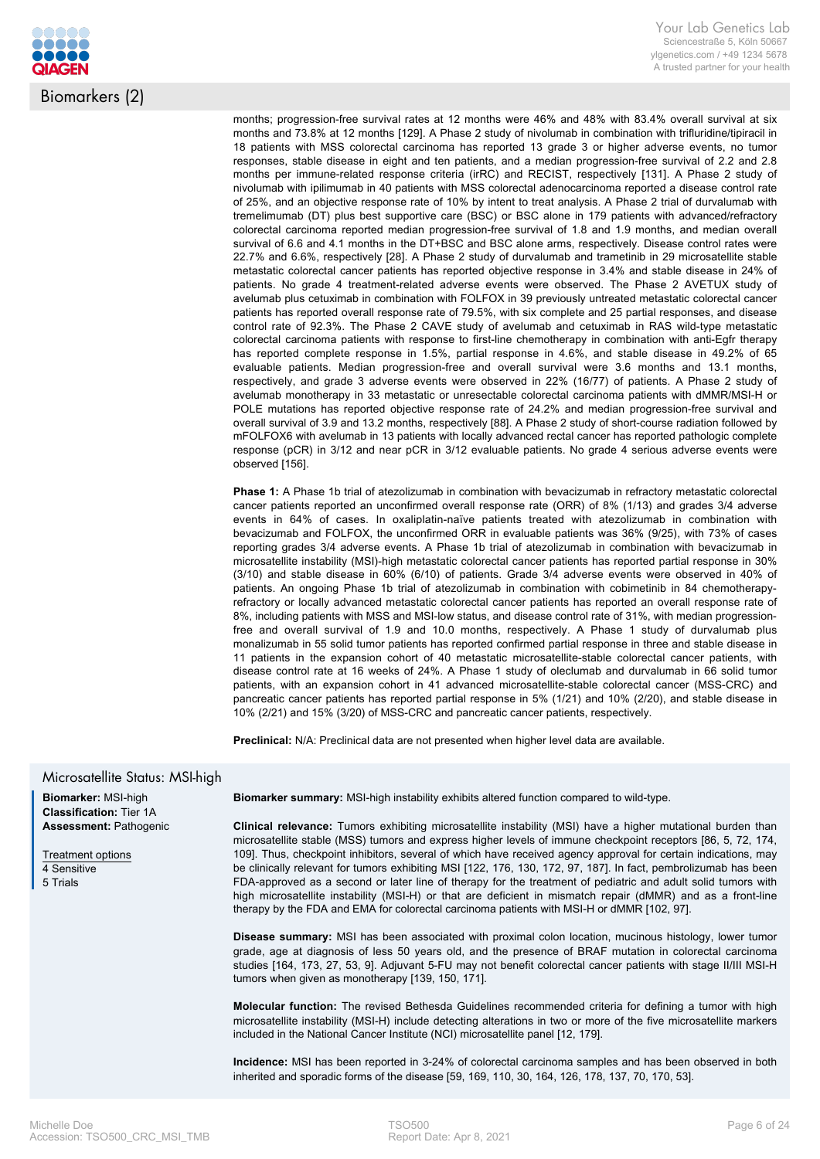

months; progression-free survival rates at 12 months were 46% and 48% with 83.4% overall survival at six months and 73.8% at 12 months [129]. A Phase 2 study of nivolumab in combination with trifluridine/tipiracil in 18 patients with MSS colorectal carcinoma has reported 13 grade 3 or higher adverse events, no tumor responses, stable disease in eight and ten patients, and a median progression-free survival of 2.2 and 2.8 months per immune-related response criteria (irRC) and RECIST, respectively [131]. A Phase 2 study of nivolumab with ipilimumab in 40 patients with MSS colorectal adenocarcinoma reported a disease control rate of 25%, and an objective response rate of 10% by intent to treat analysis. A Phase 2 trial of durvalumab with tremelimumab (DT) plus best supportive care (BSC) or BSC alone in 179 patients with advanced/refractory colorectal carcinoma reported median progression-free survival of 1.8 and 1.9 months, and median overall survival of 6.6 and 4.1 months in the DT+BSC and BSC alone arms, respectively. Disease control rates were 22.7% and 6.6%, respectively [28]. A Phase 2 study of durvalumab and trametinib in 29 microsatellite stable metastatic colorectal cancer patients has reported objective response in 3.4% and stable disease in 24% of patients. No grade 4 treatment-related adverse events were observed. The Phase 2 AVETUX study of avelumab plus cetuximab in combination with FOLFOX in 39 previously untreated metastatic colorectal cancer patients has reported overall response rate of 79.5%, with six complete and 25 partial responses, and disease control rate of 92.3%. The Phase 2 CAVE study of avelumab and cetuximab in RAS wild-type metastatic colorectal carcinoma patients with response to first-line chemotherapy in combination with anti-Egfr therapy has reported complete response in 1.5%, partial response in 4.6%, and stable disease in 49.2% of 65 evaluable patients. Median progression-free and overall survival were 3.6 months and 13.1 months, respectively, and grade 3 adverse events were observed in 22% (16/77) of patients. A Phase 2 study of avelumab monotherapy in 33 metastatic or unresectable colorectal carcinoma patients with dMMR/MSI-H or POLE mutations has reported objective response rate of 24.2% and median progression-free survival and overall survival of 3.9 and 13.2 months, respectively [88]. A Phase 2 study of short-course radiation followed by mFOLFOX6 with avelumab in 13 patients with locally advanced rectal cancer has reported pathologic complete response (pCR) in 3/12 and near pCR in 3/12 evaluable patients. No grade 4 serious adverse events were observed [156].

**Phase 1:** A Phase 1b trial of atezolizumab in combination with bevacizumab in refractory metastatic colorectal cancer patients reported an unconfirmed overall response rate (ORR) of 8% (1/13) and grades 3/4 adverse events in 64% of cases. In oxaliplatin-naïve patients treated with atezolizumab in combination with bevacizumab and FOLFOX, the unconfirmed ORR in evaluable patients was 36% (9/25), with 73% of cases reporting grades 3/4 adverse events. A Phase 1b trial of atezolizumab in combination with bevacizumab in microsatellite instability (MSI)-high metastatic colorectal cancer patients has reported partial response in 30% (3/10) and stable disease in 60% (6/10) of patients. Grade 3/4 adverse events were observed in 40% of patients. An ongoing Phase 1b trial of atezolizumab in combination with cobimetinib in 84 chemotherapyrefractory or locally advanced metastatic colorectal cancer patients has reported an overall response rate of 8%, including patients with MSS and MSI-low status, and disease control rate of 31%, with median progressionfree and overall survival of 1.9 and 10.0 months, respectively. A Phase 1 study of durvalumab plus monalizumab in 55 solid tumor patients has reported confirmed partial response in three and stable disease in 11 patients in the expansion cohort of 40 metastatic microsatellite-stable colorectal cancer patients, with disease control rate at 16 weeks of 24%. A Phase 1 study of oleclumab and durvalumab in 66 solid tumor patients, with an expansion cohort in 41 advanced microsatellite-stable colorectal cancer (MSS-CRC) and pancreatic cancer patients has reported partial response in 5% (1/21) and 10% (2/20), and stable disease in 10% (2/21) and 15% (3/20) of MSS-CRC and pancreatic cancer patients, respectively.

**Preclinical:** N/A: Preclinical data are not presented when higher level data are available.

#### Microsatellite Status: MSI-high

**Biomarker:** MSI-high **Classification:** Tier 1A **Assessment:** Pathogenic

Treatment options 4 Sensitive 5 Trials

**Biomarker summary:** MSI-high instability exhibits altered function compared to wild-type.

**Clinical relevance:** Tumors exhibiting microsatellite instability (MSI) have a higher mutational burden than microsatellite stable (MSS) tumors and express higher levels of immune checkpoint receptors [86, 5, 72, 174, 109]. Thus, checkpoint inhibitors, several of which have received agency approval for certain indications, may be clinically relevant for tumors exhibiting MSI [122, 176, 130, 172, 97, 187]. In fact, pembrolizumab has been FDA-approved as a second or later line of therapy for the treatment of pediatric and adult solid tumors with high microsatellite instability (MSI-H) or that are deficient in mismatch repair (dMMR) and as a front-line therapy by the FDA and EMA for colorectal carcinoma patients with MSI-H or dMMR [102, 97].

**Disease summary:** MSI has been associated with proximal colon location, mucinous histology, lower tumor grade, age at diagnosis of less 50 years old, and the presence of BRAF mutation in colorectal carcinoma studies [164, 173, 27, 53, 9]. Adjuvant 5-FU may not benefit colorectal cancer patients with stage II/III MSI-H tumors when given as monotherapy [139, 150, 171].

**Molecular function:** The revised Bethesda Guidelines recommended criteria for defining a tumor with high microsatellite instability (MSI-H) include detecting alterations in two or more of the five microsatellite markers included in the National Cancer Institute (NCI) microsatellite panel [12, 179].

**Incidence:** MSI has been reported in 3-24% of colorectal carcinoma samples and has been observed in both inherited and sporadic forms of the disease [59, 169, 110, 30, 164, 126, 178, 137, 70, 170, 53].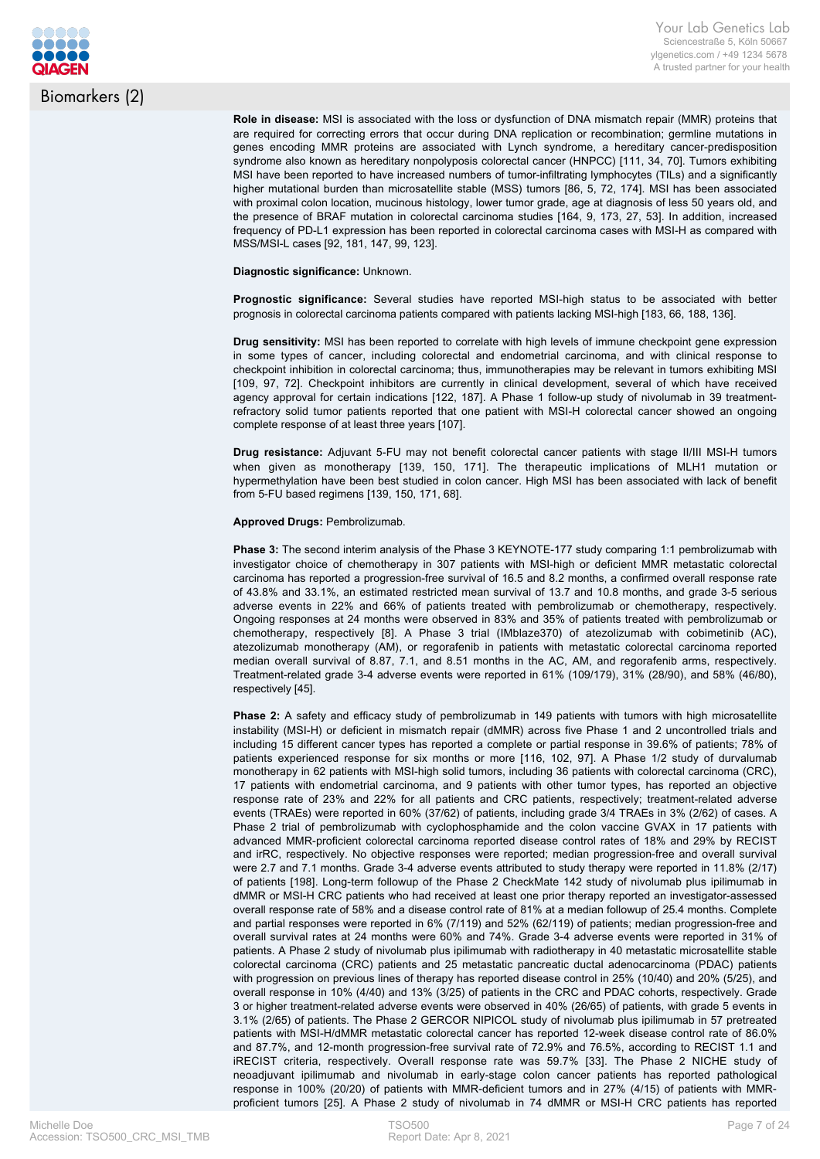

Biomarkers (2)

**Role in disease:** MSI is associated with the loss or dysfunction of DNA mismatch repair (MMR) proteins that are required for correcting errors that occur during DNA replication or recombination; germline mutations in genes encoding MMR proteins are associated with Lynch syndrome, a hereditary cancer-predisposition syndrome also known as hereditary nonpolyposis colorectal cancer (HNPCC) [111, 34, 70]. Tumors exhibiting MSI have been reported to have increased numbers of tumor-infiltrating lymphocytes (TILs) and a significantly higher mutational burden than microsatellite stable (MSS) tumors [86, 5, 72, 174]. MSI has been associated with proximal colon location, mucinous histology, lower tumor grade, age at diagnosis of less 50 years old, and the presence of BRAF mutation in colorectal carcinoma studies [164, 9, 173, 27, 53]. In addition, increased frequency of PD-L1 expression has been reported in colorectal carcinoma cases with MSI-H as compared with MSS/MSI-L cases [92, 181, 147, 99, 123].

**Diagnostic significance:** Unknown.

**Prognostic significance:** Several studies have reported MSI-high status to be associated with better prognosis in colorectal carcinoma patients compared with patients lacking MSI-high [183, 66, 188, 136].

**Drug sensitivity:** MSI has been reported to correlate with high levels of immune checkpoint gene expression in some types of cancer, including colorectal and endometrial carcinoma, and with clinical response to checkpoint inhibition in colorectal carcinoma; thus, immunotherapies may be relevant in tumors exhibiting MSI [109, 97, 72]. Checkpoint inhibitors are currently in clinical development, several of which have received agency approval for certain indications [122, 187]. A Phase 1 follow-up study of nivolumab in 39 treatmentrefractory solid tumor patients reported that one patient with MSI-H colorectal cancer showed an ongoing complete response of at least three years [107].

**Drug resistance:** Adjuvant 5-FU may not benefit colorectal cancer patients with stage II/III MSI-H tumors when given as monotherapy [139, 150, 171]. The therapeutic implications of MLH1 mutation or hypermethylation have been best studied in colon cancer. High MSI has been associated with lack of benefit from 5-FU based regimens [139, 150, 171, 68].

**Approved Drugs:** Pembrolizumab.

**Phase 3:** The second interim analysis of the Phase 3 KEYNOTE-177 study comparing 1:1 pembrolizumab with investigator choice of chemotherapy in 307 patients with MSI-high or deficient MMR metastatic colorectal carcinoma has reported a progression-free survival of 16.5 and 8.2 months, a confirmed overall response rate of 43.8% and 33.1%, an estimated restricted mean survival of 13.7 and 10.8 months, and grade 3-5 serious adverse events in 22% and 66% of patients treated with pembrolizumab or chemotherapy, respectively. Ongoing responses at 24 months were observed in 83% and 35% of patients treated with pembrolizumab or chemotherapy, respectively [8]. A Phase 3 trial (IMblaze370) of atezolizumab with cobimetinib (AC), atezolizumab monotherapy (AM), or regorafenib in patients with metastatic colorectal carcinoma reported median overall survival of 8.87, 7.1, and 8.51 months in the AC, AM, and regorafenib arms, respectively. Treatment-related grade 3-4 adverse events were reported in 61% (109/179), 31% (28/90), and 58% (46/80), respectively [45].

**Phase 2:** A safety and efficacy study of pembrolizumab in 149 patients with tumors with high microsatellite instability (MSI-H) or deficient in mismatch repair (dMMR) across five Phase 1 and 2 uncontrolled trials and including 15 different cancer types has reported a complete or partial response in 39.6% of patients; 78% of patients experienced response for six months or more [116, 102, 97]. A Phase 1/2 study of durvalumab monotherapy in 62 patients with MSI-high solid tumors, including 36 patients with colorectal carcinoma (CRC), 17 patients with endometrial carcinoma, and 9 patients with other tumor types, has reported an objective response rate of 23% and 22% for all patients and CRC patients, respectively; treatment-related adverse events (TRAEs) were reported in 60% (37/62) of patients, including grade 3/4 TRAEs in 3% (2/62) of cases. A Phase 2 trial of pembrolizumab with cyclophosphamide and the colon vaccine GVAX in 17 patients with advanced MMR-proficient colorectal carcinoma reported disease control rates of 18% and 29% by RECIST and irRC, respectively. No objective responses were reported; median progression-free and overall survival were 2.7 and 7.1 months. Grade 3-4 adverse events attributed to study therapy were reported in 11.8% (2/17) of patients [198]. Long-term followup of the Phase 2 CheckMate 142 study of nivolumab plus ipilimumab in dMMR or MSI-H CRC patients who had received at least one prior therapy reported an investigator-assessed overall response rate of 58% and a disease control rate of 81% at a median followup of 25.4 months. Complete and partial responses were reported in 6% (7/119) and 52% (62/119) of patients; median progression-free and overall survival rates at 24 months were 60% and 74%. Grade 3-4 adverse events were reported in 31% of patients. A Phase 2 study of nivolumab plus ipilimumab with radiotherapy in 40 metastatic microsatellite stable colorectal carcinoma (CRC) patients and 25 metastatic pancreatic ductal adenocarcinoma (PDAC) patients with progression on previous lines of therapy has reported disease control in 25% (10/40) and 20% (5/25), and overall response in 10% (4/40) and 13% (3/25) of patients in the CRC and PDAC cohorts, respectively. Grade 3 or higher treatment-related adverse events were observed in 40% (26/65) of patients, with grade 5 events in 3.1% (2/65) of patients. The Phase 2 GERCOR NIPICOL study of nivolumab plus ipilimumab in 57 pretreated patients with MSI-H/dMMR metastatic colorectal cancer has reported 12-week disease control rate of 86.0% and 87.7%, and 12-month progression-free survival rate of 72.9% and 76.5%, according to RECIST 1.1 and iRECIST criteria, respectively. Overall response rate was 59.7% [33]. The Phase 2 NICHE study of neoadjuvant ipilimumab and nivolumab in early-stage colon cancer patients has reported pathological response in 100% (20/20) of patients with MMR-deficient tumors and in 27% (4/15) of patients with MMRproficient tumors [25]. A Phase 2 study of nivolumab in 74 dMMR or MSI-H CRC patients has reported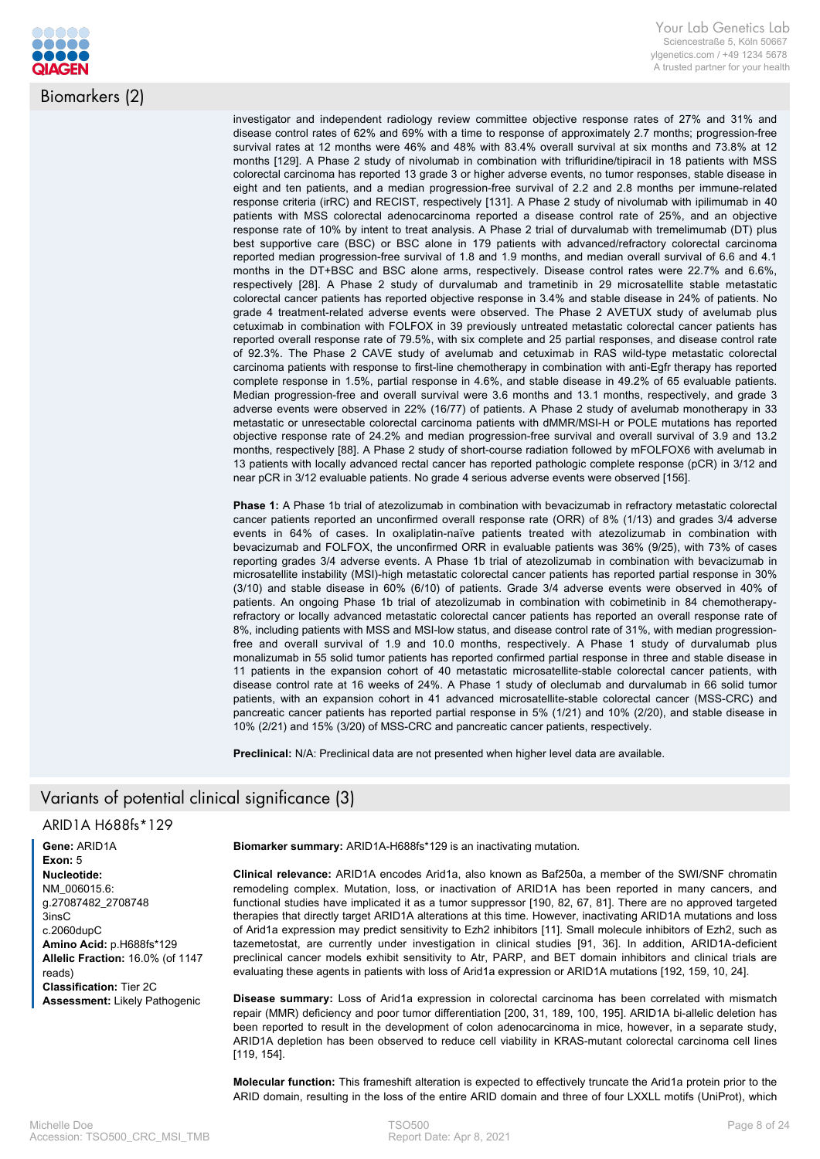

Biomarkers (2)

investigator and independent radiology review committee objective response rates of 27% and 31% and disease control rates of 62% and 69% with a time to response of approximately 2.7 months; progression-free survival rates at 12 months were 46% and 48% with 83.4% overall survival at six months and 73.8% at 12 months [129]. A Phase 2 study of nivolumab in combination with trifluridine/tipiracil in 18 patients with MSS colorectal carcinoma has reported 13 grade 3 or higher adverse events, no tumor responses, stable disease in eight and ten patients, and a median progression-free survival of 2.2 and 2.8 months per immune-related response criteria (irRC) and RECIST, respectively [131]. A Phase 2 study of nivolumab with ipilimumab in 40 patients with MSS colorectal adenocarcinoma reported a disease control rate of 25%, and an objective response rate of 10% by intent to treat analysis. A Phase 2 trial of durvalumab with tremelimumab (DT) plus best supportive care (BSC) or BSC alone in 179 patients with advanced/refractory colorectal carcinoma reported median progression-free survival of 1.8 and 1.9 months, and median overall survival of 6.6 and 4.1 months in the DT+BSC and BSC alone arms, respectively. Disease control rates were 22.7% and 6.6%, respectively [28]. A Phase 2 study of durvalumab and trametinib in 29 microsatellite stable metastatic colorectal cancer patients has reported objective response in 3.4% and stable disease in 24% of patients. No grade 4 treatment-related adverse events were observed. The Phase 2 AVETUX study of avelumab plus cetuximab in combination with FOLFOX in 39 previously untreated metastatic colorectal cancer patients has reported overall response rate of 79.5%, with six complete and 25 partial responses, and disease control rate of 92.3%. The Phase 2 CAVE study of avelumab and cetuximab in RAS wild-type metastatic colorectal carcinoma patients with response to first-line chemotherapy in combination with anti-Egfr therapy has reported complete response in 1.5%, partial response in 4.6%, and stable disease in 49.2% of 65 evaluable patients. Median progression-free and overall survival were 3.6 months and 13.1 months, respectively, and grade 3 adverse events were observed in 22% (16/77) of patients. A Phase 2 study of avelumab monotherapy in 33 metastatic or unresectable colorectal carcinoma patients with dMMR/MSI-H or POLE mutations has reported objective response rate of 24.2% and median progression-free survival and overall survival of 3.9 and 13.2 months, respectively [88]. A Phase 2 study of short-course radiation followed by mFOLFOX6 with avelumab in 13 patients with locally advanced rectal cancer has reported pathologic complete response (pCR) in 3/12 and near pCR in 3/12 evaluable patients. No grade 4 serious adverse events were observed [156].

**Phase 1:** A Phase 1b trial of atezolizumab in combination with bevacizumab in refractory metastatic colorectal cancer patients reported an unconfirmed overall response rate (ORR) of 8% (1/13) and grades 3/4 adverse events in 64% of cases. In oxaliplatin-naïve patients treated with atezolizumab in combination with bevacizumab and FOLFOX, the unconfirmed ORR in evaluable patients was 36% (9/25), with 73% of cases reporting grades 3/4 adverse events. A Phase 1b trial of atezolizumab in combination with bevacizumab in microsatellite instability (MSI)-high metastatic colorectal cancer patients has reported partial response in 30% (3/10) and stable disease in 60% (6/10) of patients. Grade 3/4 adverse events were observed in 40% of patients. An ongoing Phase 1b trial of atezolizumab in combination with cobimetinib in 84 chemotherapyrefractory or locally advanced metastatic colorectal cancer patients has reported an overall response rate of 8%, including patients with MSS and MSI-low status, and disease control rate of 31%, with median progressionfree and overall survival of 1.9 and 10.0 months, respectively. A Phase 1 study of durvalumab plus monalizumab in 55 solid tumor patients has reported confirmed partial response in three and stable disease in 11 patients in the expansion cohort of 40 metastatic microsatellite-stable colorectal cancer patients, with disease control rate at 16 weeks of 24%. A Phase 1 study of oleclumab and durvalumab in 66 solid tumor patients, with an expansion cohort in 41 advanced microsatellite-stable colorectal cancer (MSS-CRC) and pancreatic cancer patients has reported partial response in 5% (1/21) and 10% (2/20), and stable disease in 10% (2/21) and 15% (3/20) of MSS-CRC and pancreatic cancer patients, respectively.

**Preclinical:** N/A: Preclinical data are not presented when higher level data are available.

# Variants of potential clinical significance (3)

## ARID1A H688fs\*129

**Gene:** ARID1A **Exon:** 5 **Nucleotide:** NM\_006015.6: g.27087482\_2708748 3insC c.2060dupC **Amino Acid:** p.H688fs\*129 **Allelic Fraction:** 16.0% (of 1147 reads) **Classification:** Tier 2C **Assessment:** Likely Pathogenic

**Biomarker summary:** ARID1A-H688fs\*129 is an inactivating mutation.

**Clinical relevance:** ARID1A encodes Arid1a, also known as Baf250a, a member of the SWI/SNF chromatin remodeling complex. Mutation, loss, or inactivation of ARID1A has been reported in many cancers, and functional studies have implicated it as a tumor suppressor [190, 82, 67, 81]. There are no approved targeted therapies that directly target ARID1A alterations at this time. However, inactivating ARID1A mutations and loss of Arid1a expression may predict sensitivity to Ezh2 inhibitors [11]. Small molecule inhibitors of Ezh2, such as tazemetostat, are currently under investigation in clinical studies [91, 36]. In addition, ARID1A-deficient preclinical cancer models exhibit sensitivity to Atr, PARP, and BET domain inhibitors and clinical trials are evaluating these agents in patients with loss of Arid1a expression or ARID1A mutations [192, 159, 10, 24].

**Disease summary:** Loss of Arid1a expression in colorectal carcinoma has been correlated with mismatch repair (MMR) deficiency and poor tumor differentiation [200, 31, 189, 100, 195]. ARID1A bi-allelic deletion has been reported to result in the development of colon adenocarcinoma in mice, however, in a separate study, ARID1A depletion has been observed to reduce cell viability in KRAS-mutant colorectal carcinoma cell lines [119, 154].

**Molecular function:** This frameshift alteration is expected to effectively truncate the Arid1a protein prior to the ARID domain, resulting in the loss of the entire ARID domain and three of four LXXLL motifs (UniProt), which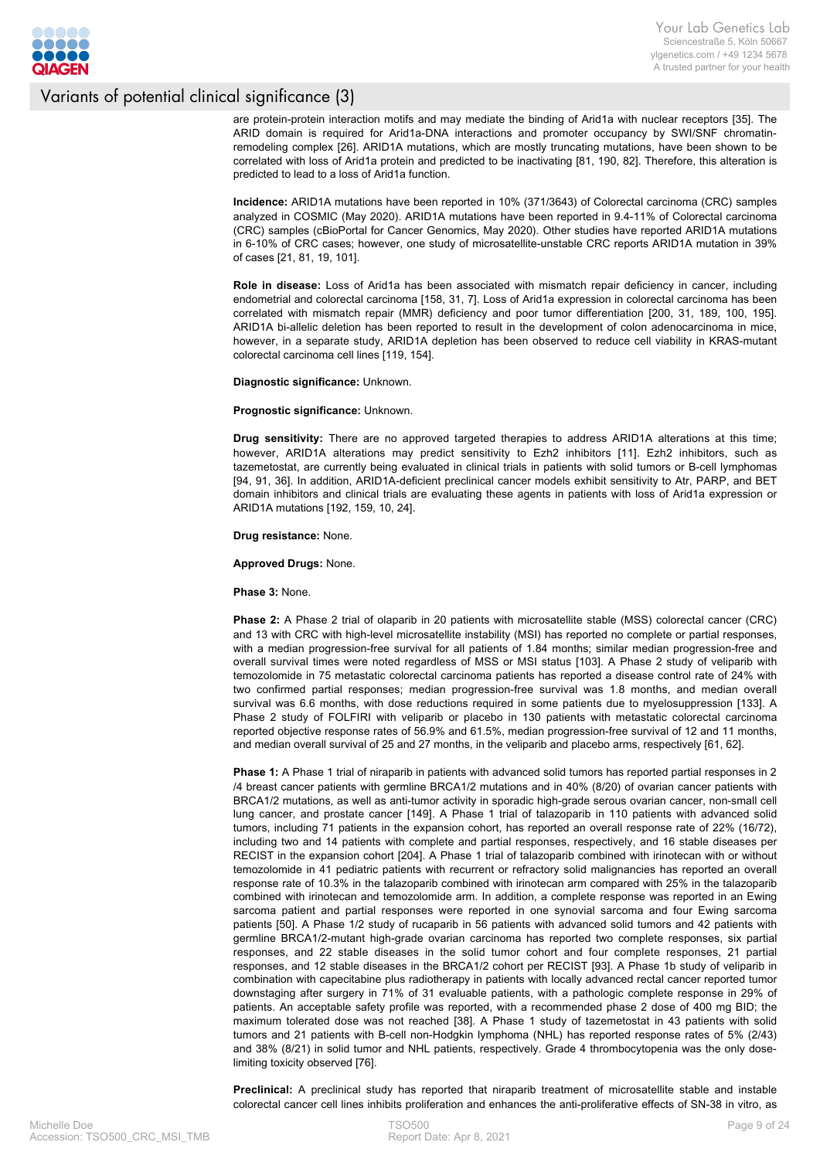

are protein-protein interaction motifs and may mediate the binding of Arid1a with nuclear receptors [35]. The ARID domain is required for Arid1a-DNA interactions and promoter occupancy by SWI/SNF chromatinremodeling complex [26]. ARID1A mutations, which are mostly truncating mutations, have been shown to be correlated with loss of Arid1a protein and predicted to be inactivating [81, 190, 82]. Therefore, this alteration is predicted to lead to a loss of Arid1a function.

**Incidence:** ARID1A mutations have been reported in 10% (371/3643) of Colorectal carcinoma (CRC) samples analyzed in COSMIC (May 2020). ARID1A mutations have been reported in 9.4-11% of Colorectal carcinoma (CRC) samples (cBioPortal for Cancer Genomics, May 2020). Other studies have reported ARID1A mutations in 6-10% of CRC cases; however, one study of microsatellite-unstable CRC reports ARID1A mutation in 39% of cases [21, 81, 19, 101].

**Role in disease:** Loss of Arid1a has been associated with mismatch repair deficiency in cancer, including endometrial and colorectal carcinoma [158, 31, 7]. Loss of Arid1a expression in colorectal carcinoma has been correlated with mismatch repair (MMR) deficiency and poor tumor differentiation [200, 31, 189, 100, 195]. ARID1A bi-allelic deletion has been reported to result in the development of colon adenocarcinoma in mice, however, in a separate study, ARID1A depletion has been observed to reduce cell viability in KRAS-mutant colorectal carcinoma cell lines [119, 154].

**Diagnostic significance:** Unknown.

#### **Prognostic significance:** Unknown.

**Drug sensitivity:** There are no approved targeted therapies to address ARID1A alterations at this time; however, ARID1A alterations may predict sensitivity to Ezh2 inhibitors [11]. Ezh2 inhibitors, such as tazemetostat, are currently being evaluated in clinical trials in patients with solid tumors or B-cell lymphomas [94, 91, 36]. In addition, ARID1A-deficient preclinical cancer models exhibit sensitivity to Atr, PARP, and BET domain inhibitors and clinical trials are evaluating these agents in patients with loss of Arid1a expression or ARID1A mutations [192, 159, 10, 24].

**Drug resistance:** None.

**Approved Drugs:** None.

**Phase 3:** None.

**Phase 2:** A Phase 2 trial of olaparib in 20 patients with microsatellite stable (MSS) colorectal cancer (CRC) and 13 with CRC with high-level microsatellite instability (MSI) has reported no complete or partial responses, with a median progression-free survival for all patients of 1.84 months; similar median progression-free and overall survival times were noted regardless of MSS or MSI status [103]. A Phase 2 study of veliparib with temozolomide in 75 metastatic colorectal carcinoma patients has reported a disease control rate of 24% with two confirmed partial responses; median progression-free survival was 1.8 months, and median overall survival was 6.6 months, with dose reductions required in some patients due to myelosuppression [133]. A Phase 2 study of FOLFIRI with veliparib or placebo in 130 patients with metastatic colorectal carcinoma reported objective response rates of 56.9% and 61.5%, median progression-free survival of 12 and 11 months, and median overall survival of 25 and 27 months, in the veliparib and placebo arms, respectively [61, 62].

**Phase 1:** A Phase 1 trial of niraparib in patients with advanced solid tumors has reported partial responses in 2 /4 breast cancer patients with germline BRCA1/2 mutations and in 40% (8/20) of ovarian cancer patients with BRCA1/2 mutations, as well as anti-tumor activity in sporadic high-grade serous ovarian cancer, non-small cell lung cancer, and prostate cancer [149]. A Phase 1 trial of talazoparib in 110 patients with advanced solid tumors, including 71 patients in the expansion cohort, has reported an overall response rate of 22% (16/72), including two and 14 patients with complete and partial responses, respectively, and 16 stable diseases per RECIST in the expansion cohort [204]. A Phase 1 trial of talazoparib combined with irinotecan with or without temozolomide in 41 pediatric patients with recurrent or refractory solid malignancies has reported an overall response rate of 10.3% in the talazoparib combined with irinotecan arm compared with 25% in the talazoparib combined with irinotecan and temozolomide arm. In addition, a complete response was reported in an Ewing sarcoma patient and partial responses were reported in one synovial sarcoma and four Ewing sarcoma patients [50]. A Phase 1/2 study of rucaparib in 56 patients with advanced solid tumors and 42 patients with germline BRCA1/2-mutant high-grade ovarian carcinoma has reported two complete responses, six partial responses, and 22 stable diseases in the solid tumor cohort and four complete responses, 21 partial responses, and 12 stable diseases in the BRCA1/2 cohort per RECIST [93]. A Phase 1b study of veliparib in combination with capecitabine plus radiotherapy in patients with locally advanced rectal cancer reported tumor downstaging after surgery in 71% of 31 evaluable patients, with a pathologic complete response in 29% of patients. An acceptable safety profile was reported, with a recommended phase 2 dose of 400 mg BID; the maximum tolerated dose was not reached [38]. A Phase 1 study of tazemetostat in 43 patients with solid tumors and 21 patients with B-cell non-Hodgkin lymphoma (NHL) has reported response rates of 5% (2/43) and 38% (8/21) in solid tumor and NHL patients, respectively. Grade 4 thrombocytopenia was the only doselimiting toxicity observed [76].

**Preclinical:** A preclinical study has reported that niraparib treatment of microsatellite stable and instable colorectal cancer cell lines inhibits proliferation and enhances the anti-proliferative effects of SN-38 in vitro, as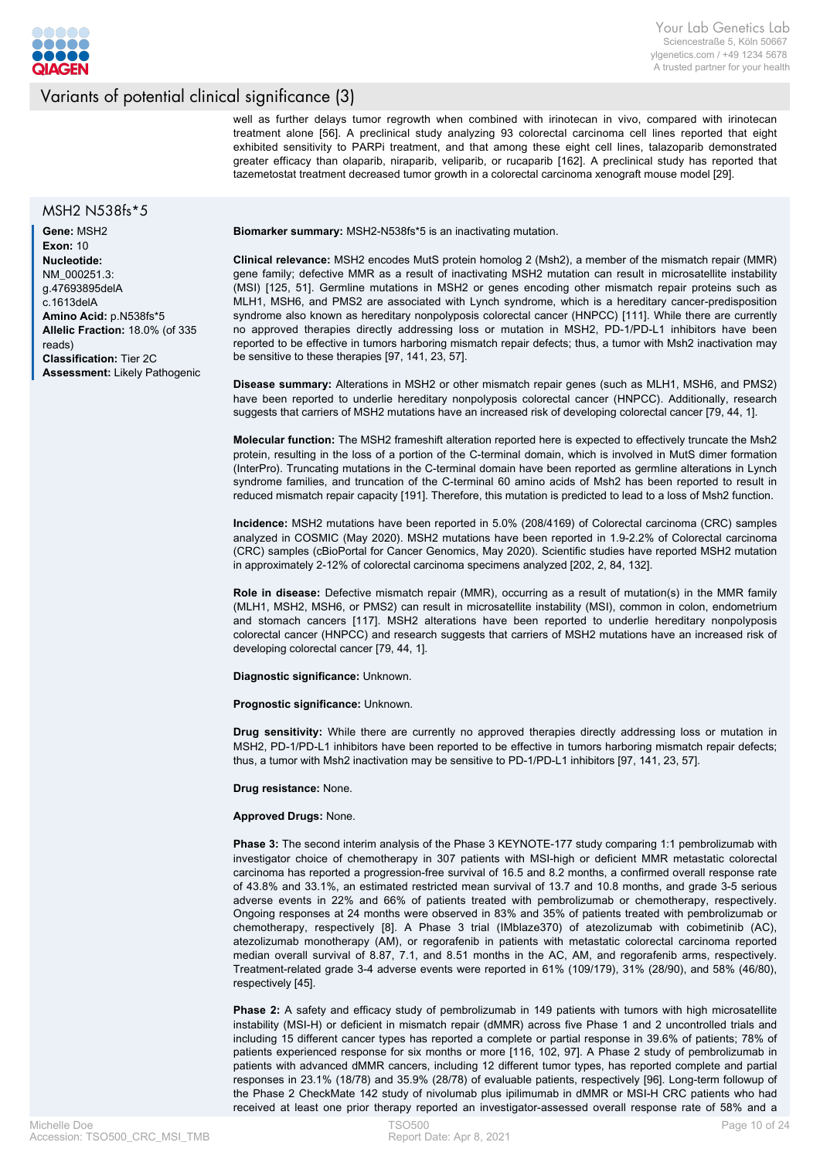

well as further delays tumor regrowth when combined with irinotecan in vivo, compared with irinotecan treatment alone [56]. A preclinical study analyzing 93 colorectal carcinoma cell lines reported that eight exhibited sensitivity to PARPi treatment, and that among these eight cell lines, talazoparib demonstrated greater efficacy than olaparib, niraparib, veliparib, or rucaparib [162]. A preclinical study has reported that tazemetostat treatment decreased tumor growth in a colorectal carcinoma xenograft mouse model [29].

#### MSH2 N538fs\*5

**Gene:** MSH2 **Exon:** 10 **Nucleotide:** NM\_000251.3: g.47693895delA c.1613delA **Amino Acid:** p.N538fs\*5 **Allelic Fraction:** 18.0% (of 335 reads) **Classification:** Tier 2C **Assessment:** Likely Pathogenic **Biomarker summary:** MSH2-N538fs\*5 is an inactivating mutation.

**Clinical relevance:** MSH2 encodes MutS protein homolog 2 (Msh2), a member of the mismatch repair (MMR) gene family; defective MMR as a result of inactivating MSH2 mutation can result in microsatellite instability (MSI) [125, 51]. Germline mutations in MSH2 or genes encoding other mismatch repair proteins such as MLH1, MSH6, and PMS2 are associated with Lynch syndrome, which is a hereditary cancer-predisposition syndrome also known as hereditary nonpolyposis colorectal cancer (HNPCC) [111]. While there are currently no approved therapies directly addressing loss or mutation in MSH2, PD-1/PD-L1 inhibitors have been reported to be effective in tumors harboring mismatch repair defects; thus, a tumor with Msh2 inactivation may be sensitive to these therapies [97, 141, 23, 57].

**Disease summary:** Alterations in MSH2 or other mismatch repair genes (such as MLH1, MSH6, and PMS2) have been reported to underlie hereditary nonpolyposis colorectal cancer (HNPCC). Additionally, research suggests that carriers of MSH2 mutations have an increased risk of developing colorectal cancer [79, 44, 1].

**Molecular function:** The MSH2 frameshift alteration reported here is expected to effectively truncate the Msh2 protein, resulting in the loss of a portion of the C-terminal domain, which is involved in MutS dimer formation (InterPro). Truncating mutations in the C-terminal domain have been reported as germline alterations in Lynch syndrome families, and truncation of the C-terminal 60 amino acids of Msh2 has been reported to result in reduced mismatch repair capacity [191]. Therefore, this mutation is predicted to lead to a loss of Msh2 function.

**Incidence:** MSH2 mutations have been reported in 5.0% (208/4169) of Colorectal carcinoma (CRC) samples analyzed in COSMIC (May 2020). MSH2 mutations have been reported in 1.9-2.2% of Colorectal carcinoma (CRC) samples (cBioPortal for Cancer Genomics, May 2020). Scientific studies have reported MSH2 mutation in approximately 2-12% of colorectal carcinoma specimens analyzed [202, 2, 84, 132].

**Role in disease:** Defective mismatch repair (MMR), occurring as a result of mutation(s) in the MMR family (MLH1, MSH2, MSH6, or PMS2) can result in microsatellite instability (MSI), common in colon, endometrium and stomach cancers [117]. MSH2 alterations have been reported to underlie hereditary nonpolyposis colorectal cancer (HNPCC) and research suggests that carriers of MSH2 mutations have an increased risk of developing colorectal cancer [79, 44, 1].

**Diagnostic significance:** Unknown.

**Prognostic significance:** Unknown.

**Drug sensitivity:** While there are currently no approved therapies directly addressing loss or mutation in MSH2, PD-1/PD-L1 inhibitors have been reported to be effective in tumors harboring mismatch repair defects; thus, a tumor with Msh2 inactivation may be sensitive to PD-1/PD-L1 inhibitors [97, 141, 23, 57].

**Drug resistance:** None.

#### **Approved Drugs:** None.

**Phase 3:** The second interim analysis of the Phase 3 KEYNOTE-177 study comparing 1:1 pembrolizumab with investigator choice of chemotherapy in 307 patients with MSI-high or deficient MMR metastatic colorectal carcinoma has reported a progression-free survival of 16.5 and 8.2 months, a confirmed overall response rate of 43.8% and 33.1%, an estimated restricted mean survival of 13.7 and 10.8 months, and grade 3-5 serious adverse events in 22% and 66% of patients treated with pembrolizumab or chemotherapy, respectively. Ongoing responses at 24 months were observed in 83% and 35% of patients treated with pembrolizumab or chemotherapy, respectively [8]. A Phase 3 trial (IMblaze370) of atezolizumab with cobimetinib (AC), atezolizumab monotherapy (AM), or regorafenib in patients with metastatic colorectal carcinoma reported median overall survival of 8.87, 7.1, and 8.51 months in the AC, AM, and regorafenib arms, respectively. Treatment-related grade 3-4 adverse events were reported in 61% (109/179), 31% (28/90), and 58% (46/80), respectively [45].

**Phase 2:** A safety and efficacy study of pembrolizumab in 149 patients with tumors with high microsatellite instability (MSI-H) or deficient in mismatch repair (dMMR) across five Phase 1 and 2 uncontrolled trials and including 15 different cancer types has reported a complete or partial response in 39.6% of patients; 78% of patients experienced response for six months or more [116, 102, 97]. A Phase 2 study of pembrolizumab in patients with advanced dMMR cancers, including 12 different tumor types, has reported complete and partial responses in 23.1% (18/78) and 35.9% (28/78) of evaluable patients, respectively [96]. Long-term followup of the Phase 2 CheckMate 142 study of nivolumab plus ipilimumab in dMMR or MSI-H CRC patients who had received at least one prior therapy reported an investigator-assessed overall response rate of 58% and a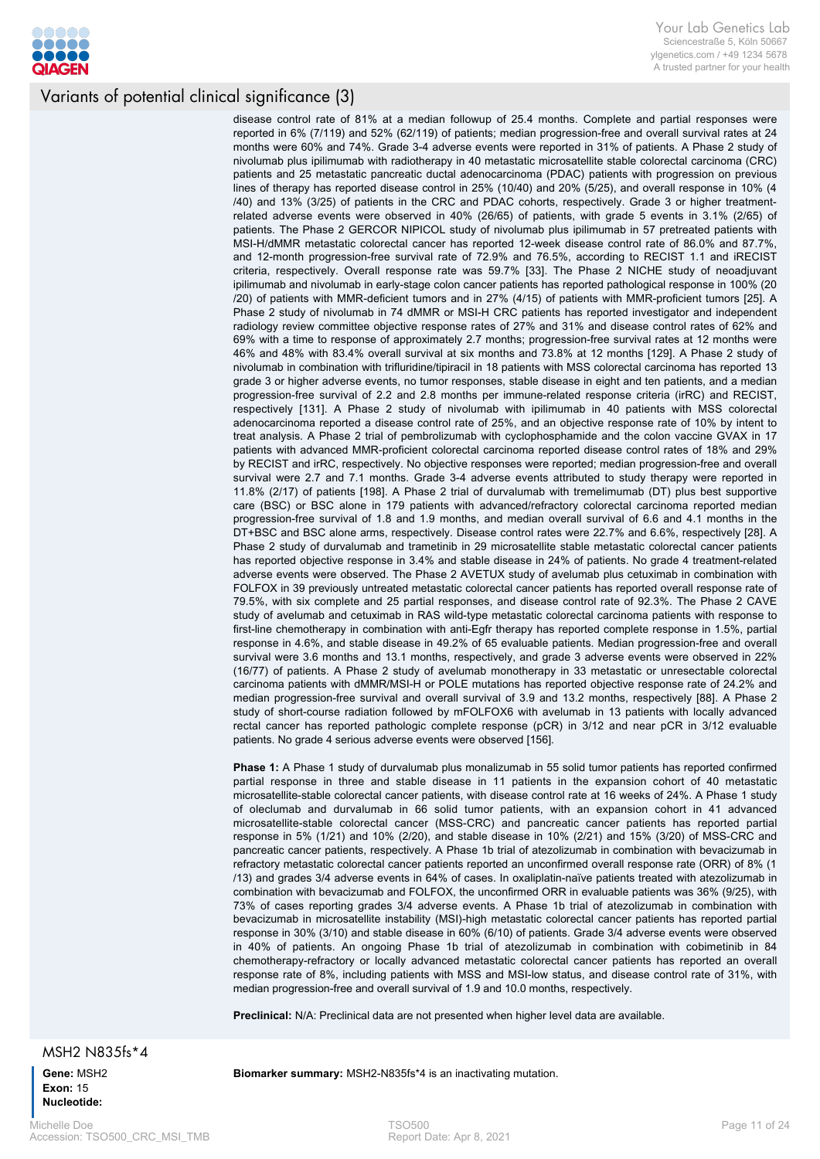

disease control rate of 81% at a median followup of 25.4 months. Complete and partial responses were reported in 6% (7/119) and 52% (62/119) of patients; median progression-free and overall survival rates at 24 months were 60% and 74%. Grade 3-4 adverse events were reported in 31% of patients. A Phase 2 study of nivolumab plus ipilimumab with radiotherapy in 40 metastatic microsatellite stable colorectal carcinoma (CRC) patients and 25 metastatic pancreatic ductal adenocarcinoma (PDAC) patients with progression on previous lines of therapy has reported disease control in 25% (10/40) and 20% (5/25), and overall response in 10% (4 /40) and 13% (3/25) of patients in the CRC and PDAC cohorts, respectively. Grade 3 or higher treatmentrelated adverse events were observed in 40% (26/65) of patients, with grade 5 events in 3.1% (2/65) of patients. The Phase 2 GERCOR NIPICOL study of nivolumab plus ipilimumab in 57 pretreated patients with MSI-H/dMMR metastatic colorectal cancer has reported 12-week disease control rate of 86.0% and 87.7%, and 12-month progression-free survival rate of 72.9% and 76.5%, according to RECIST 1.1 and iRECIST criteria, respectively. Overall response rate was 59.7% [33]. The Phase 2 NICHE study of neoadjuvant ipilimumab and nivolumab in early-stage colon cancer patients has reported pathological response in 100% (20 /20) of patients with MMR-deficient tumors and in 27% (4/15) of patients with MMR-proficient tumors [25]. A Phase 2 study of nivolumab in 74 dMMR or MSI-H CRC patients has reported investigator and independent radiology review committee objective response rates of 27% and 31% and disease control rates of 62% and 69% with a time to response of approximately 2.7 months; progression-free survival rates at 12 months were 46% and 48% with 83.4% overall survival at six months and 73.8% at 12 months [129]. A Phase 2 study of nivolumab in combination with trifluridine/tipiracil in 18 patients with MSS colorectal carcinoma has reported 13 grade 3 or higher adverse events, no tumor responses, stable disease in eight and ten patients, and a median progression-free survival of 2.2 and 2.8 months per immune-related response criteria (irRC) and RECIST, respectively [131]. A Phase 2 study of nivolumab with ipilimumab in 40 patients with MSS colorectal adenocarcinoma reported a disease control rate of 25%, and an objective response rate of 10% by intent to treat analysis. A Phase 2 trial of pembrolizumab with cyclophosphamide and the colon vaccine GVAX in 17 patients with advanced MMR-proficient colorectal carcinoma reported disease control rates of 18% and 29% by RECIST and irRC, respectively. No objective responses were reported; median progression-free and overall survival were 2.7 and 7.1 months. Grade 3-4 adverse events attributed to study therapy were reported in 11.8% (2/17) of patients [198]. A Phase 2 trial of durvalumab with tremelimumab (DT) plus best supportive care (BSC) or BSC alone in 179 patients with advanced/refractory colorectal carcinoma reported median progression-free survival of 1.8 and 1.9 months, and median overall survival of 6.6 and 4.1 months in the DT+BSC and BSC alone arms, respectively. Disease control rates were 22.7% and 6.6%, respectively [28]. A Phase 2 study of durvalumab and trametinib in 29 microsatellite stable metastatic colorectal cancer patients has reported objective response in 3.4% and stable disease in 24% of patients. No grade 4 treatment-related adverse events were observed. The Phase 2 AVETUX study of avelumab plus cetuximab in combination with FOLFOX in 39 previously untreated metastatic colorectal cancer patients has reported overall response rate of 79.5%, with six complete and 25 partial responses, and disease control rate of 92.3%. The Phase 2 CAVE study of avelumab and cetuximab in RAS wild-type metastatic colorectal carcinoma patients with response to first-line chemotherapy in combination with anti-Egfr therapy has reported complete response in 1.5%, partial response in 4.6%, and stable disease in 49.2% of 65 evaluable patients. Median progression-free and overall survival were 3.6 months and 13.1 months, respectively, and grade 3 adverse events were observed in 22% (16/77) of patients. A Phase 2 study of avelumab monotherapy in 33 metastatic or unresectable colorectal carcinoma patients with dMMR/MSI-H or POLE mutations has reported objective response rate of 24.2% and median progression-free survival and overall survival of 3.9 and 13.2 months, respectively [88]. A Phase 2 study of short-course radiation followed by mFOLFOX6 with avelumab in 13 patients with locally advanced rectal cancer has reported pathologic complete response (pCR) in 3/12 and near pCR in 3/12 evaluable patients. No grade 4 serious adverse events were observed [156].

**Phase 1:** A Phase 1 study of durvalumab plus monalizumab in 55 solid tumor patients has reported confirmed partial response in three and stable disease in 11 patients in the expansion cohort of 40 metastatic microsatellite-stable colorectal cancer patients, with disease control rate at 16 weeks of 24%. A Phase 1 study of oleclumab and durvalumab in 66 solid tumor patients, with an expansion cohort in 41 advanced microsatellite-stable colorectal cancer (MSS-CRC) and pancreatic cancer patients has reported partial response in 5% (1/21) and 10% (2/20), and stable disease in 10% (2/21) and 15% (3/20) of MSS-CRC and pancreatic cancer patients, respectively. A Phase 1b trial of atezolizumab in combination with bevacizumab in refractory metastatic colorectal cancer patients reported an unconfirmed overall response rate (ORR) of 8% (1 /13) and grades 3/4 adverse events in 64% of cases. In oxaliplatin-naïve patients treated with atezolizumab in combination with bevacizumab and FOLFOX, the unconfirmed ORR in evaluable patients was 36% (9/25), with 73% of cases reporting grades 3/4 adverse events. A Phase 1b trial of atezolizumab in combination with bevacizumab in microsatellite instability (MSI)-high metastatic colorectal cancer patients has reported partial response in 30% (3/10) and stable disease in 60% (6/10) of patients. Grade 3/4 adverse events were observed in 40% of patients. An ongoing Phase 1b trial of atezolizumab in combination with cobimetinib in 84 chemotherapy-refractory or locally advanced metastatic colorectal cancer patients has reported an overall response rate of 8%, including patients with MSS and MSI-low status, and disease control rate of 31%, with median progression-free and overall survival of 1.9 and 10.0 months, respectively.

**Preclinical:** N/A: Preclinical data are not presented when higher level data are available.

MSH2 N835fs\*4

**Gene:** MSH2 **Exon:** 15 **Nucleotide:**

**Biomarker summary:** MSH2-N835fs\*4 is an inactivating mutation.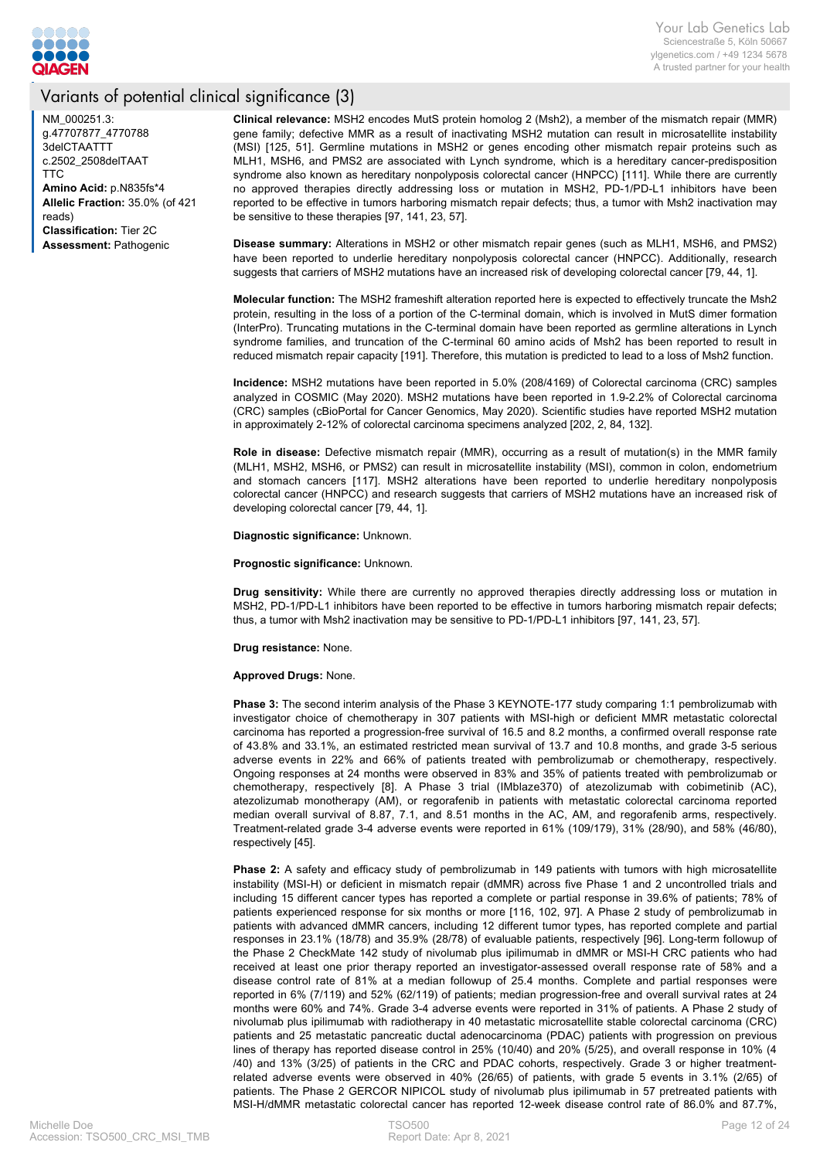

NM\_000251.3: g.47707877\_4770788 3delCTAATTT c.2502\_2508delTAAT TTC **Amino Acid:** p.N835fs\*4 **Allelic Fraction:** 35.0% (of 421 reads) **Classification:** Tier 2C **Assessment:** Pathogenic

**Clinical relevance:** MSH2 encodes MutS protein homolog 2 (Msh2), a member of the mismatch repair (MMR) gene family; defective MMR as a result of inactivating MSH2 mutation can result in microsatellite instability (MSI) [125, 51]. Germline mutations in MSH2 or genes encoding other mismatch repair proteins such as MLH1, MSH6, and PMS2 are associated with Lynch syndrome, which is a hereditary cancer-predisposition syndrome also known as hereditary nonpolyposis colorectal cancer (HNPCC) [111]. While there are currently no approved therapies directly addressing loss or mutation in MSH2, PD-1/PD-L1 inhibitors have been reported to be effective in tumors harboring mismatch repair defects; thus, a tumor with Msh2 inactivation may be sensitive to these therapies [97, 141, 23, 57].

**Disease summary:** Alterations in MSH2 or other mismatch repair genes (such as MLH1, MSH6, and PMS2) have been reported to underlie hereditary nonpolyposis colorectal cancer (HNPCC). Additionally, research suggests that carriers of MSH2 mutations have an increased risk of developing colorectal cancer [79, 44, 1].

**Molecular function:** The MSH2 frameshift alteration reported here is expected to effectively truncate the Msh2 protein, resulting in the loss of a portion of the C-terminal domain, which is involved in MutS dimer formation (InterPro). Truncating mutations in the C-terminal domain have been reported as germline alterations in Lynch syndrome families, and truncation of the C-terminal 60 amino acids of Msh2 has been reported to result in reduced mismatch repair capacity [191]. Therefore, this mutation is predicted to lead to a loss of Msh2 function.

**Incidence:** MSH2 mutations have been reported in 5.0% (208/4169) of Colorectal carcinoma (CRC) samples analyzed in COSMIC (May 2020). MSH2 mutations have been reported in 1.9-2.2% of Colorectal carcinoma (CRC) samples (cBioPortal for Cancer Genomics, May 2020). Scientific studies have reported MSH2 mutation in approximately 2-12% of colorectal carcinoma specimens analyzed [202, 2, 84, 132].

**Role in disease:** Defective mismatch repair (MMR), occurring as a result of mutation(s) in the MMR family (MLH1, MSH2, MSH6, or PMS2) can result in microsatellite instability (MSI), common in colon, endometrium and stomach cancers [117]. MSH2 alterations have been reported to underlie hereditary nonpolyposis colorectal cancer (HNPCC) and research suggests that carriers of MSH2 mutations have an increased risk of developing colorectal cancer [79, 44, 1].

**Diagnostic significance:** Unknown.

**Prognostic significance:** Unknown.

**Drug sensitivity:** While there are currently no approved therapies directly addressing loss or mutation in MSH2, PD-1/PD-L1 inhibitors have been reported to be effective in tumors harboring mismatch repair defects; thus, a tumor with Msh2 inactivation may be sensitive to PD-1/PD-L1 inhibitors [97, 141, 23, 57].

**Drug resistance:** None.

#### **Approved Drugs:** None.

**Phase 3:** The second interim analysis of the Phase 3 KEYNOTE-177 study comparing 1:1 pembrolizumab with investigator choice of chemotherapy in 307 patients with MSI-high or deficient MMR metastatic colorectal carcinoma has reported a progression-free survival of 16.5 and 8.2 months, a confirmed overall response rate of 43.8% and 33.1%, an estimated restricted mean survival of 13.7 and 10.8 months, and grade 3-5 serious adverse events in 22% and 66% of patients treated with pembrolizumab or chemotherapy, respectively. Ongoing responses at 24 months were observed in 83% and 35% of patients treated with pembrolizumab or chemotherapy, respectively [8]. A Phase 3 trial (IMblaze370) of atezolizumab with cobimetinib (AC), atezolizumab monotherapy (AM), or regorafenib in patients with metastatic colorectal carcinoma reported median overall survival of 8.87, 7.1, and 8.51 months in the AC, AM, and regorafenib arms, respectively. Treatment-related grade 3-4 adverse events were reported in 61% (109/179), 31% (28/90), and 58% (46/80), respectively [45].

**Phase 2:** A safety and efficacy study of pembrolizumab in 149 patients with tumors with high microsatellite instability (MSI-H) or deficient in mismatch repair (dMMR) across five Phase 1 and 2 uncontrolled trials and including 15 different cancer types has reported a complete or partial response in 39.6% of patients; 78% of patients experienced response for six months or more [116, 102, 97]. A Phase 2 study of pembrolizumab in patients with advanced dMMR cancers, including 12 different tumor types, has reported complete and partial responses in 23.1% (18/78) and 35.9% (28/78) of evaluable patients, respectively [96]. Long-term followup of the Phase 2 CheckMate 142 study of nivolumab plus ipilimumab in dMMR or MSI-H CRC patients who had received at least one prior therapy reported an investigator-assessed overall response rate of 58% and a disease control rate of 81% at a median followup of 25.4 months. Complete and partial responses were reported in 6% (7/119) and 52% (62/119) of patients; median progression-free and overall survival rates at 24 months were 60% and 74%. Grade 3-4 adverse events were reported in 31% of patients. A Phase 2 study of nivolumab plus ipilimumab with radiotherapy in 40 metastatic microsatellite stable colorectal carcinoma (CRC) patients and 25 metastatic pancreatic ductal adenocarcinoma (PDAC) patients with progression on previous lines of therapy has reported disease control in 25% (10/40) and 20% (5/25), and overall response in 10% (4 /40) and 13% (3/25) of patients in the CRC and PDAC cohorts, respectively. Grade 3 or higher treatmentrelated adverse events were observed in 40% (26/65) of patients, with grade 5 events in 3.1% (2/65) of patients. The Phase 2 GERCOR NIPICOL study of nivolumab plus ipilimumab in 57 pretreated patients with MSI-H/dMMR metastatic colorectal cancer has reported 12-week disease control rate of 86.0% and 87.7%,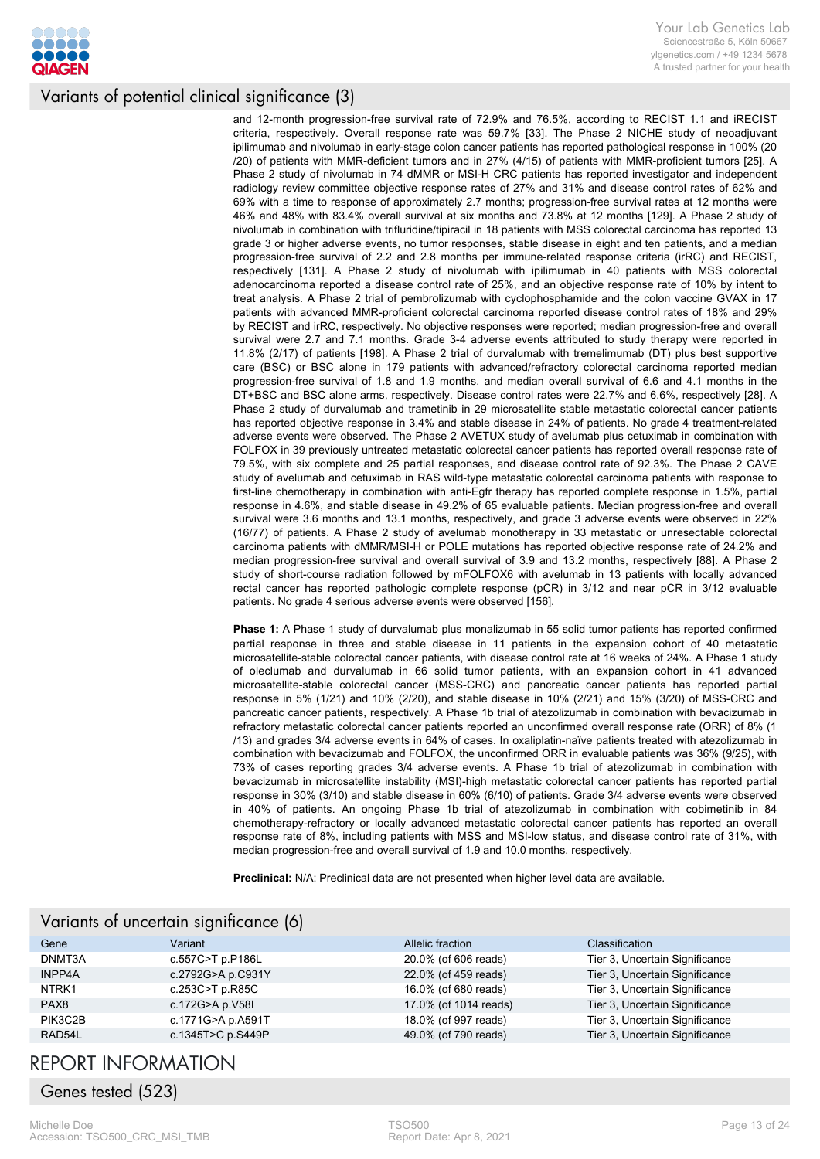

and 12-month progression-free survival rate of 72.9% and 76.5%, according to RECIST 1.1 and iRECIST criteria, respectively. Overall response rate was 59.7% [33]. The Phase 2 NICHE study of neoadjuvant ipilimumab and nivolumab in early-stage colon cancer patients has reported pathological response in 100% (20 /20) of patients with MMR-deficient tumors and in 27% (4/15) of patients with MMR-proficient tumors [25]. A Phase 2 study of nivolumab in 74 dMMR or MSI-H CRC patients has reported investigator and independent radiology review committee objective response rates of 27% and 31% and disease control rates of 62% and 69% with a time to response of approximately 2.7 months; progression-free survival rates at 12 months were 46% and 48% with 83.4% overall survival at six months and 73.8% at 12 months [129]. A Phase 2 study of nivolumab in combination with trifluridine/tipiracil in 18 patients with MSS colorectal carcinoma has reported 13 grade 3 or higher adverse events, no tumor responses, stable disease in eight and ten patients, and a median progression-free survival of 2.2 and 2.8 months per immune-related response criteria (irRC) and RECIST, respectively [131]. A Phase 2 study of nivolumab with ipilimumab in 40 patients with MSS colorectal adenocarcinoma reported a disease control rate of 25%, and an objective response rate of 10% by intent to treat analysis. A Phase 2 trial of pembrolizumab with cyclophosphamide and the colon vaccine GVAX in 17 patients with advanced MMR-proficient colorectal carcinoma reported disease control rates of 18% and 29% by RECIST and irRC, respectively. No objective responses were reported; median progression-free and overall survival were 2.7 and 7.1 months. Grade 3-4 adverse events attributed to study therapy were reported in 11.8% (2/17) of patients [198]. A Phase 2 trial of durvalumab with tremelimumab (DT) plus best supportive care (BSC) or BSC alone in 179 patients with advanced/refractory colorectal carcinoma reported median progression-free survival of 1.8 and 1.9 months, and median overall survival of 6.6 and 4.1 months in the DT+BSC and BSC alone arms, respectively. Disease control rates were 22.7% and 6.6%, respectively [28]. A Phase 2 study of durvalumab and trametinib in 29 microsatellite stable metastatic colorectal cancer patients has reported objective response in 3.4% and stable disease in 24% of patients. No grade 4 treatment-related adverse events were observed. The Phase 2 AVETUX study of avelumab plus cetuximab in combination with FOLFOX in 39 previously untreated metastatic colorectal cancer patients has reported overall response rate of 79.5%, with six complete and 25 partial responses, and disease control rate of 92.3%. The Phase 2 CAVE study of avelumab and cetuximab in RAS wild-type metastatic colorectal carcinoma patients with response to first-line chemotherapy in combination with anti-Egfr therapy has reported complete response in 1.5%, partial response in 4.6%, and stable disease in 49.2% of 65 evaluable patients. Median progression-free and overall survival were 3.6 months and 13.1 months, respectively, and grade 3 adverse events were observed in 22% (16/77) of patients. A Phase 2 study of avelumab monotherapy in 33 metastatic or unresectable colorectal carcinoma patients with dMMR/MSI-H or POLE mutations has reported objective response rate of 24.2% and median progression-free survival and overall survival of 3.9 and 13.2 months, respectively [88]. A Phase 2 study of short-course radiation followed by mFOLFOX6 with avelumab in 13 patients with locally advanced rectal cancer has reported pathologic complete response (pCR) in 3/12 and near pCR in 3/12 evaluable patients. No grade 4 serious adverse events were observed [156].

**Phase 1:** A Phase 1 study of durvalumab plus monalizumab in 55 solid tumor patients has reported confirmed partial response in three and stable disease in 11 patients in the expansion cohort of 40 metastatic microsatellite-stable colorectal cancer patients, with disease control rate at 16 weeks of 24%. A Phase 1 study of oleclumab and durvalumab in 66 solid tumor patients, with an expansion cohort in 41 advanced microsatellite-stable colorectal cancer (MSS-CRC) and pancreatic cancer patients has reported partial response in 5% (1/21) and 10% (2/20), and stable disease in 10% (2/21) and 15% (3/20) of MSS-CRC and pancreatic cancer patients, respectively. A Phase 1b trial of atezolizumab in combination with bevacizumab in refractory metastatic colorectal cancer patients reported an unconfirmed overall response rate (ORR) of 8% (1 /13) and grades 3/4 adverse events in 64% of cases. In oxaliplatin-naïve patients treated with atezolizumab in combination with bevacizumab and FOLFOX, the unconfirmed ORR in evaluable patients was 36% (9/25), with 73% of cases reporting grades 3/4 adverse events. A Phase 1b trial of atezolizumab in combination with bevacizumab in microsatellite instability (MSI)-high metastatic colorectal cancer patients has reported partial response in 30% (3/10) and stable disease in 60% (6/10) of patients. Grade 3/4 adverse events were observed in 40% of patients. An ongoing Phase 1b trial of atezolizumab in combination with cobimetinib in 84 chemotherapy-refractory or locally advanced metastatic colorectal cancer patients has reported an overall response rate of 8%, including patients with MSS and MSI-low status, and disease control rate of 31%, with median progression-free and overall survival of 1.9 and 10.0 months, respectively.

**Preclinical:** N/A: Preclinical data are not presented when higher level data are available.

| Variants of uncertain significance (6) |                   |                       |                                |
|----------------------------------------|-------------------|-----------------------|--------------------------------|
| Gene                                   | Variant           | Allelic fraction      | <b>Classification</b>          |
| DNMT3A                                 | c.557C>T p.P186L  | 20.0% (of 606 reads)  | Tier 3, Uncertain Significance |
| <b>INPP4A</b>                          | c.2792G>A p.C931Y | 22.0% (of 459 reads)  | Tier 3, Uncertain Significance |
| NTRK <sub>1</sub>                      | c.253C>T p.R85C   | 16.0% (of 680 reads)  | Tier 3, Uncertain Significance |
| PAX <sub>8</sub>                       | c.172G>A p.V58I   | 17.0% (of 1014 reads) | Tier 3, Uncertain Significance |
| PIK3C2B                                | c.1771G>A p.A591T | 18.0% (of 997 reads)  | Tier 3, Uncertain Significance |
| RAD54L                                 | c.1345T>C p.S449P | 49.0% (of 790 reads)  | Tier 3, Uncertain Significance |

# REPORT INFORMATION

Genes tested (523)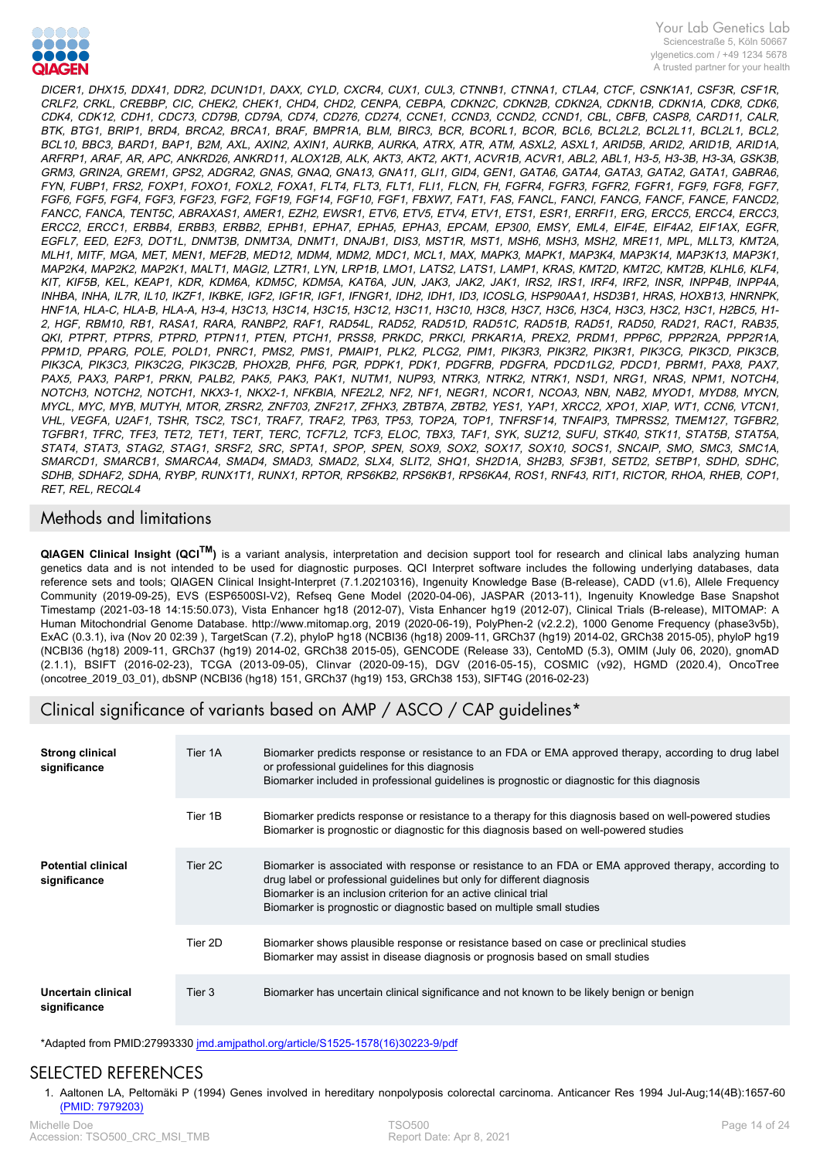

DICER1, DHX15, DDX41, DDR2, DCUN1D1, DAXX, CYLD, CXCR4, CUX1, CUL3, CTNNB1, CTNNA1, CTLA4, CTCF, CSNK1A1, CSF3R, CSF1R, CRLF2, CRKL, CREBBP, CIC, CHEK2, CHEK1, CHD4, CHD2, CENPA, CEBPA, CDKN2C, CDKN2B, CDKN2A, CDKN1B, CDKN1A, CDK8, CDK6, CDK4, CDK12, CDH1, CDC73, CD79B, CD79A, CD74, CD276, CD274, CCNE1, CCND3, CCND2, CCND1, CBL, CBFB, CASP8, CARD11, CALR, BTK, BTG1, BRIP1, BRD4, BRCA2, BRCA1, BRAF, BMPR1A, BLM, BIRC3, BCR, BCORL1, BCOR, BCL6, BCL2L2, BCL2L11, BCL2L1, BCL2, BCL10, BBC3, BARD1, BAP1, B2M, AXL, AXIN2, AXIN1, AURKB, AURKA, ATRX, ATR, ATM, ASXL2, ASXL1, ARID5B, ARID2, ARID1B, ARID1A, ARFRP1, ARAF, AR, APC, ANKRD26, ANKRD11, ALOX12B, ALK, AKT3, AKT2, AKT1, ACVR1B, ACVR1, ABL2, ABL1, H3-5, H3-3B, H3-3A, GSK3B, GRM3, GRIN2A, GREM1, GPS2, ADGRA2, GNAS, GNAQ, GNA13, GNA11, GLI1, GID4, GEN1, GATA6, GATA4, GATA3, GATA2, GATA1, GABRA6, FYN, FUBP1, FRS2, FOXP1, FOXO1, FOXL2, FOXA1, FLT4, FLT3, FLT1, FLI1, FLCN, FH, FGFR4, FGFR3, FGFR2, FGFR1, FGF9, FGF8, FGF7, FGF6, FGF5, FGF4, FGF3, FGF23, FGF2, FGF19, FGF14, FGF10, FGF1, FBXW7, FAT1, FAS, FANCL, FANCI, FANCG, FANCF, FANCE, FANCD2, FANCC, FANCA, TENT5C, ABRAXAS1, AMER1, EZH2, EWSR1, ETV6, ETV5, ETV4, ETV1, ETS1, ESR1, ERRFI1, ERG, ERCC5, ERCC4, ERCC3, ERCC2, ERCC1, ERBB4, ERBB3, ERBB2, EPHB1, EPHA7, EPHA5, EPHA3, EPCAM, EP300, EMSY, EML4, EIF4E, EIF4A2, EIF1AX, EGFR, EGFL7, EED, E2F3, DOT1L, DNMT3B, DNMT3A, DNMT1, DNAJB1, DIS3, MST1R, MST1, MSH6, MSH3, MSH2, MRE11, MPL, MLLT3, KMT2A, MLH1, MITF, MGA, MET, MEN1, MEF2B, MED12, MDM4, MDM2, MDC1, MCL1, MAX, MAPK3, MAPK1, MAP3K4, MAP3K14, MAP3K13, MAP3K1, MAP2K4, MAP2K2, MAP2K1, MALT1, MAGI2, LZTR1, LYN, LRP1B, LMO1, LATS2, LATS1, LAMP1, KRAS, KMT2D, KMT2C, KMT2B, KLHL6, KLF4, KIT, KIF5B, KEL, KEAP1, KDR, KDM6A, KDM5C, KDM5A, KAT6A, JUN, JAK3, JAK2, JAK1, IRS2, IRS1, IRF4, IRF2, INSR, INPP4B, INPP4A, INHBA, INHA, IL7R, IL10, IKZF1, IKBKE, IGF2, IGF1R, IGF1, IFNGR1, IDH2, IDH1, ID3, ICOSLG, HSP90AA1, HSD3B1, HRAS, HOXB13, HNRNPK, HNF1A, HLA-C, HLA-B, HLA-A, H3-4, H3C13, H3C14, H3C15, H3C12, H3C11, H3C10, H3C8, H3C7, H3C6, H3C4, H3C3, H3C2, H3C1, H2BC5, H1- 2, HGF, RBM10, RB1, RASA1, RARA, RANBP2, RAF1, RAD54L, RAD52, RAD51D, RAD51C, RAD51B, RAD51, RAD50, RAD21, RAC1, RAB35, QKI, PTPRT, PTPRS, PTPRD, PTPN11, PTEN, PTCH1, PRSS8, PRKDC, PRKCI, PRKAR1A, PREX2, PRDM1, PPP6C, PPP2R2A, PPP2R1A, PPM1D, PPARG, POLE, POLD1, PNRC1, PMS2, PMS1, PMAIP1, PLK2, PLCG2, PIM1, PIK3R3, PIK3R2, PIK3R1, PIK3CG, PIK3CD, PIK3CB, PIK3CA, PIK3C3, PIK3C2G, PIK3C2B, PHOX2B, PHF6, PGR, PDPK1, PDK1, PDGFRB, PDGFRA, PDCD1LG2, PDCD1, PBRM1, PAX8, PAX7, PAX5, PAX3, PARP1, PRKN, PALB2, PAK5, PAK3, PAK1, NUTM1, NUP93, NTRK3, NTRK2, NTRK1, NSD1, NRG1, NRAS, NPM1, NOTCH4, NOTCH3, NOTCH2, NOTCH1, NKX3-1, NKX2-1, NFKBIA, NFE2L2, NF2, NF1, NEGR1, NCOR1, NCOA3, NBN, NAB2, MYOD1, MYD88, MYCN, MYCL, MYC, MYB, MUTYH, MTOR, ZRSR2, ZNF703, ZNF217, ZFHX3, ZBTB7A, ZBTB2, YES1, YAP1, XRCC2, XPO1, XIAP, WT1, CCN6, VTCN1, VHL, VEGFA, U2AF1, TSHR, TSC2, TSC1, TRAF7, TRAF2, TP63, TP53, TOP2A, TOP1, TNFRSF14, TNFAIP3, TMPRSS2, TMEM127, TGFBR2, TGFBR1, TFRC, TFE3, TET2, TET1, TERT, TERC, TCF7L2, TCF3, ELOC, TBX3, TAF1, SYK, SUZ12, SUFU, STK40, STK11, STAT5B, STAT5A, STAT4, STAT3, STAG2, STAG1, SRSF2, SRC, SPTA1, SPOP, SPEN, SOX9, SOX2, SOX17, SOX10, SOCS1, SNCAIP, SMO, SMC3, SMC1A, SMARCD1, SMARCB1, SMARCA4, SMAD4, SMAD3, SMAD2, SLX4, SLIT2, SHQ1, SH2D1A, SH2B3, SF3B1, SETD2, SETBP1, SDHD, SDHC, SDHB, SDHAF2, SDHA, RYBP, RUNX1T1, RUNX1, RPTOR, RPS6KB2, RPS6KB1, RPS6KA4, ROS1, RNF43, RIT1, RICTOR, RHOA, RHEB, COP1, RET, REL, RECQL4

## Methods and limitations

**QIAGEN Clinical Insight (QCI<sup>TM</sup>)** is a variant analysis, interpretation and decision support tool for research and clinical labs analyzing human genetics data and is not intended to be used for diagnostic purposes. QCI Interpret software includes the following underlying databases, data reference sets and tools; QIAGEN Clinical Insight-Interpret (7.1.20210316), Ingenuity Knowledge Base (B-release), CADD (v1.6), Allele Frequency Community (2019-09-25), EVS (ESP6500SI-V2), Refseq Gene Model (2020-04-06), JASPAR (2013-11), Ingenuity Knowledge Base Snapshot Timestamp (2021-03-18 14:15:50.073), Vista Enhancer hg18 (2012-07), Vista Enhancer hg19 (2012-07), Clinical Trials (B-release), MITOMAP: A Human Mitochondrial Genome Database. http://www.mitomap.org, 2019 (2020-06-19), PolyPhen-2 (v2.2.2), 1000 Genome Frequency (phase3v5b), ExAC (0.3.1), iva (Nov 20 02:39 ), TargetScan (7.2), phyloP hg18 (NCBI36 (hg18) 2009-11, GRCh37 (hg19) 2014-02, GRCh38 2015-05), phyloP hg19 (NCBI36 (hg18) 2009-11, GRCh37 (hg19) 2014-02, GRCh38 2015-05), GENCODE (Release 33), CentoMD (5.3), OMIM (July 06, 2020), gnomAD (2.1.1), BSIFT (2016-02-23), TCGA (2013-09-05), Clinvar (2020-09-15), DGV (2016-05-15), COSMIC (v92), HGMD (2020.4), OncoTree (oncotree\_2019\_03\_01), dbSNP (NCBI36 (hg18) 151, GRCh37 (hg19) 153, GRCh38 153), SIFT4G (2016-02-23)

# Clinical significance of variants based on AMP / ASCO / CAP guidelines\*

| <b>Strong clinical</b><br>significance    | Tier 1A | Biomarker predicts response or resistance to an FDA or EMA approved therapy, according to drug label<br>or professional quidelines for this diagnosis<br>Biomarker included in professional guidelines is prognostic or diagnostic for this diagnosis                                                                      |
|-------------------------------------------|---------|----------------------------------------------------------------------------------------------------------------------------------------------------------------------------------------------------------------------------------------------------------------------------------------------------------------------------|
|                                           | Tier 1B | Biomarker predicts response or resistance to a therapy for this diagnosis based on well-powered studies<br>Biomarker is prognostic or diagnostic for this diagnosis based on well-powered studies                                                                                                                          |
| <b>Potential clinical</b><br>significance | Tier 2C | Biomarker is associated with response or resistance to an FDA or EMA approved therapy, according to<br>drug label or professional guidelines but only for different diagnosis<br>Biomarker is an inclusion criterion for an active clinical trial<br>Biomarker is prognostic or diagnostic based on multiple small studies |
|                                           | Tier 2D | Biomarker shows plausible response or resistance based on case or preclinical studies<br>Biomarker may assist in disease diagnosis or prognosis based on small studies                                                                                                                                                     |
| Uncertain clinical<br>significance        | Tier 3  | Biomarker has uncertain clinical significance and not known to be likely benign or benign                                                                                                                                                                                                                                  |

\*Adapted from PMID:27993330 jmd.amjpathol.org/article/S1525-1578(16)30223-9/pdf

# SELECTED REFERENCES

1. [Aaltonen LA, Peltomäki P \(1994\) Genes involved in hereditary nonpolyposis colorectal carcinoma. Anticancer Res 1994 Jul-Aug;14\(4B\):1657-60](https://www.ncbi.nlm.nih.gov/pubmed/7979203?dopt=Abstract)  [\(PMID: 7979203\)](https://www.ncbi.nlm.nih.gov/pubmed/7979203?dopt=Abstract)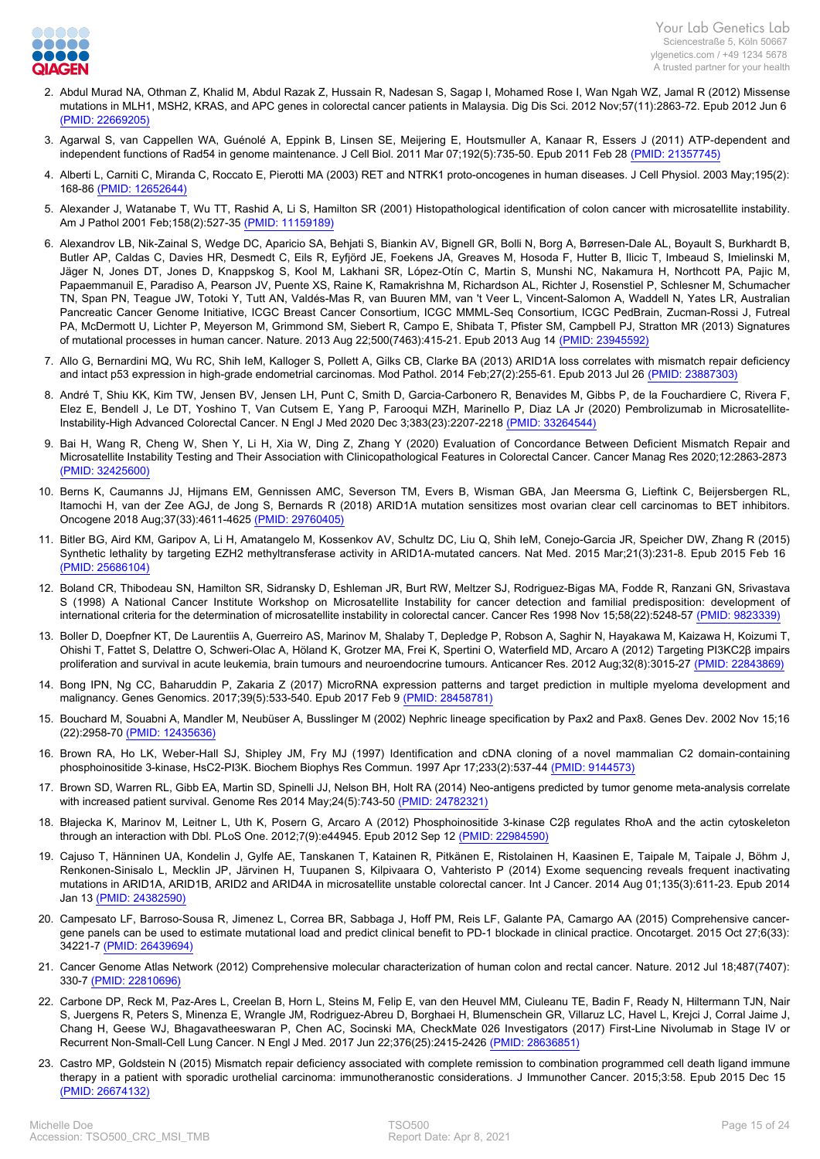

- 2. [Abdul Murad NA, Othman Z, Khalid M, Abdul Razak Z, Hussain R, Nadesan S, Sagap I, Mohamed Rose I, Wan Ngah WZ, Jamal R \(2012\) Missense](https://www.ncbi.nlm.nih.gov/pubmed/22669205?dopt=Abstract) [mutations in MLH1, MSH2, KRAS, and APC genes in colorectal cancer patients in Malaysia. Dig Dis Sci. 2012 Nov;57\(11\):2863-72. Epub 2012 Jun 6](https://www.ncbi.nlm.nih.gov/pubmed/22669205?dopt=Abstract)  [\(PMID: 22669205\)](https://www.ncbi.nlm.nih.gov/pubmed/22669205?dopt=Abstract)
- 3. [Agarwal S, van Cappellen WA, Guénolé A, Eppink B, Linsen SE, Meijering E, Houtsmuller A, Kanaar R, Essers J \(2011\) ATP-dependent and](https://www.ncbi.nlm.nih.gov/pubmed/21357745?dopt=Abstract) [independent functions of Rad54 in genome maintenance. J Cell Biol. 2011 Mar 07;192\(5\):735-50. Epub 2011 Feb 28 \(PMID: 21357745\)](https://www.ncbi.nlm.nih.gov/pubmed/21357745?dopt=Abstract)
- 4. [Alberti L, Carniti C, Miranda C, Roccato E, Pierotti MA \(2003\) RET and NTRK1 proto-oncogenes in human diseases. J Cell Physiol. 2003 May;195\(2\):](https://www.ncbi.nlm.nih.gov/pubmed/12652644?dopt=Abstract) [168-86 \(PMID: 12652644\)](https://www.ncbi.nlm.nih.gov/pubmed/12652644?dopt=Abstract)
- 5. [Alexander J, Watanabe T, Wu TT, Rashid A, Li S, Hamilton SR \(2001\) Histopathological identification of colon cancer with microsatellite instability.](https://www.ncbi.nlm.nih.gov/pubmed/11159189?dopt=Abstract) [Am J Pathol 2001 Feb;158\(2\):527-35 \(PMID: 11159189\)](https://www.ncbi.nlm.nih.gov/pubmed/11159189?dopt=Abstract)
- 6. [Alexandrov LB, Nik-Zainal S, Wedge DC, Aparicio SA, Behjati S, Biankin AV, Bignell GR, Bolli N, Borg A, Børresen-Dale AL, Boyault S, Burkhardt B,](https://www.ncbi.nlm.nih.gov/pubmed/23945592?dopt=Abstract) [Butler AP, Caldas C, Davies HR, Desmedt C, Eils R, Eyfjörd JE, Foekens JA, Greaves M, Hosoda F, Hutter B, Ilicic T, Imbeaud S, Imielinski M,](https://www.ncbi.nlm.nih.gov/pubmed/23945592?dopt=Abstract) [Jäger N, Jones DT, Jones D, Knappskog S, Kool M, Lakhani SR, López-Otín C, Martin S, Munshi NC, Nakamura H, Northcott PA, Pajic M,](https://www.ncbi.nlm.nih.gov/pubmed/23945592?dopt=Abstract) [Papaemmanuil E, Paradiso A, Pearson JV, Puente XS, Raine K, Ramakrishna M, Richardson AL, Richter J, Rosenstiel P, Schlesner M, Schumacher](https://www.ncbi.nlm.nih.gov/pubmed/23945592?dopt=Abstract) [TN, Span PN, Teague JW, Totoki Y, Tutt AN, Valdés-Mas R, van Buuren MM, van 't Veer L, Vincent-Salomon A, Waddell N, Yates LR, Australian](https://www.ncbi.nlm.nih.gov/pubmed/23945592?dopt=Abstract) [Pancreatic Cancer Genome Initiative, ICGC Breast Cancer Consortium, ICGC MMML-Seq Consortium, ICGC PedBrain, Zucman-Rossi J, Futreal](https://www.ncbi.nlm.nih.gov/pubmed/23945592?dopt=Abstract) [PA, McDermott U, Lichter P, Meyerson M, Grimmond SM, Siebert R, Campo E, Shibata T, Pfister SM, Campbell PJ, Stratton MR \(2013\) Signatures](https://www.ncbi.nlm.nih.gov/pubmed/23945592?dopt=Abstract) [of mutational processes in human cancer. Nature. 2013 Aug 22;500\(7463\):415-21. Epub 2013 Aug 14 \(PMID: 23945592\)](https://www.ncbi.nlm.nih.gov/pubmed/23945592?dopt=Abstract)
- 7. [Allo G, Bernardini MQ, Wu RC, Shih IeM, Kalloger S, Pollett A, Gilks CB, Clarke BA \(2013\) ARID1A loss correlates with mismatch repair deficiency](https://www.ncbi.nlm.nih.gov/pubmed/23887303?dopt=Abstract) [and intact p53 expression in high-grade endometrial carcinomas. Mod Pathol. 2014 Feb;27\(2\):255-61. Epub 2013 Jul 26 \(PMID: 23887303\)](https://www.ncbi.nlm.nih.gov/pubmed/23887303?dopt=Abstract)
- 8. [André T, Shiu KK, Kim TW, Jensen BV, Jensen LH, Punt C, Smith D, Garcia-Carbonero R, Benavides M, Gibbs P, de la Fouchardiere C, Rivera F,](https://www.ncbi.nlm.nih.gov/pubmed/33264544?dopt=Abstract) [Elez E, Bendell J, Le DT, Yoshino T, Van Cutsem E, Yang P, Farooqui MZH, Marinello P, Diaz LA Jr \(2020\) Pembrolizumab in Microsatellite-](https://www.ncbi.nlm.nih.gov/pubmed/33264544?dopt=Abstract)[Instability-High Advanced Colorectal Cancer. N Engl J Med 2020 Dec 3;383\(23\):2207-2218 \(PMID: 33264544\)](https://www.ncbi.nlm.nih.gov/pubmed/33264544?dopt=Abstract)
- 9. [Bai H, Wang R, Cheng W, Shen Y, Li H, Xia W, Ding Z, Zhang Y \(2020\) Evaluation of Concordance Between Deficient Mismatch Repair and](https://www.ncbi.nlm.nih.gov/pubmed/32425600?dopt=Abstract) [Microsatellite Instability Testing and Their Association with Clinicopathological Features in Colorectal Cancer. Cancer Manag Res 2020;12:2863-2873](https://www.ncbi.nlm.nih.gov/pubmed/32425600?dopt=Abstract)  [\(PMID: 32425600\)](https://www.ncbi.nlm.nih.gov/pubmed/32425600?dopt=Abstract)
- 10. [Berns K, Caumanns JJ, Hijmans EM, Gennissen AMC, Severson TM, Evers B, Wisman GBA, Jan Meersma G, Lieftink C, Beijersbergen RL,](https://www.ncbi.nlm.nih.gov/pubmed/29760405?dopt=Abstract) [Itamochi H, van der Zee AGJ, de Jong S, Bernards R \(2018\) ARID1A mutation sensitizes most ovarian clear cell carcinomas to BET inhibitors.](https://www.ncbi.nlm.nih.gov/pubmed/29760405?dopt=Abstract) [Oncogene 2018 Aug;37\(33\):4611-4625 \(PMID: 29760405\)](https://www.ncbi.nlm.nih.gov/pubmed/29760405?dopt=Abstract)
- 11. [Bitler BG, Aird KM, Garipov A, Li H, Amatangelo M, Kossenkov AV, Schultz DC, Liu Q, Shih IeM, Conejo-Garcia JR, Speicher DW, Zhang R \(2015\)](https://www.ncbi.nlm.nih.gov/pubmed/25686104?dopt=Abstract) [Synthetic lethality by targeting EZH2 methyltransferase activity in ARID1A-mutated cancers. Nat Med. 2015 Mar;21\(3\):231-8. Epub 2015 Feb 16](https://www.ncbi.nlm.nih.gov/pubmed/25686104?dopt=Abstract)  [\(PMID: 25686104\)](https://www.ncbi.nlm.nih.gov/pubmed/25686104?dopt=Abstract)
- 12. [Boland CR, Thibodeau SN, Hamilton SR, Sidransky D, Eshleman JR, Burt RW, Meltzer SJ, Rodriguez-Bigas MA, Fodde R, Ranzani GN, Srivastava](https://www.ncbi.nlm.nih.gov/pubmed/9823339?dopt=Abstract) [S \(1998\) A National Cancer Institute Workshop on Microsatellite Instability for cancer detection and familial predisposition: development of](https://www.ncbi.nlm.nih.gov/pubmed/9823339?dopt=Abstract) [international criteria for the determination of microsatellite instability in colorectal cancer. Cancer Res 1998 Nov 15;58\(22\):5248-57 \(PMID: 9823339\)](https://www.ncbi.nlm.nih.gov/pubmed/9823339?dopt=Abstract)
- 13. [Boller D, Doepfner KT, De Laurentiis A, Guerreiro AS, Marinov M, Shalaby T, Depledge P, Robson A, Saghir N, Hayakawa M, Kaizawa H, Koizumi T,](https://www.ncbi.nlm.nih.gov/pubmed/22843869?dopt=Abstract) [Ohishi T, Fattet S, Delattre O, Schweri-Olac A, Höland K, Grotzer MA, Frei K, Spertini O, Waterfield MD, Arcaro A \(2012\) Targeting PI3KC2β impairs](https://www.ncbi.nlm.nih.gov/pubmed/22843869?dopt=Abstract) [proliferation and survival in acute leukemia, brain tumours and neuroendocrine tumours. Anticancer Res. 2012 Aug;32\(8\):3015-27 \(PMID: 22843869\)](https://www.ncbi.nlm.nih.gov/pubmed/22843869?dopt=Abstract)
- 14. [Bong IPN, Ng CC, Baharuddin P, Zakaria Z \(2017\) MicroRNA expression patterns and target prediction in multiple myeloma development and](https://www.ncbi.nlm.nih.gov/pubmed/28458781?dopt=Abstract) [malignancy. Genes Genomics. 2017;39\(5\):533-540. Epub 2017 Feb 9 \(PMID: 28458781\)](https://www.ncbi.nlm.nih.gov/pubmed/28458781?dopt=Abstract)
- 15. [Bouchard M, Souabni A, Mandler M, Neubüser A, Busslinger M \(2002\) Nephric lineage specification by Pax2 and Pax8. Genes Dev. 2002 Nov 15;16](https://www.ncbi.nlm.nih.gov/pubmed/12435636?dopt=Abstract) [\(22\):2958-70 \(PMID: 12435636\)](https://www.ncbi.nlm.nih.gov/pubmed/12435636?dopt=Abstract)
- 16. [Brown RA, Ho LK, Weber-Hall SJ, Shipley JM, Fry MJ \(1997\) Identification and cDNA cloning of a novel mammalian C2 domain-containing](https://www.ncbi.nlm.nih.gov/pubmed/9144573?dopt=Abstract) [phosphoinositide 3-kinase, HsC2-PI3K. Biochem Biophys Res Commun. 1997 Apr 17;233\(2\):537-44 \(PMID: 9144573\)](https://www.ncbi.nlm.nih.gov/pubmed/9144573?dopt=Abstract)
- 17. [Brown SD, Warren RL, Gibb EA, Martin SD, Spinelli JJ, Nelson BH, Holt RA \(2014\) Neo-antigens predicted by tumor genome meta-analysis correlate](https://www.ncbi.nlm.nih.gov/pubmed/24782321?dopt=Abstract) [with increased patient survival. Genome Res 2014 May;24\(5\):743-50 \(PMID: 24782321\)](https://www.ncbi.nlm.nih.gov/pubmed/24782321?dopt=Abstract)
- 18. [Błajecka K, Marinov M, Leitner L, Uth K, Posern G, Arcaro A \(2012\) Phosphoinositide 3-kinase C2β regulates RhoA and the actin cytoskeleton](https://www.ncbi.nlm.nih.gov/pubmed/22984590?dopt=Abstract) [through an interaction with Dbl. PLoS One. 2012;7\(9\):e44945. Epub 2012 Sep 12 \(PMID: 22984590\)](https://www.ncbi.nlm.nih.gov/pubmed/22984590?dopt=Abstract)
- 19. [Cajuso T, Hänninen UA, Kondelin J, Gylfe AE, Tanskanen T, Katainen R, Pitkänen E, Ristolainen H, Kaasinen E, Taipale M, Taipale J, Böhm J,](https://www.ncbi.nlm.nih.gov/pubmed/24382590?dopt=Abstract) [Renkonen-Sinisalo L, Mecklin JP, Järvinen H, Tuupanen S, Kilpivaara O, Vahteristo P \(2014\) Exome sequencing reveals frequent inactivating](https://www.ncbi.nlm.nih.gov/pubmed/24382590?dopt=Abstract) [mutations in ARID1A, ARID1B, ARID2 and ARID4A in microsatellite unstable colorectal cancer. Int J Cancer. 2014 Aug 01;135\(3\):611-23. Epub 2014](https://www.ncbi.nlm.nih.gov/pubmed/24382590?dopt=Abstract) [Jan 13 \(PMID: 24382590\)](https://www.ncbi.nlm.nih.gov/pubmed/24382590?dopt=Abstract)
- 20. [Campesato LF, Barroso-Sousa R, Jimenez L, Correa BR, Sabbaga J, Hoff PM, Reis LF, Galante PA, Camargo AA \(2015\) Comprehensive cancer](https://www.ncbi.nlm.nih.gov/pubmed/26439694?dopt=Abstract)[gene panels can be used to estimate mutational load and predict clinical benefit to PD-1 blockade in clinical practice. Oncotarget. 2015 Oct 27;6\(33\):](https://www.ncbi.nlm.nih.gov/pubmed/26439694?dopt=Abstract) [34221-7 \(PMID: 26439694\)](https://www.ncbi.nlm.nih.gov/pubmed/26439694?dopt=Abstract)
- 21. [Cancer Genome Atlas Network \(2012\) Comprehensive molecular characterization of human colon and rectal cancer. Nature. 2012 Jul 18;487\(7407\):](https://www.ncbi.nlm.nih.gov/pubmed/22810696?dopt=Abstract) [330-7 \(PMID: 22810696\)](https://www.ncbi.nlm.nih.gov/pubmed/22810696?dopt=Abstract)
- 22. [Carbone DP, Reck M, Paz-Ares L, Creelan B, Horn L, Steins M, Felip E, van den Heuvel MM, Ciuleanu TE, Badin F, Ready N, Hiltermann TJN, Nair](https://www.ncbi.nlm.nih.gov/pubmed/28636851?dopt=Abstract) [S, Juergens R, Peters S, Minenza E, Wrangle JM, Rodriguez-Abreu D, Borghaei H, Blumenschein GR, Villaruz LC, Havel L, Krejci J, Corral Jaime J,](https://www.ncbi.nlm.nih.gov/pubmed/28636851?dopt=Abstract) [Chang H, Geese WJ, Bhagavatheeswaran P, Chen AC, Socinski MA, CheckMate 026 Investigators \(2017\) First-Line Nivolumab in Stage IV or](https://www.ncbi.nlm.nih.gov/pubmed/28636851?dopt=Abstract) [Recurrent Non-Small-Cell Lung Cancer. N Engl J Med. 2017 Jun 22;376\(25\):2415-2426 \(PMID: 28636851\)](https://www.ncbi.nlm.nih.gov/pubmed/28636851?dopt=Abstract)
- 23. [Castro MP, Goldstein N \(2015\) Mismatch repair deficiency associated with complete remission to combination programmed cell death ligand immune](https://www.ncbi.nlm.nih.gov/pubmed/26674132?dopt=Abstract) [therapy in a patient with sporadic urothelial carcinoma: immunotheranostic considerations. J Immunother Cancer. 2015;3:58. Epub 2015 Dec 15](https://www.ncbi.nlm.nih.gov/pubmed/26674132?dopt=Abstract)  [\(PMID: 26674132\)](https://www.ncbi.nlm.nih.gov/pubmed/26674132?dopt=Abstract)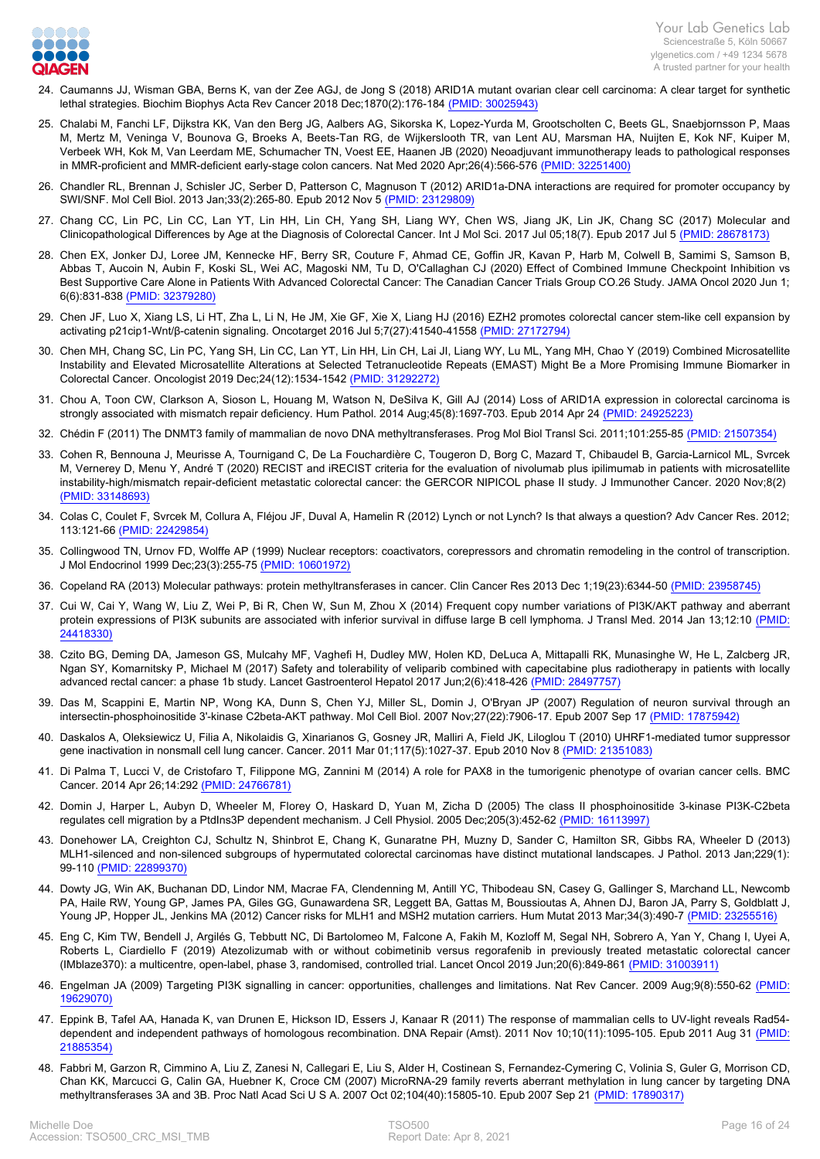

- 24. [Caumanns JJ, Wisman GBA, Berns K, van der Zee AGJ, de Jong S \(2018\) ARID1A mutant ovarian clear cell carcinoma: A clear target for synthetic](https://www.ncbi.nlm.nih.gov/pubmed/30025943?dopt=Abstract) [lethal strategies. Biochim Biophys Acta Rev Cancer 2018 Dec;1870\(2\):176-184 \(PMID: 30025943\)](https://www.ncbi.nlm.nih.gov/pubmed/30025943?dopt=Abstract)
- 25. [Chalabi M, Fanchi LF, Dijkstra KK, Van den Berg JG, Aalbers AG, Sikorska K, Lopez-Yurda M, Grootscholten C, Beets GL, Snaebjornsson P, Maas](https://www.ncbi.nlm.nih.gov/pubmed/32251400?dopt=Abstract) [M, Mertz M, Veninga V, Bounova G, Broeks A, Beets-Tan RG, de Wijkerslooth TR, van Lent AU, Marsman HA, Nuijten E, Kok NF, Kuiper M,](https://www.ncbi.nlm.nih.gov/pubmed/32251400?dopt=Abstract) [Verbeek WH, Kok M, Van Leerdam ME, Schumacher TN, Voest EE, Haanen JB \(2020\) Neoadjuvant immunotherapy leads to pathological responses](https://www.ncbi.nlm.nih.gov/pubmed/32251400?dopt=Abstract) [in MMR-proficient and MMR-deficient early-stage colon cancers. Nat Med 2020 Apr;26\(4\):566-576 \(PMID: 32251400\)](https://www.ncbi.nlm.nih.gov/pubmed/32251400?dopt=Abstract)
- 26. [Chandler RL, Brennan J, Schisler JC, Serber D, Patterson C, Magnuson T \(2012\) ARID1a-DNA interactions are required for promoter occupancy by](https://www.ncbi.nlm.nih.gov/pubmed/23129809?dopt=Abstract) [SWI/SNF. Mol Cell Biol. 2013 Jan;33\(2\):265-80. Epub 2012 Nov 5 \(PMID: 23129809\)](https://www.ncbi.nlm.nih.gov/pubmed/23129809?dopt=Abstract)
- 27. [Chang CC, Lin PC, Lin CC, Lan YT, Lin HH, Lin CH, Yang SH, Liang WY, Chen WS, Jiang JK, Lin JK, Chang SC \(2017\) Molecular and](https://www.ncbi.nlm.nih.gov/pubmed/28678173?dopt=Abstract) [Clinicopathological Differences by Age at the Diagnosis of Colorectal Cancer. Int J Mol Sci. 2017 Jul 05;18\(7\). Epub 2017 Jul 5 \(PMID: 28678173\)](https://www.ncbi.nlm.nih.gov/pubmed/28678173?dopt=Abstract)
- 28. [Chen EX, Jonker DJ, Loree JM, Kennecke HF, Berry SR, Couture F, Ahmad CE, Goffin JR, Kavan P, Harb M, Colwell B, Samimi S, Samson B,](https://www.ncbi.nlm.nih.gov/pubmed/32379280?dopt=Abstract) [Abbas T, Aucoin N, Aubin F, Koski SL, Wei AC, Magoski NM, Tu D, O'Callaghan CJ \(2020\) Effect of Combined Immune Checkpoint Inhibition vs](https://www.ncbi.nlm.nih.gov/pubmed/32379280?dopt=Abstract) [Best Supportive Care Alone in Patients With Advanced Colorectal Cancer: The Canadian Cancer Trials Group CO.26 Study. JAMA Oncol 2020 Jun 1;](https://www.ncbi.nlm.nih.gov/pubmed/32379280?dopt=Abstract) [6\(6\):831-838 \(PMID: 32379280\)](https://www.ncbi.nlm.nih.gov/pubmed/32379280?dopt=Abstract)
- 29. [Chen JF, Luo X, Xiang LS, Li HT, Zha L, Li N, He JM, Xie GF, Xie X, Liang HJ \(2016\) EZH2 promotes colorectal cancer stem-like cell expansion by](https://www.ncbi.nlm.nih.gov/pubmed/27172794?dopt=Abstract) [activating p21cip1-Wnt/β-catenin signaling. Oncotarget 2016 Jul 5;7\(27\):41540-41558 \(PMID: 27172794\)](https://www.ncbi.nlm.nih.gov/pubmed/27172794?dopt=Abstract)
- 30. [Chen MH, Chang SC, Lin PC, Yang SH, Lin CC, Lan YT, Lin HH, Lin CH, Lai JI, Liang WY, Lu ML, Yang MH, Chao Y \(2019\) Combined Microsatellite](https://www.ncbi.nlm.nih.gov/pubmed/31292272?dopt=Abstract) [Instability and Elevated Microsatellite Alterations at Selected Tetranucleotide Repeats \(EMAST\) Might Be a More Promising Immune Biomarker in](https://www.ncbi.nlm.nih.gov/pubmed/31292272?dopt=Abstract) [Colorectal Cancer. Oncologist 2019 Dec;24\(12\):1534-1542 \(PMID: 31292272\)](https://www.ncbi.nlm.nih.gov/pubmed/31292272?dopt=Abstract)
- 31. [Chou A, Toon CW, Clarkson A, Sioson L, Houang M, Watson N, DeSilva K, Gill AJ \(2014\) Loss of ARID1A expression in colorectal carcinoma is](https://www.ncbi.nlm.nih.gov/pubmed/24925223?dopt=Abstract) [strongly associated with mismatch repair deficiency. Hum Pathol. 2014 Aug;45\(8\):1697-703. Epub 2014 Apr 24 \(PMID: 24925223\)](https://www.ncbi.nlm.nih.gov/pubmed/24925223?dopt=Abstract)
- 32. [Chédin F \(2011\) The DNMT3 family of mammalian de novo DNA methyltransferases. Prog Mol Biol Transl Sci. 2011;101:255-85 \(PMID: 21507354\)](https://www.ncbi.nlm.nih.gov/pubmed/21507354?dopt=Abstract)
- 33. [Cohen R, Bennouna J, Meurisse A, Tournigand C, De La Fouchardière C, Tougeron D, Borg C, Mazard T, Chibaudel B, Garcia-Larnicol ML, Svrcek](https://www.ncbi.nlm.nih.gov/pubmed/33148693?dopt=Abstract) [M, Vernerey D, Menu Y, André T \(2020\) RECIST and iRECIST criteria for the evaluation of nivolumab plus ipilimumab in patients with microsatellite](https://www.ncbi.nlm.nih.gov/pubmed/33148693?dopt=Abstract) [instability-high/mismatch repair-deficient metastatic colorectal cancer: the GERCOR NIPICOL phase II study. J Immunother Cancer. 2020 Nov;8\(2\)](https://www.ncbi.nlm.nih.gov/pubmed/33148693?dopt=Abstract)  [\(PMID: 33148693\)](https://www.ncbi.nlm.nih.gov/pubmed/33148693?dopt=Abstract)
- 34. [Colas C, Coulet F, Svrcek M, Collura A, Fléjou JF, Duval A, Hamelin R \(2012\) Lynch or not Lynch? Is that always a question? Adv Cancer Res. 2012;](https://www.ncbi.nlm.nih.gov/pubmed/22429854?dopt=Abstract) [113:121-66 \(PMID: 22429854\)](https://www.ncbi.nlm.nih.gov/pubmed/22429854?dopt=Abstract)
- 35. [Collingwood TN, Urnov FD, Wolffe AP \(1999\) Nuclear receptors: coactivators, corepressors and chromatin remodeling in the control of transcription.](https://www.ncbi.nlm.nih.gov/pubmed/10601972?dopt=Abstract) [J Mol Endocrinol 1999 Dec;23\(3\):255-75 \(PMID: 10601972\)](https://www.ncbi.nlm.nih.gov/pubmed/10601972?dopt=Abstract)
- 36. [Copeland RA \(2013\) Molecular pathways: protein methyltransferases in cancer. Clin Cancer Res 2013 Dec 1;19\(23\):6344-50 \(PMID: 23958745\)](https://www.ncbi.nlm.nih.gov/pubmed/23958745?dopt=Abstract)
- 37. [Cui W, Cai Y, Wang W, Liu Z, Wei P, Bi R, Chen W, Sun M, Zhou X \(2014\) Frequent copy number variations of PI3K/AKT pathway and aberrant](https://www.ncbi.nlm.nih.gov/pubmed/24418330?dopt=Abstract) [protein expressions of PI3K subunits are associated with inferior survival in diffuse large B cell lymphoma. J Transl Med. 2014 Jan 13;12:10 \(PMID:](https://www.ncbi.nlm.nih.gov/pubmed/24418330?dopt=Abstract) [24418330\)](https://www.ncbi.nlm.nih.gov/pubmed/24418330?dopt=Abstract)
- 38. [Czito BG, Deming DA, Jameson GS, Mulcahy MF, Vaghefi H, Dudley MW, Holen KD, DeLuca A, Mittapalli RK, Munasinghe W, He L, Zalcberg JR,](https://www.ncbi.nlm.nih.gov/pubmed/28497757?dopt=Abstract) [Ngan SY, Komarnitsky P, Michael M \(2017\) Safety and tolerability of veliparib combined with capecitabine plus radiotherapy in patients with locally](https://www.ncbi.nlm.nih.gov/pubmed/28497757?dopt=Abstract) [advanced rectal cancer: a phase 1b study. Lancet Gastroenterol Hepatol 2017 Jun;2\(6\):418-426 \(PMID: 28497757\)](https://www.ncbi.nlm.nih.gov/pubmed/28497757?dopt=Abstract)
- 39. [Das M, Scappini E, Martin NP, Wong KA, Dunn S, Chen YJ, Miller SL, Domin J, O'Bryan JP \(2007\) Regulation of neuron survival through an](https://www.ncbi.nlm.nih.gov/pubmed/17875942?dopt=Abstract) [intersectin-phosphoinositide 3'-kinase C2beta-AKT pathway. Mol Cell Biol. 2007 Nov;27\(22\):7906-17. Epub 2007 Sep 17 \(PMID: 17875942\)](https://www.ncbi.nlm.nih.gov/pubmed/17875942?dopt=Abstract)
- 40. [Daskalos A, Oleksiewicz U, Filia A, Nikolaidis G, Xinarianos G, Gosney JR, Malliri A, Field JK, Liloglou T \(2010\) UHRF1-mediated tumor suppressor](https://www.ncbi.nlm.nih.gov/pubmed/21351083?dopt=Abstract) [gene inactivation in nonsmall cell lung cancer. Cancer. 2011 Mar 01;117\(5\):1027-37. Epub 2010 Nov 8 \(PMID: 21351083\)](https://www.ncbi.nlm.nih.gov/pubmed/21351083?dopt=Abstract)
- 41. [Di Palma T, Lucci V, de Cristofaro T, Filippone MG, Zannini M \(2014\) A role for PAX8 in the tumorigenic phenotype of ovarian cancer cells. BMC](https://www.ncbi.nlm.nih.gov/pubmed/24766781?dopt=Abstract) [Cancer. 2014 Apr 26;14:292 \(PMID: 24766781\)](https://www.ncbi.nlm.nih.gov/pubmed/24766781?dopt=Abstract)
- 42. [Domin J, Harper L, Aubyn D, Wheeler M, Florey O, Haskard D, Yuan M, Zicha D \(2005\) The class II phosphoinositide 3-kinase PI3K-C2beta](https://www.ncbi.nlm.nih.gov/pubmed/16113997?dopt=Abstract) [regulates cell migration by a PtdIns3P dependent mechanism. J Cell Physiol. 2005 Dec;205\(3\):452-62 \(PMID: 16113997\)](https://www.ncbi.nlm.nih.gov/pubmed/16113997?dopt=Abstract)
- 43. [Donehower LA, Creighton CJ, Schultz N, Shinbrot E, Chang K, Gunaratne PH, Muzny D, Sander C, Hamilton SR, Gibbs RA, Wheeler D \(2013\)](https://www.ncbi.nlm.nih.gov/pubmed/22899370?dopt=Abstract) [MLH1-silenced and non-silenced subgroups of hypermutated colorectal carcinomas have distinct mutational landscapes. J Pathol. 2013 Jan;229\(1\):](https://www.ncbi.nlm.nih.gov/pubmed/22899370?dopt=Abstract) [99-110 \(PMID: 22899370\)](https://www.ncbi.nlm.nih.gov/pubmed/22899370?dopt=Abstract)
- 44. [Dowty JG, Win AK, Buchanan DD, Lindor NM, Macrae FA, Clendenning M, Antill YC, Thibodeau SN, Casey G, Gallinger S, Marchand LL, Newcomb](https://www.ncbi.nlm.nih.gov/pubmed/23255516?dopt=Abstract) [PA, Haile RW, Young GP, James PA, Giles GG, Gunawardena SR, Leggett BA, Gattas M, Boussioutas A, Ahnen DJ, Baron JA, Parry S, Goldblatt J,](https://www.ncbi.nlm.nih.gov/pubmed/23255516?dopt=Abstract) [Young JP, Hopper JL, Jenkins MA \(2012\) Cancer risks for MLH1 and MSH2 mutation carriers. Hum Mutat 2013 Mar;34\(3\):490-7 \(PMID: 23255516\)](https://www.ncbi.nlm.nih.gov/pubmed/23255516?dopt=Abstract)
- 45. [Eng C, Kim TW, Bendell J, Argilés G, Tebbutt NC, Di Bartolomeo M, Falcone A, Fakih M, Kozloff M, Segal NH, Sobrero A, Yan Y, Chang I, Uyei A,](https://www.ncbi.nlm.nih.gov/pubmed/31003911?dopt=Abstract) [Roberts L, Ciardiello F \(2019\) Atezolizumab with or without cobimetinib versus regorafenib in previously treated metastatic colorectal cancer](https://www.ncbi.nlm.nih.gov/pubmed/31003911?dopt=Abstract) [\(IMblaze370\): a multicentre, open-label, phase 3, randomised, controlled trial. Lancet Oncol 2019 Jun;20\(6\):849-861 \(PMID: 31003911\)](https://www.ncbi.nlm.nih.gov/pubmed/31003911?dopt=Abstract)
- 46. [Engelman JA \(2009\) Targeting PI3K signalling in cancer: opportunities, challenges and limitations. Nat Rev Cancer. 2009 Aug;9\(8\):550-62 \(PMID:](https://www.ncbi.nlm.nih.gov/pubmed/19629070?dopt=Abstract) [19629070\)](https://www.ncbi.nlm.nih.gov/pubmed/19629070?dopt=Abstract)
- 47. [Eppink B, Tafel AA, Hanada K, van Drunen E, Hickson ID, Essers J, Kanaar R \(2011\) The response of mammalian cells to UV-light reveals Rad54](https://www.ncbi.nlm.nih.gov/pubmed/21885354?dopt=Abstract) [dependent and independent pathways of homologous recombination. DNA Repair \(Amst\). 2011 Nov 10;10\(11\):1095-105. Epub 2011 Aug 31 \(PMID:](https://www.ncbi.nlm.nih.gov/pubmed/21885354?dopt=Abstract) [21885354\)](https://www.ncbi.nlm.nih.gov/pubmed/21885354?dopt=Abstract)
- 48. [Fabbri M, Garzon R, Cimmino A, Liu Z, Zanesi N, Callegari E, Liu S, Alder H, Costinean S, Fernandez-Cymering C, Volinia S, Guler G, Morrison CD,](https://www.ncbi.nlm.nih.gov/pubmed/17890317?dopt=Abstract) [Chan KK, Marcucci G, Calin GA, Huebner K, Croce CM \(2007\) MicroRNA-29 family reverts aberrant methylation in lung cancer by targeting DNA](https://www.ncbi.nlm.nih.gov/pubmed/17890317?dopt=Abstract) [methyltransferases 3A and 3B. Proc Natl Acad Sci U S A. 2007 Oct 02;104\(40\):15805-10. Epub 2007 Sep 21 \(PMID: 17890317\)](https://www.ncbi.nlm.nih.gov/pubmed/17890317?dopt=Abstract)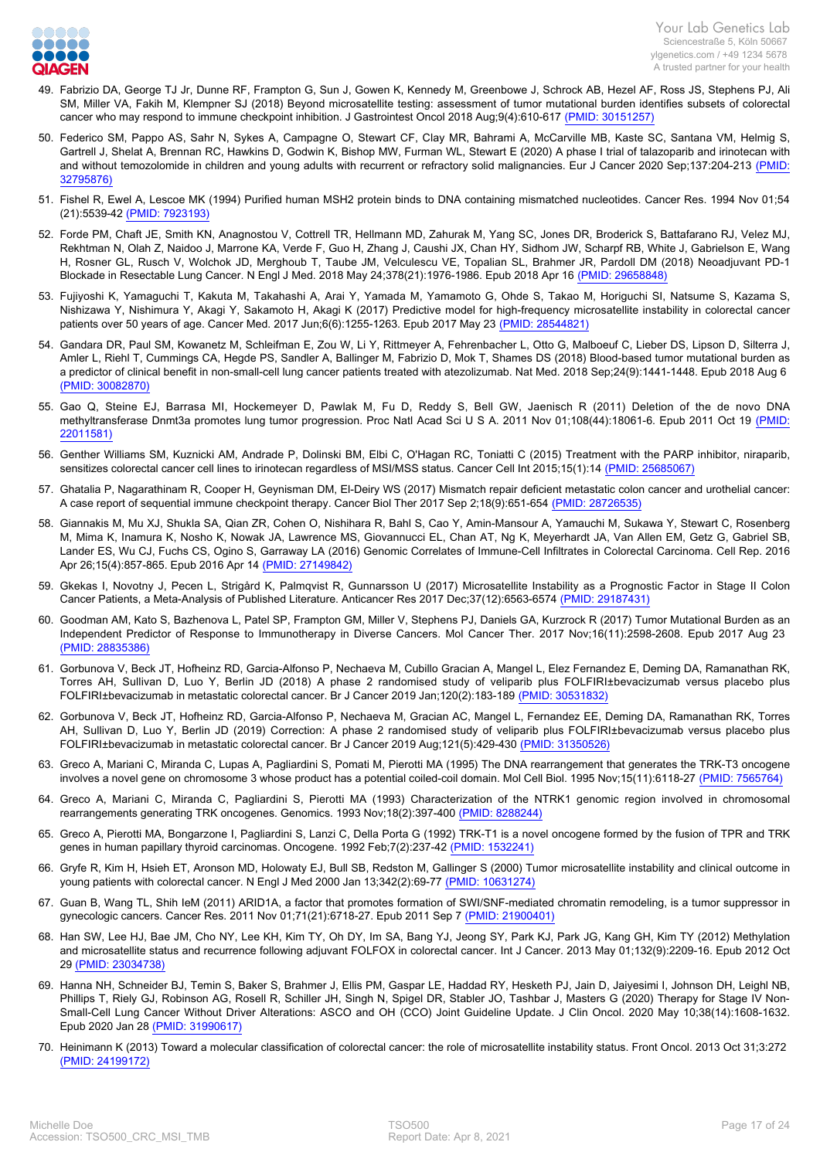

- 49. [Fabrizio DA, George TJ Jr, Dunne RF, Frampton G, Sun J, Gowen K, Kennedy M, Greenbowe J, Schrock AB, Hezel AF, Ross JS, Stephens PJ, Ali](https://www.ncbi.nlm.nih.gov/pubmed/30151257?dopt=Abstract) [SM, Miller VA, Fakih M, Klempner SJ \(2018\) Beyond microsatellite testing: assessment of tumor mutational burden identifies subsets of colorectal](https://www.ncbi.nlm.nih.gov/pubmed/30151257?dopt=Abstract) [cancer who may respond to immune checkpoint inhibition. J Gastrointest Oncol 2018 Aug;9\(4\):610-617 \(PMID: 30151257\)](https://www.ncbi.nlm.nih.gov/pubmed/30151257?dopt=Abstract)
- 50. [Federico SM, Pappo AS, Sahr N, Sykes A, Campagne O, Stewart CF, Clay MR, Bahrami A, McCarville MB, Kaste SC, Santana VM, Helmig S,](https://www.ncbi.nlm.nih.gov/pubmed/32795876?dopt=Abstract) [Gartrell J, Shelat A, Brennan RC, Hawkins D, Godwin K, Bishop MW, Furman WL, Stewart E \(2020\) A phase I trial of talazoparib and irinotecan with](https://www.ncbi.nlm.nih.gov/pubmed/32795876?dopt=Abstract) [and without temozolomide in children and young adults with recurrent or refractory solid malignancies. Eur J Cancer 2020 Sep;137:204-213 \(PMID:](https://www.ncbi.nlm.nih.gov/pubmed/32795876?dopt=Abstract) [32795876\)](https://www.ncbi.nlm.nih.gov/pubmed/32795876?dopt=Abstract)
- 51. [Fishel R, Ewel A, Lescoe MK \(1994\) Purified human MSH2 protein binds to DNA containing mismatched nucleotides. Cancer Res. 1994 Nov 01;54](https://www.ncbi.nlm.nih.gov/pubmed/7923193?dopt=Abstract) [\(21\):5539-42 \(PMID: 7923193\)](https://www.ncbi.nlm.nih.gov/pubmed/7923193?dopt=Abstract)
- 52. [Forde PM, Chaft JE, Smith KN, Anagnostou V, Cottrell TR, Hellmann MD, Zahurak M, Yang SC, Jones DR, Broderick S, Battafarano RJ, Velez MJ,](https://www.ncbi.nlm.nih.gov/pubmed/29658848?dopt=Abstract) [Rekhtman N, Olah Z, Naidoo J, Marrone KA, Verde F, Guo H, Zhang J, Caushi JX, Chan HY, Sidhom JW, Scharpf RB, White J, Gabrielson E, Wang](https://www.ncbi.nlm.nih.gov/pubmed/29658848?dopt=Abstract) [H, Rosner GL, Rusch V, Wolchok JD, Merghoub T, Taube JM, Velculescu VE, Topalian SL, Brahmer JR, Pardoll DM \(2018\) Neoadjuvant PD-1](https://www.ncbi.nlm.nih.gov/pubmed/29658848?dopt=Abstract) [Blockade in Resectable Lung Cancer. N Engl J Med. 2018 May 24;378\(21\):1976-1986. Epub 2018 Apr 16 \(PMID: 29658848\)](https://www.ncbi.nlm.nih.gov/pubmed/29658848?dopt=Abstract)
- 53. [Fujiyoshi K, Yamaguchi T, Kakuta M, Takahashi A, Arai Y, Yamada M, Yamamoto G, Ohde S, Takao M, Horiguchi SI, Natsume S, Kazama S,](https://www.ncbi.nlm.nih.gov/pubmed/28544821?dopt=Abstract) [Nishizawa Y, Nishimura Y, Akagi Y, Sakamoto H, Akagi K \(2017\) Predictive model for high-frequency microsatellite instability in colorectal cancer](https://www.ncbi.nlm.nih.gov/pubmed/28544821?dopt=Abstract) [patients over 50 years of age. Cancer Med. 2017 Jun;6\(6\):1255-1263. Epub 2017 May 23 \(PMID: 28544821\)](https://www.ncbi.nlm.nih.gov/pubmed/28544821?dopt=Abstract)
- 54. [Gandara DR, Paul SM, Kowanetz M, Schleifman E, Zou W, Li Y, Rittmeyer A, Fehrenbacher L, Otto G, Malboeuf C, Lieber DS, Lipson D, Silterra J,](https://www.ncbi.nlm.nih.gov/pubmed/30082870?dopt=Abstract) [Amler L, Riehl T, Cummings CA, Hegde PS, Sandler A, Ballinger M, Fabrizio D, Mok T, Shames DS \(2018\) Blood-based tumor mutational burden as](https://www.ncbi.nlm.nih.gov/pubmed/30082870?dopt=Abstract) [a predictor of clinical benefit in non-small-cell lung cancer patients treated with atezolizumab. Nat Med. 2018 Sep;24\(9\):1441-1448. Epub 2018 Aug 6](https://www.ncbi.nlm.nih.gov/pubmed/30082870?dopt=Abstract)  [\(PMID: 30082870\)](https://www.ncbi.nlm.nih.gov/pubmed/30082870?dopt=Abstract)
- 55. [Gao Q, Steine EJ, Barrasa MI, Hockemeyer D, Pawlak M, Fu D, Reddy S, Bell GW, Jaenisch R \(2011\) Deletion of the de novo DNA](https://www.ncbi.nlm.nih.gov/pubmed/22011581?dopt=Abstract) [methyltransferase Dnmt3a promotes lung tumor progression. Proc Natl Acad Sci U S A. 2011 Nov 01;108\(44\):18061-6. Epub 2011 Oct 19 \(PMID:](https://www.ncbi.nlm.nih.gov/pubmed/22011581?dopt=Abstract) [22011581\)](https://www.ncbi.nlm.nih.gov/pubmed/22011581?dopt=Abstract)
- 56. [Genther Williams SM, Kuznicki AM, Andrade P, Dolinski BM, Elbi C, O'Hagan RC, Toniatti C \(2015\) Treatment with the PARP inhibitor, niraparib,](https://www.ncbi.nlm.nih.gov/pubmed/25685067?dopt=Abstract) [sensitizes colorectal cancer cell lines to irinotecan regardless of MSI/MSS status. Cancer Cell Int 2015;15\(1\):14 \(PMID: 25685067\)](https://www.ncbi.nlm.nih.gov/pubmed/25685067?dopt=Abstract)
- 57. [Ghatalia P, Nagarathinam R, Cooper H, Geynisman DM, El-Deiry WS \(2017\) Mismatch repair deficient metastatic colon cancer and urothelial cancer:](https://www.ncbi.nlm.nih.gov/pubmed/28726535?dopt=Abstract) [A case report of sequential immune checkpoint therapy. Cancer Biol Ther 2017 Sep 2;18\(9\):651-654 \(PMID: 28726535\)](https://www.ncbi.nlm.nih.gov/pubmed/28726535?dopt=Abstract)
- 58. [Giannakis M, Mu XJ, Shukla SA, Qian ZR, Cohen O, Nishihara R, Bahl S, Cao Y, Amin-Mansour A, Yamauchi M, Sukawa Y, Stewart C, Rosenberg](https://www.ncbi.nlm.nih.gov/pubmed/27149842?dopt=Abstract) [M, Mima K, Inamura K, Nosho K, Nowak JA, Lawrence MS, Giovannucci EL, Chan AT, Ng K, Meyerhardt JA, Van Allen EM, Getz G, Gabriel SB,](https://www.ncbi.nlm.nih.gov/pubmed/27149842?dopt=Abstract) [Lander ES, Wu CJ, Fuchs CS, Ogino S, Garraway LA \(2016\) Genomic Correlates of Immune-Cell Infiltrates in Colorectal Carcinoma. Cell Rep. 2016](https://www.ncbi.nlm.nih.gov/pubmed/27149842?dopt=Abstract) [Apr 26;15\(4\):857-865. Epub 2016 Apr 14 \(PMID: 27149842\)](https://www.ncbi.nlm.nih.gov/pubmed/27149842?dopt=Abstract)
- 59. [Gkekas I, Novotny J, Pecen L, Strigård K, Palmqvist R, Gunnarsson U \(2017\) Microsatellite Instability as a Prognostic Factor in Stage II Colon](https://www.ncbi.nlm.nih.gov/pubmed/29187431?dopt=Abstract) [Cancer Patients, a Meta-Analysis of Published Literature. Anticancer Res 2017 Dec;37\(12\):6563-6574 \(PMID: 29187431\)](https://www.ncbi.nlm.nih.gov/pubmed/29187431?dopt=Abstract)
- 60. [Goodman AM, Kato S, Bazhenova L, Patel SP, Frampton GM, Miller V, Stephens PJ, Daniels GA, Kurzrock R \(2017\) Tumor Mutational Burden as an](https://www.ncbi.nlm.nih.gov/pubmed/28835386?dopt=Abstract) [Independent Predictor of Response to Immunotherapy in Diverse Cancers. Mol Cancer Ther. 2017 Nov;16\(11\):2598-2608. Epub 2017 Aug 23](https://www.ncbi.nlm.nih.gov/pubmed/28835386?dopt=Abstract)  [\(PMID: 28835386\)](https://www.ncbi.nlm.nih.gov/pubmed/28835386?dopt=Abstract)
- 61. [Gorbunova V, Beck JT, Hofheinz RD, Garcia-Alfonso P, Nechaeva M, Cubillo Gracian A, Mangel L, Elez Fernandez E, Deming DA, Ramanathan RK,](https://www.ncbi.nlm.nih.gov/pubmed/30531832?dopt=Abstract) [Torres AH, Sullivan D, Luo Y, Berlin JD \(2018\) A phase 2 randomised study of veliparib plus FOLFIRI±bevacizumab versus placebo plus](https://www.ncbi.nlm.nih.gov/pubmed/30531832?dopt=Abstract) [FOLFIRI±bevacizumab in metastatic colorectal cancer. Br J Cancer 2019 Jan;120\(2\):183-189 \(PMID: 30531832\)](https://www.ncbi.nlm.nih.gov/pubmed/30531832?dopt=Abstract)
- 62. [Gorbunova V, Beck JT, Hofheinz RD, Garcia-Alfonso P, Nechaeva M, Gracian AC, Mangel L, Fernandez EE, Deming DA, Ramanathan RK, Torres](https://www.ncbi.nlm.nih.gov/pubmed/31350526?dopt=Abstract) [AH, Sullivan D, Luo Y, Berlin JD \(2019\) Correction: A phase 2 randomised study of veliparib plus FOLFIRI±bevacizumab versus placebo plus](https://www.ncbi.nlm.nih.gov/pubmed/31350526?dopt=Abstract) [FOLFIRI±bevacizumab in metastatic colorectal cancer. Br J Cancer 2019 Aug;121\(5\):429-430 \(PMID: 31350526\)](https://www.ncbi.nlm.nih.gov/pubmed/31350526?dopt=Abstract)
- 63. [Greco A, Mariani C, Miranda C, Lupas A, Pagliardini S, Pomati M, Pierotti MA \(1995\) The DNA rearrangement that generates the TRK-T3 oncogene](https://www.ncbi.nlm.nih.gov/pubmed/7565764?dopt=Abstract) [involves a novel gene on chromosome 3 whose product has a potential coiled-coil domain. Mol Cell Biol. 1995 Nov;15\(11\):6118-27 \(PMID: 7565764\)](https://www.ncbi.nlm.nih.gov/pubmed/7565764?dopt=Abstract)
- 64. [Greco A, Mariani C, Miranda C, Pagliardini S, Pierotti MA \(1993\) Characterization of the NTRK1 genomic region involved in chromosomal](https://www.ncbi.nlm.nih.gov/pubmed/8288244?dopt=Abstract) [rearrangements generating TRK oncogenes. Genomics. 1993 Nov;18\(2\):397-400 \(PMID: 8288244\)](https://www.ncbi.nlm.nih.gov/pubmed/8288244?dopt=Abstract)
- 65. [Greco A, Pierotti MA, Bongarzone I, Pagliardini S, Lanzi C, Della Porta G \(1992\) TRK-T1 is a novel oncogene formed by the fusion of TPR and TRK](https://www.ncbi.nlm.nih.gov/pubmed/1532241?dopt=Abstract) [genes in human papillary thyroid carcinomas. Oncogene. 1992 Feb;7\(2\):237-42 \(PMID: 1532241\)](https://www.ncbi.nlm.nih.gov/pubmed/1532241?dopt=Abstract)
- 66. [Gryfe R, Kim H, Hsieh ET, Aronson MD, Holowaty EJ, Bull SB, Redston M, Gallinger S \(2000\) Tumor microsatellite instability and clinical outcome in](https://www.ncbi.nlm.nih.gov/pubmed/10631274?dopt=Abstract) [young patients with colorectal cancer. N Engl J Med 2000 Jan 13;342\(2\):69-77 \(PMID: 10631274\)](https://www.ncbi.nlm.nih.gov/pubmed/10631274?dopt=Abstract)
- 67. [Guan B, Wang TL, Shih IeM \(2011\) ARID1A, a factor that promotes formation of SWI/SNF-mediated chromatin remodeling, is a tumor suppressor in](https://www.ncbi.nlm.nih.gov/pubmed/21900401?dopt=Abstract) [gynecologic cancers. Cancer Res. 2011 Nov 01;71\(21\):6718-27. Epub 2011 Sep 7 \(PMID: 21900401\)](https://www.ncbi.nlm.nih.gov/pubmed/21900401?dopt=Abstract)
- 68. [Han SW, Lee HJ, Bae JM, Cho NY, Lee KH, Kim TY, Oh DY, Im SA, Bang YJ, Jeong SY, Park KJ, Park JG, Kang GH, Kim TY \(2012\) Methylation](https://www.ncbi.nlm.nih.gov/pubmed/23034738?dopt=Abstract) [and microsatellite status and recurrence following adjuvant FOLFOX in colorectal cancer. Int J Cancer. 2013 May 01;132\(9\):2209-16. Epub 2012 Oct](https://www.ncbi.nlm.nih.gov/pubmed/23034738?dopt=Abstract) [29 \(PMID: 23034738\)](https://www.ncbi.nlm.nih.gov/pubmed/23034738?dopt=Abstract)
- 69. [Hanna NH, Schneider BJ, Temin S, Baker S, Brahmer J, Ellis PM, Gaspar LE, Haddad RY, Hesketh PJ, Jain D, Jaiyesimi I, Johnson DH, Leighl NB,](https://www.ncbi.nlm.nih.gov/pubmed/31990617?dopt=Abstract) [Phillips T, Riely GJ, Robinson AG, Rosell R, Schiller JH, Singh N, Spigel DR, Stabler JO, Tashbar J, Masters G \(2020\) Therapy for Stage IV Non-](https://www.ncbi.nlm.nih.gov/pubmed/31990617?dopt=Abstract)[Small-Cell Lung Cancer Without Driver Alterations: ASCO and OH \(CCO\) Joint Guideline Update. J Clin Oncol. 2020 May 10;38\(14\):1608-1632.](https://www.ncbi.nlm.nih.gov/pubmed/31990617?dopt=Abstract) [Epub 2020 Jan 28 \(PMID: 31990617\)](https://www.ncbi.nlm.nih.gov/pubmed/31990617?dopt=Abstract)
- 70. [Heinimann K \(2013\) Toward a molecular classification of colorectal cancer: the role of microsatellite instability status. Front Oncol. 2013 Oct 31;3:272](https://www.ncbi.nlm.nih.gov/pubmed/24199172?dopt=Abstract)  [\(PMID: 24199172\)](https://www.ncbi.nlm.nih.gov/pubmed/24199172?dopt=Abstract)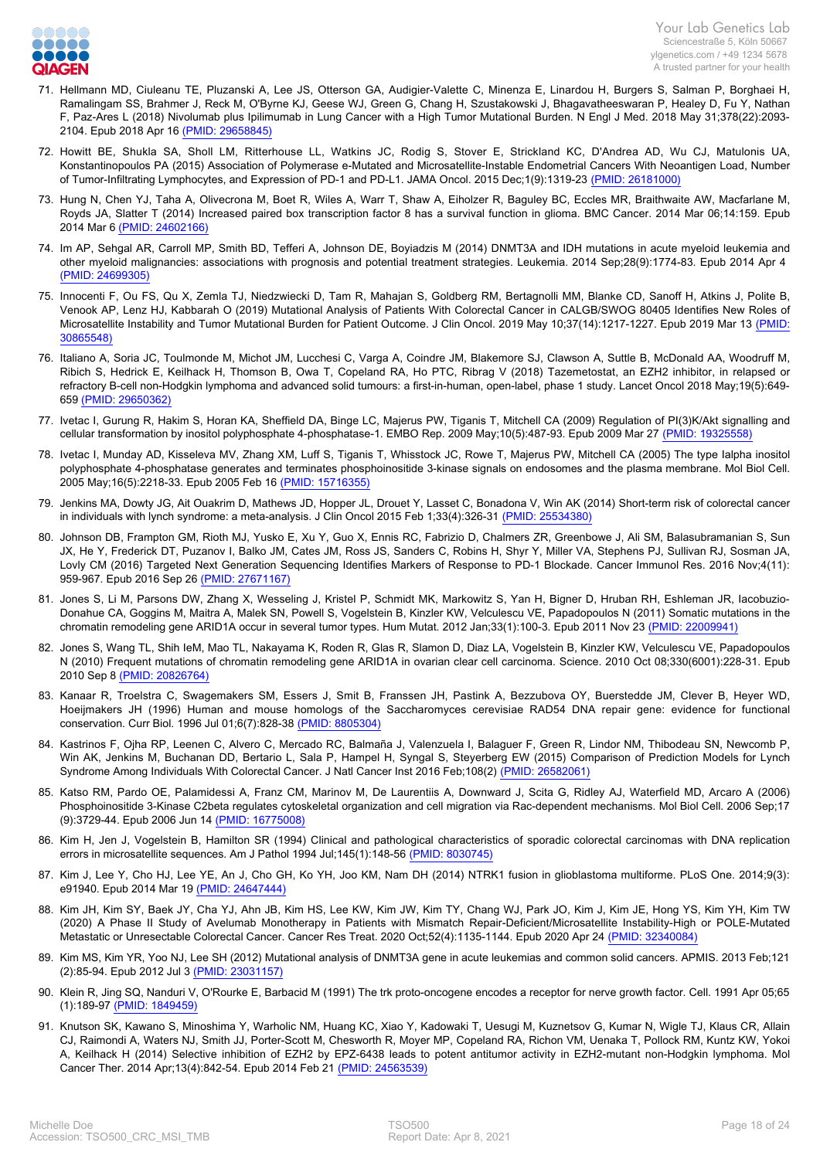

- 71. [Hellmann MD, Ciuleanu TE, Pluzanski A, Lee JS, Otterson GA, Audigier-Valette C, Minenza E, Linardou H, Burgers S, Salman P, Borghaei H,](https://www.ncbi.nlm.nih.gov/pubmed/29658845?dopt=Abstract) [Ramalingam SS, Brahmer J, Reck M, O'Byrne KJ, Geese WJ, Green G, Chang H, Szustakowski J, Bhagavatheeswaran P, Healey D, Fu Y, Nathan](https://www.ncbi.nlm.nih.gov/pubmed/29658845?dopt=Abstract) [F, Paz-Ares L \(2018\) Nivolumab plus Ipilimumab in Lung Cancer with a High Tumor Mutational Burden. N Engl J Med. 2018 May 31;378\(22\):2093-](https://www.ncbi.nlm.nih.gov/pubmed/29658845?dopt=Abstract) [2104. Epub 2018 Apr 16 \(PMID: 29658845\)](https://www.ncbi.nlm.nih.gov/pubmed/29658845?dopt=Abstract)
- 72. [Howitt BE, Shukla SA, Sholl LM, Ritterhouse LL, Watkins JC, Rodig S, Stover E, Strickland KC, D'Andrea AD, Wu CJ, Matulonis UA,](https://www.ncbi.nlm.nih.gov/pubmed/26181000?dopt=Abstract) [Konstantinopoulos PA \(2015\) Association of Polymerase e-Mutated and Microsatellite-Instable Endometrial Cancers With Neoantigen Load, Number](https://www.ncbi.nlm.nih.gov/pubmed/26181000?dopt=Abstract) [of Tumor-Infiltrating Lymphocytes, and Expression of PD-1 and PD-L1. JAMA Oncol. 2015 Dec;1\(9\):1319-23 \(PMID: 26181000\)](https://www.ncbi.nlm.nih.gov/pubmed/26181000?dopt=Abstract)
- 73. [Hung N, Chen YJ, Taha A, Olivecrona M, Boet R, Wiles A, Warr T, Shaw A, Eiholzer R, Baguley BC, Eccles MR, Braithwaite AW, Macfarlane M,](https://www.ncbi.nlm.nih.gov/pubmed/24602166?dopt=Abstract) [Royds JA, Slatter T \(2014\) Increased paired box transcription factor 8 has a survival function in glioma. BMC Cancer. 2014 Mar 06;14:159. Epub](https://www.ncbi.nlm.nih.gov/pubmed/24602166?dopt=Abstract) [2014 Mar 6 \(PMID: 24602166\)](https://www.ncbi.nlm.nih.gov/pubmed/24602166?dopt=Abstract)
- 74. [Im AP, Sehgal AR, Carroll MP, Smith BD, Tefferi A, Johnson DE, Boyiadzis M \(2014\) DNMT3A and IDH mutations in acute myeloid leukemia and](https://www.ncbi.nlm.nih.gov/pubmed/24699305?dopt=Abstract) [other myeloid malignancies: associations with prognosis and potential treatment strategies. Leukemia. 2014 Sep;28\(9\):1774-83. Epub 2014 Apr 4](https://www.ncbi.nlm.nih.gov/pubmed/24699305?dopt=Abstract)  [\(PMID: 24699305\)](https://www.ncbi.nlm.nih.gov/pubmed/24699305?dopt=Abstract)
- 75. [Innocenti F, Ou FS, Qu X, Zemla TJ, Niedzwiecki D, Tam R, Mahajan S, Goldberg RM, Bertagnolli MM, Blanke CD, Sanoff H, Atkins J, Polite B,](https://www.ncbi.nlm.nih.gov/pubmed/30865548?dopt=Abstract) [Venook AP, Lenz HJ, Kabbarah O \(2019\) Mutational Analysis of Patients With Colorectal Cancer in CALGB/SWOG 80405 Identifies New Roles of](https://www.ncbi.nlm.nih.gov/pubmed/30865548?dopt=Abstract) [Microsatellite Instability and Tumor Mutational Burden for Patient Outcome. J Clin Oncol. 2019 May 10;37\(14\):1217-1227. Epub 2019 Mar 13 \(PMID:](https://www.ncbi.nlm.nih.gov/pubmed/30865548?dopt=Abstract) [30865548\)](https://www.ncbi.nlm.nih.gov/pubmed/30865548?dopt=Abstract)
- 76. [Italiano A, Soria JC, Toulmonde M, Michot JM, Lucchesi C, Varga A, Coindre JM, Blakemore SJ, Clawson A, Suttle B, McDonald AA, Woodruff M,](https://www.ncbi.nlm.nih.gov/pubmed/29650362?dopt=Abstract) [Ribich S, Hedrick E, Keilhack H, Thomson B, Owa T, Copeland RA, Ho PTC, Ribrag V \(2018\) Tazemetostat, an EZH2 inhibitor, in relapsed or](https://www.ncbi.nlm.nih.gov/pubmed/29650362?dopt=Abstract) [refractory B-cell non-Hodgkin lymphoma and advanced solid tumours: a first-in-human, open-label, phase 1 study. Lancet Oncol 2018 May;19\(5\):649-](https://www.ncbi.nlm.nih.gov/pubmed/29650362?dopt=Abstract) [659 \(PMID: 29650362\)](https://www.ncbi.nlm.nih.gov/pubmed/29650362?dopt=Abstract)
- 77. [Ivetac I, Gurung R, Hakim S, Horan KA, Sheffield DA, Binge LC, Majerus PW, Tiganis T, Mitchell CA \(2009\) Regulation of PI\(3\)K/Akt signalling and](https://www.ncbi.nlm.nih.gov/pubmed/19325558?dopt=Abstract) [cellular transformation by inositol polyphosphate 4-phosphatase-1. EMBO Rep. 2009 May;10\(5\):487-93. Epub 2009 Mar 27 \(PMID: 19325558\)](https://www.ncbi.nlm.nih.gov/pubmed/19325558?dopt=Abstract)
- 78. [Ivetac I, Munday AD, Kisseleva MV, Zhang XM, Luff S, Tiganis T, Whisstock JC, Rowe T, Majerus PW, Mitchell CA \(2005\) The type Ialpha inositol](https://www.ncbi.nlm.nih.gov/pubmed/15716355?dopt=Abstract) [polyphosphate 4-phosphatase generates and terminates phosphoinositide 3-kinase signals on endosomes and the plasma membrane. Mol Biol Cell.](https://www.ncbi.nlm.nih.gov/pubmed/15716355?dopt=Abstract) [2005 May;16\(5\):2218-33. Epub 2005 Feb 16 \(PMID: 15716355\)](https://www.ncbi.nlm.nih.gov/pubmed/15716355?dopt=Abstract)
- 79. [Jenkins MA, Dowty JG, Ait Ouakrim D, Mathews JD, Hopper JL, Drouet Y, Lasset C, Bonadona V, Win AK \(2014\) Short-term risk of colorectal cancer](https://www.ncbi.nlm.nih.gov/pubmed/25534380?dopt=Abstract) [in individuals with lynch syndrome: a meta-analysis. J Clin Oncol 2015 Feb 1;33\(4\):326-31 \(PMID: 25534380\)](https://www.ncbi.nlm.nih.gov/pubmed/25534380?dopt=Abstract)
- 80. [Johnson DB, Frampton GM, Rioth MJ, Yusko E, Xu Y, Guo X, Ennis RC, Fabrizio D, Chalmers ZR, Greenbowe J, Ali SM, Balasubramanian S, Sun](https://www.ncbi.nlm.nih.gov/pubmed/27671167?dopt=Abstract) [JX, He Y, Frederick DT, Puzanov I, Balko JM, Cates JM, Ross JS, Sanders C, Robins H, Shyr Y, Miller VA, Stephens PJ, Sullivan RJ, Sosman JA,](https://www.ncbi.nlm.nih.gov/pubmed/27671167?dopt=Abstract) [Lovly CM \(2016\) Targeted Next Generation Sequencing Identifies Markers of Response to PD-1 Blockade. Cancer Immunol Res. 2016 Nov;4\(11\):](https://www.ncbi.nlm.nih.gov/pubmed/27671167?dopt=Abstract) [959-967. Epub 2016 Sep 26 \(PMID: 27671167\)](https://www.ncbi.nlm.nih.gov/pubmed/27671167?dopt=Abstract)
- 81. [Jones S, Li M, Parsons DW, Zhang X, Wesseling J, Kristel P, Schmidt MK, Markowitz S, Yan H, Bigner D, Hruban RH, Eshleman JR, Iacobuzio-](https://www.ncbi.nlm.nih.gov/pubmed/22009941?dopt=Abstract)[Donahue CA, Goggins M, Maitra A, Malek SN, Powell S, Vogelstein B, Kinzler KW, Velculescu VE, Papadopoulos N \(2011\) Somatic mutations in the](https://www.ncbi.nlm.nih.gov/pubmed/22009941?dopt=Abstract) [chromatin remodeling gene ARID1A occur in several tumor types. Hum Mutat. 2012 Jan;33\(1\):100-3. Epub 2011 Nov 23 \(PMID: 22009941\)](https://www.ncbi.nlm.nih.gov/pubmed/22009941?dopt=Abstract)
- 82. [Jones S, Wang TL, Shih IeM, Mao TL, Nakayama K, Roden R, Glas R, Slamon D, Diaz LA, Vogelstein B, Kinzler KW, Velculescu VE, Papadopoulos](https://www.ncbi.nlm.nih.gov/pubmed/20826764?dopt=Abstract) [N \(2010\) Frequent mutations of chromatin remodeling gene ARID1A in ovarian clear cell carcinoma. Science. 2010 Oct 08;330\(6001\):228-31. Epub](https://www.ncbi.nlm.nih.gov/pubmed/20826764?dopt=Abstract) [2010 Sep 8 \(PMID: 20826764\)](https://www.ncbi.nlm.nih.gov/pubmed/20826764?dopt=Abstract)
- 83. [Kanaar R, Troelstra C, Swagemakers SM, Essers J, Smit B, Franssen JH, Pastink A, Bezzubova OY, Buerstedde JM, Clever B, Heyer WD,](https://www.ncbi.nlm.nih.gov/pubmed/8805304?dopt=Abstract) [Hoeijmakers JH \(1996\) Human and mouse homologs of the Saccharomyces cerevisiae RAD54 DNA repair gene: evidence for functional](https://www.ncbi.nlm.nih.gov/pubmed/8805304?dopt=Abstract) [conservation. Curr Biol. 1996 Jul 01;6\(7\):828-38 \(PMID: 8805304\)](https://www.ncbi.nlm.nih.gov/pubmed/8805304?dopt=Abstract)
- 84. [Kastrinos F, Ojha RP, Leenen C, Alvero C, Mercado RC, Balmaña J, Valenzuela I, Balaguer F, Green R, Lindor NM, Thibodeau SN, Newcomb P,](https://www.ncbi.nlm.nih.gov/pubmed/26582061?dopt=Abstract) [Win AK, Jenkins M, Buchanan DD, Bertario L, Sala P, Hampel H, Syngal S, Steyerberg EW \(2015\) Comparison of Prediction Models for Lynch](https://www.ncbi.nlm.nih.gov/pubmed/26582061?dopt=Abstract) [Syndrome Among Individuals With Colorectal Cancer. J Natl Cancer Inst 2016 Feb;108\(2\) \(PMID: 26582061\)](https://www.ncbi.nlm.nih.gov/pubmed/26582061?dopt=Abstract)
- 85. [Katso RM, Pardo OE, Palamidessi A, Franz CM, Marinov M, De Laurentiis A, Downward J, Scita G, Ridley AJ, Waterfield MD, Arcaro A \(2006\)](https://www.ncbi.nlm.nih.gov/pubmed/16775008?dopt=Abstract) [Phosphoinositide 3-Kinase C2beta regulates cytoskeletal organization and cell migration via Rac-dependent mechanisms. Mol Biol Cell. 2006 Sep;17](https://www.ncbi.nlm.nih.gov/pubmed/16775008?dopt=Abstract) [\(9\):3729-44. Epub 2006 Jun 14 \(PMID: 16775008\)](https://www.ncbi.nlm.nih.gov/pubmed/16775008?dopt=Abstract)
- 86. [Kim H, Jen J, Vogelstein B, Hamilton SR \(1994\) Clinical and pathological characteristics of sporadic colorectal carcinomas with DNA replication](https://www.ncbi.nlm.nih.gov/pubmed/8030745?dopt=Abstract) [errors in microsatellite sequences. Am J Pathol 1994 Jul;145\(1\):148-56 \(PMID: 8030745\)](https://www.ncbi.nlm.nih.gov/pubmed/8030745?dopt=Abstract)
- 87. [Kim J, Lee Y, Cho HJ, Lee YE, An J, Cho GH, Ko YH, Joo KM, Nam DH \(2014\) NTRK1 fusion in glioblastoma multiforme. PLoS One. 2014;9\(3\):](https://www.ncbi.nlm.nih.gov/pubmed/24647444?dopt=Abstract) [e91940. Epub 2014 Mar 19 \(PMID: 24647444\)](https://www.ncbi.nlm.nih.gov/pubmed/24647444?dopt=Abstract)
- 88. [Kim JH, Kim SY, Baek JY, Cha YJ, Ahn JB, Kim HS, Lee KW, Kim JW, Kim TY, Chang WJ, Park JO, Kim J, Kim JE, Hong YS, Kim YH, Kim TW](https://www.ncbi.nlm.nih.gov/pubmed/32340084?dopt=Abstract) [\(2020\) A Phase II Study of Avelumab Monotherapy in Patients with Mismatch Repair-Deficient/Microsatellite Instability-High or POLE-Mutated](https://www.ncbi.nlm.nih.gov/pubmed/32340084?dopt=Abstract) [Metastatic or Unresectable Colorectal Cancer. Cancer Res Treat. 2020 Oct;52\(4\):1135-1144. Epub 2020 Apr 24 \(PMID: 32340084\)](https://www.ncbi.nlm.nih.gov/pubmed/32340084?dopt=Abstract)
- 89. [Kim MS, Kim YR, Yoo NJ, Lee SH \(2012\) Mutational analysis of DNMT3A gene in acute leukemias and common solid cancers. APMIS. 2013 Feb;121](https://www.ncbi.nlm.nih.gov/pubmed/23031157?dopt=Abstract) [\(2\):85-94. Epub 2012 Jul 3 \(PMID: 23031157\)](https://www.ncbi.nlm.nih.gov/pubmed/23031157?dopt=Abstract)
- 90. [Klein R, Jing SQ, Nanduri V, O'Rourke E, Barbacid M \(1991\) The trk proto-oncogene encodes a receptor for nerve growth factor. Cell. 1991 Apr 05;65](https://www.ncbi.nlm.nih.gov/pubmed/1849459?dopt=Abstract) [\(1\):189-97 \(PMID: 1849459\)](https://www.ncbi.nlm.nih.gov/pubmed/1849459?dopt=Abstract)
- 91. [Knutson SK, Kawano S, Minoshima Y, Warholic NM, Huang KC, Xiao Y, Kadowaki T, Uesugi M, Kuznetsov G, Kumar N, Wigle TJ, Klaus CR, Allain](https://www.ncbi.nlm.nih.gov/pubmed/24563539?dopt=Abstract) [CJ, Raimondi A, Waters NJ, Smith JJ, Porter-Scott M, Chesworth R, Moyer MP, Copeland RA, Richon VM, Uenaka T, Pollock RM, Kuntz KW, Yokoi](https://www.ncbi.nlm.nih.gov/pubmed/24563539?dopt=Abstract) [A, Keilhack H \(2014\) Selective inhibition of EZH2 by EPZ-6438 leads to potent antitumor activity in EZH2-mutant non-Hodgkin lymphoma. Mol](https://www.ncbi.nlm.nih.gov/pubmed/24563539?dopt=Abstract) [Cancer Ther. 2014 Apr;13\(4\):842-54. Epub 2014 Feb 21 \(PMID: 24563539\)](https://www.ncbi.nlm.nih.gov/pubmed/24563539?dopt=Abstract)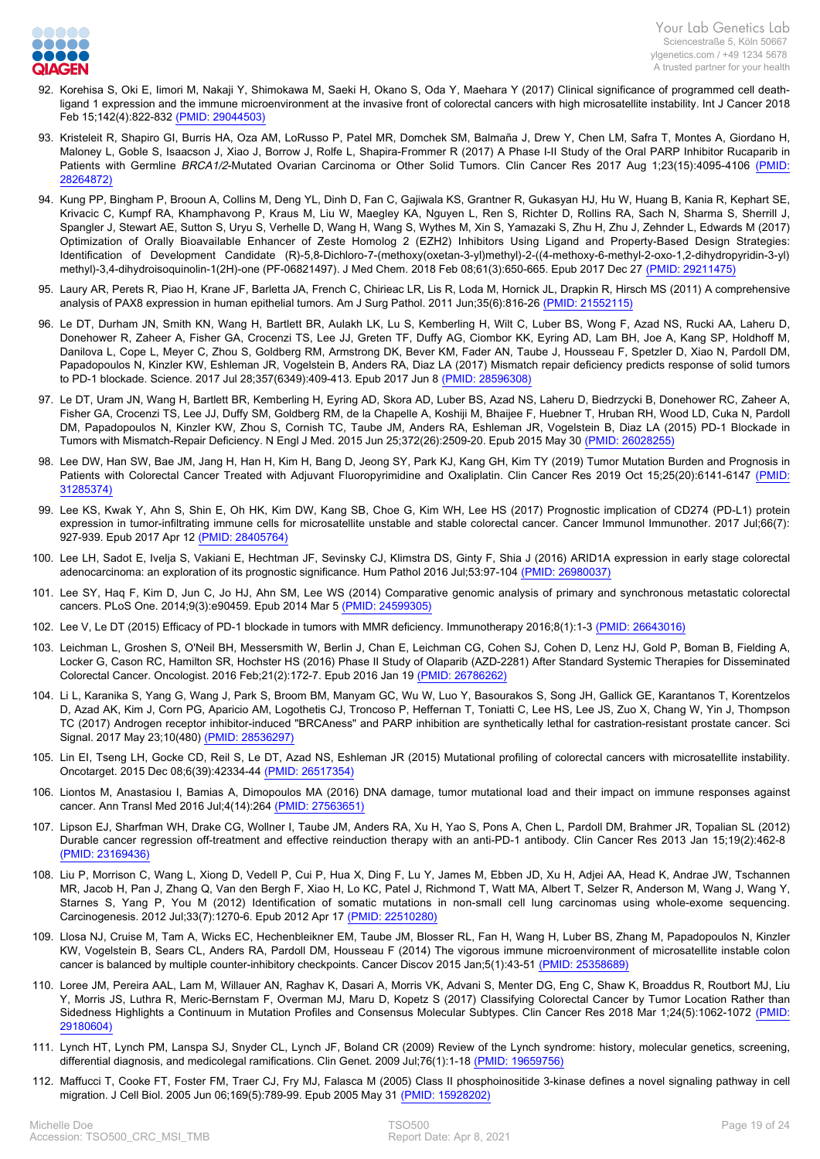

- 92. [Korehisa S, Oki E, Iimori M, Nakaji Y, Shimokawa M, Saeki H, Okano S, Oda Y, Maehara Y \(2017\) Clinical significance of programmed cell death](https://www.ncbi.nlm.nih.gov/pubmed/29044503?dopt=Abstract)[ligand 1 expression and the immune microenvironment at the invasive front of colorectal cancers with high microsatellite instability. Int J Cancer 2018](https://www.ncbi.nlm.nih.gov/pubmed/29044503?dopt=Abstract) [Feb 15;142\(4\):822-832 \(PMID: 29044503\)](https://www.ncbi.nlm.nih.gov/pubmed/29044503?dopt=Abstract)
- 93. [Kristeleit R, Shapiro GI, Burris HA, Oza AM, LoRusso P, Patel MR, Domchek SM, Balmaña J, Drew Y, Chen LM, Safra T, Montes A, Giordano H,](https://www.ncbi.nlm.nih.gov/pubmed/28264872?dopt=Abstract) [Maloney L, Goble S, Isaacson J, Xiao J, Borrow J, Rolfe L, Shapira-Frommer R \(2017\) A Phase I-II Study of the Oral PARP Inhibitor Rucaparib in](https://www.ncbi.nlm.nih.gov/pubmed/28264872?dopt=Abstract) Patients with Germline BRCA1/2[-Mutated Ovarian Carcinoma or Other Solid Tumors. Clin Cancer Res 2017 Aug 1;23\(15\):4095-4106 \(PMID:](https://www.ncbi.nlm.nih.gov/pubmed/28264872?dopt=Abstract) [28264872\)](https://www.ncbi.nlm.nih.gov/pubmed/28264872?dopt=Abstract)
- 94. [Kung PP, Bingham P, Brooun A, Collins M, Deng YL, Dinh D, Fan C, Gajiwala KS, Grantner R, Gukasyan HJ, Hu W, Huang B, Kania R, Kephart SE,](https://www.ncbi.nlm.nih.gov/pubmed/29211475?dopt=Abstract) [Krivacic C, Kumpf RA, Khamphavong P, Kraus M, Liu W, Maegley KA, Nguyen L, Ren S, Richter D, Rollins RA, Sach N, Sharma S, Sherrill J,](https://www.ncbi.nlm.nih.gov/pubmed/29211475?dopt=Abstract) [Spangler J, Stewart AE, Sutton S, Uryu S, Verhelle D, Wang H, Wang S, Wythes M, Xin S, Yamazaki S, Zhu H, Zhu J, Zehnder L, Edwards M \(2017\)](https://www.ncbi.nlm.nih.gov/pubmed/29211475?dopt=Abstract) [Optimization of Orally Bioavailable Enhancer of Zeste Homolog 2 \(EZH2\) Inhibitors Using Ligand and Property-Based Design Strategies:](https://www.ncbi.nlm.nih.gov/pubmed/29211475?dopt=Abstract) [Identification of Development Candidate \(R\)-5,8-Dichloro-7-\(methoxy\(oxetan-3-yl\)methyl\)-2-\(\(4-methoxy-6-methyl-2-oxo-1,2-dihydropyridin-3-yl\)](https://www.ncbi.nlm.nih.gov/pubmed/29211475?dopt=Abstract) [methyl\)-3,4-dihydroisoquinolin-1\(2H\)-one \(PF-06821497\). J Med Chem. 2018 Feb 08;61\(3\):650-665. Epub 2017 Dec 27 \(PMID: 29211475\)](https://www.ncbi.nlm.nih.gov/pubmed/29211475?dopt=Abstract)
- 95. [Laury AR, Perets R, Piao H, Krane JF, Barletta JA, French C, Chirieac LR, Lis R, Loda M, Hornick JL, Drapkin R, Hirsch MS \(2011\) A comprehensive](https://www.ncbi.nlm.nih.gov/pubmed/21552115?dopt=Abstract) [analysis of PAX8 expression in human epithelial tumors. Am J Surg Pathol. 2011 Jun;35\(6\):816-26 \(PMID: 21552115\)](https://www.ncbi.nlm.nih.gov/pubmed/21552115?dopt=Abstract)
- 96. [Le DT, Durham JN, Smith KN, Wang H, Bartlett BR, Aulakh LK, Lu S, Kemberling H, Wilt C, Luber BS, Wong F, Azad NS, Rucki AA, Laheru D,](https://www.ncbi.nlm.nih.gov/pubmed/28596308?dopt=Abstract) [Donehower R, Zaheer A, Fisher GA, Crocenzi TS, Lee JJ, Greten TF, Duffy AG, Ciombor KK, Eyring AD, Lam BH, Joe A, Kang SP, Holdhoff M,](https://www.ncbi.nlm.nih.gov/pubmed/28596308?dopt=Abstract) [Danilova L, Cope L, Meyer C, Zhou S, Goldberg RM, Armstrong DK, Bever KM, Fader AN, Taube J, Housseau F, Spetzler D, Xiao N, Pardoll DM,](https://www.ncbi.nlm.nih.gov/pubmed/28596308?dopt=Abstract) [Papadopoulos N, Kinzler KW, Eshleman JR, Vogelstein B, Anders RA, Diaz LA \(2017\) Mismatch repair deficiency predicts response of solid tumors](https://www.ncbi.nlm.nih.gov/pubmed/28596308?dopt=Abstract) [to PD-1 blockade. Science. 2017 Jul 28;357\(6349\):409-413. Epub 2017 Jun 8 \(PMID: 28596308\)](https://www.ncbi.nlm.nih.gov/pubmed/28596308?dopt=Abstract)
- 97. [Le DT, Uram JN, Wang H, Bartlett BR, Kemberling H, Eyring AD, Skora AD, Luber BS, Azad NS, Laheru D, Biedrzycki B, Donehower RC, Zaheer A,](https://www.ncbi.nlm.nih.gov/pubmed/26028255?dopt=Abstract) [Fisher GA, Crocenzi TS, Lee JJ, Duffy SM, Goldberg RM, de la Chapelle A, Koshiji M, Bhaijee F, Huebner T, Hruban RH, Wood LD, Cuka N, Pardoll](https://www.ncbi.nlm.nih.gov/pubmed/26028255?dopt=Abstract) [DM, Papadopoulos N, Kinzler KW, Zhou S, Cornish TC, Taube JM, Anders RA, Eshleman JR, Vogelstein B, Diaz LA \(2015\) PD-1 Blockade in](https://www.ncbi.nlm.nih.gov/pubmed/26028255?dopt=Abstract) [Tumors with Mismatch-Repair Deficiency. N Engl J Med. 2015 Jun 25;372\(26\):2509-20. Epub 2015 May 30 \(PMID: 26028255\)](https://www.ncbi.nlm.nih.gov/pubmed/26028255?dopt=Abstract)
- 98. [Lee DW, Han SW, Bae JM, Jang H, Han H, Kim H, Bang D, Jeong SY, Park KJ, Kang GH, Kim TY \(2019\) Tumor Mutation Burden and Prognosis in](https://www.ncbi.nlm.nih.gov/pubmed/31285374?dopt=Abstract) [Patients with Colorectal Cancer Treated with Adjuvant Fluoropyrimidine and Oxaliplatin. Clin Cancer Res 2019 Oct 15;25\(20\):6141-6147 \(PMID:](https://www.ncbi.nlm.nih.gov/pubmed/31285374?dopt=Abstract) [31285374\)](https://www.ncbi.nlm.nih.gov/pubmed/31285374?dopt=Abstract)
- 99. [Lee KS, Kwak Y, Ahn S, Shin E, Oh HK, Kim DW, Kang SB, Choe G, Kim WH, Lee HS \(2017\) Prognostic implication of CD274 \(PD-L1\) protein](https://www.ncbi.nlm.nih.gov/pubmed/28405764?dopt=Abstract) [expression in tumor-infiltrating immune cells for microsatellite unstable and stable colorectal cancer. Cancer Immunol Immunother. 2017 Jul;66\(7\):](https://www.ncbi.nlm.nih.gov/pubmed/28405764?dopt=Abstract) [927-939. Epub 2017 Apr 12 \(PMID: 28405764\)](https://www.ncbi.nlm.nih.gov/pubmed/28405764?dopt=Abstract)
- 100. [Lee LH, Sadot E, Ivelja S, Vakiani E, Hechtman JF, Sevinsky CJ, Klimstra DS, Ginty F, Shia J \(2016\) ARID1A expression in early stage colorectal](https://www.ncbi.nlm.nih.gov/pubmed/26980037?dopt=Abstract) [adenocarcinoma: an exploration of its prognostic significance. Hum Pathol 2016 Jul;53:97-104 \(PMID: 26980037\)](https://www.ncbi.nlm.nih.gov/pubmed/26980037?dopt=Abstract)
- 101. [Lee SY, Haq F, Kim D, Jun C, Jo HJ, Ahn SM, Lee WS \(2014\) Comparative genomic analysis of primary and synchronous metastatic colorectal](https://www.ncbi.nlm.nih.gov/pubmed/24599305?dopt=Abstract) [cancers. PLoS One. 2014;9\(3\):e90459. Epub 2014 Mar 5 \(PMID: 24599305\)](https://www.ncbi.nlm.nih.gov/pubmed/24599305?dopt=Abstract)
- 102. [Lee V, Le DT \(2015\) Efficacy of PD-1 blockade in tumors with MMR deficiency. Immunotherapy 2016;8\(1\):1-3 \(PMID: 26643016\)](https://www.ncbi.nlm.nih.gov/pubmed/26643016?dopt=Abstract)
- 103. [Leichman L, Groshen S, O'Neil BH, Messersmith W, Berlin J, Chan E, Leichman CG, Cohen SJ, Cohen D, Lenz HJ, Gold P, Boman B, Fielding A,](https://www.ncbi.nlm.nih.gov/pubmed/26786262?dopt=Abstract) [Locker G, Cason RC, Hamilton SR, Hochster HS \(2016\) Phase II Study of Olaparib \(AZD-2281\) After Standard Systemic Therapies for Disseminated](https://www.ncbi.nlm.nih.gov/pubmed/26786262?dopt=Abstract) [Colorectal Cancer. Oncologist. 2016 Feb;21\(2\):172-7. Epub 2016 Jan 19 \(PMID: 26786262\)](https://www.ncbi.nlm.nih.gov/pubmed/26786262?dopt=Abstract)
- 104. [Li L, Karanika S, Yang G, Wang J, Park S, Broom BM, Manyam GC, Wu W, Luo Y, Basourakos S, Song JH, Gallick GE, Karantanos T, Korentzelos](https://www.ncbi.nlm.nih.gov/pubmed/28536297?dopt=Abstract) [D, Azad AK, Kim J, Corn PG, Aparicio AM, Logothetis CJ, Troncoso P, Heffernan T, Toniatti C, Lee HS, Lee JS, Zuo X, Chang W, Yin J, Thompson](https://www.ncbi.nlm.nih.gov/pubmed/28536297?dopt=Abstract) [TC \(2017\) Androgen receptor inhibitor-induced "BRCAness" and PARP inhibition are synthetically lethal for castration-resistant prostate cancer. Sci](https://www.ncbi.nlm.nih.gov/pubmed/28536297?dopt=Abstract) [Signal. 2017 May 23;10\(480\) \(PMID: 28536297\)](https://www.ncbi.nlm.nih.gov/pubmed/28536297?dopt=Abstract)
- 105. [Lin EI, Tseng LH, Gocke CD, Reil S, Le DT, Azad NS, Eshleman JR \(2015\) Mutational profiling of colorectal cancers with microsatellite instability.](https://www.ncbi.nlm.nih.gov/pubmed/26517354?dopt=Abstract) [Oncotarget. 2015 Dec 08;6\(39\):42334-44 \(PMID: 26517354\)](https://www.ncbi.nlm.nih.gov/pubmed/26517354?dopt=Abstract)
- 106. [Liontos M, Anastasiou I, Bamias A, Dimopoulos MA \(2016\) DNA damage, tumor mutational load and their impact on immune responses against](https://www.ncbi.nlm.nih.gov/pubmed/27563651?dopt=Abstract) [cancer. Ann Transl Med 2016 Jul;4\(14\):264 \(PMID: 27563651\)](https://www.ncbi.nlm.nih.gov/pubmed/27563651?dopt=Abstract)
- 107. [Lipson EJ, Sharfman WH, Drake CG, Wollner I, Taube JM, Anders RA, Xu H, Yao S, Pons A, Chen L, Pardoll DM, Brahmer JR, Topalian SL \(2012\)](https://www.ncbi.nlm.nih.gov/pubmed/23169436?dopt=Abstract) [Durable cancer regression off-treatment and effective reinduction therapy with an anti-PD-1 antibody. Clin Cancer Res 2013 Jan 15;19\(2\):462-8](https://www.ncbi.nlm.nih.gov/pubmed/23169436?dopt=Abstract)  [\(PMID: 23169436\)](https://www.ncbi.nlm.nih.gov/pubmed/23169436?dopt=Abstract)
- 108. [Liu P, Morrison C, Wang L, Xiong D, Vedell P, Cui P, Hua X, Ding F, Lu Y, James M, Ebben JD, Xu H, Adjei AA, Head K, Andrae JW, Tschannen](https://www.ncbi.nlm.nih.gov/pubmed/22510280?dopt=Abstract) [MR, Jacob H, Pan J, Zhang Q, Van den Bergh F, Xiao H, Lo KC, Patel J, Richmond T, Watt MA, Albert T, Selzer R, Anderson M, Wang J, Wang Y,](https://www.ncbi.nlm.nih.gov/pubmed/22510280?dopt=Abstract) [Starnes S, Yang P, You M \(2012\) Identification of somatic mutations in non-small cell lung carcinomas using whole-exome sequencing.](https://www.ncbi.nlm.nih.gov/pubmed/22510280?dopt=Abstract) [Carcinogenesis. 2012 Jul;33\(7\):1270-6. Epub 2012 Apr 17 \(PMID: 22510280\)](https://www.ncbi.nlm.nih.gov/pubmed/22510280?dopt=Abstract)
- 109. [Llosa NJ, Cruise M, Tam A, Wicks EC, Hechenbleikner EM, Taube JM, Blosser RL, Fan H, Wang H, Luber BS, Zhang M, Papadopoulos N, Kinzler](https://www.ncbi.nlm.nih.gov/pubmed/25358689?dopt=Abstract) [KW, Vogelstein B, Sears CL, Anders RA, Pardoll DM, Housseau F \(2014\) The vigorous immune microenvironment of microsatellite instable colon](https://www.ncbi.nlm.nih.gov/pubmed/25358689?dopt=Abstract) [cancer is balanced by multiple counter-inhibitory checkpoints. Cancer Discov 2015 Jan;5\(1\):43-51 \(PMID: 25358689\)](https://www.ncbi.nlm.nih.gov/pubmed/25358689?dopt=Abstract)
- 110. [Loree JM, Pereira AAL, Lam M, Willauer AN, Raghav K, Dasari A, Morris VK, Advani S, Menter DG, Eng C, Shaw K, Broaddus R, Routbort MJ, Liu](https://www.ncbi.nlm.nih.gov/pubmed/29180604?dopt=Abstract) [Y, Morris JS, Luthra R, Meric-Bernstam F, Overman MJ, Maru D, Kopetz S \(2017\) Classifying Colorectal Cancer by Tumor Location Rather than](https://www.ncbi.nlm.nih.gov/pubmed/29180604?dopt=Abstract) [Sidedness Highlights a Continuum in Mutation Profiles and Consensus Molecular Subtypes. Clin Cancer Res 2018 Mar 1;24\(5\):1062-1072 \(PMID:](https://www.ncbi.nlm.nih.gov/pubmed/29180604?dopt=Abstract) [29180604\)](https://www.ncbi.nlm.nih.gov/pubmed/29180604?dopt=Abstract)
- 111. [Lynch HT, Lynch PM, Lanspa SJ, Snyder CL, Lynch JF, Boland CR \(2009\) Review of the Lynch syndrome: history, molecular genetics, screening,](https://www.ncbi.nlm.nih.gov/pubmed/19659756?dopt=Abstract) [differential diagnosis, and medicolegal ramifications. Clin Genet. 2009 Jul;76\(1\):1-18 \(PMID: 19659756\)](https://www.ncbi.nlm.nih.gov/pubmed/19659756?dopt=Abstract)
- 112. [Maffucci T, Cooke FT, Foster FM, Traer CJ, Fry MJ, Falasca M \(2005\) Class II phosphoinositide 3-kinase defines a novel signaling pathway in cell](https://www.ncbi.nlm.nih.gov/pubmed/15928202?dopt=Abstract) [migration. J Cell Biol. 2005 Jun 06;169\(5\):789-99. Epub 2005 May 31 \(PMID: 15928202\)](https://www.ncbi.nlm.nih.gov/pubmed/15928202?dopt=Abstract)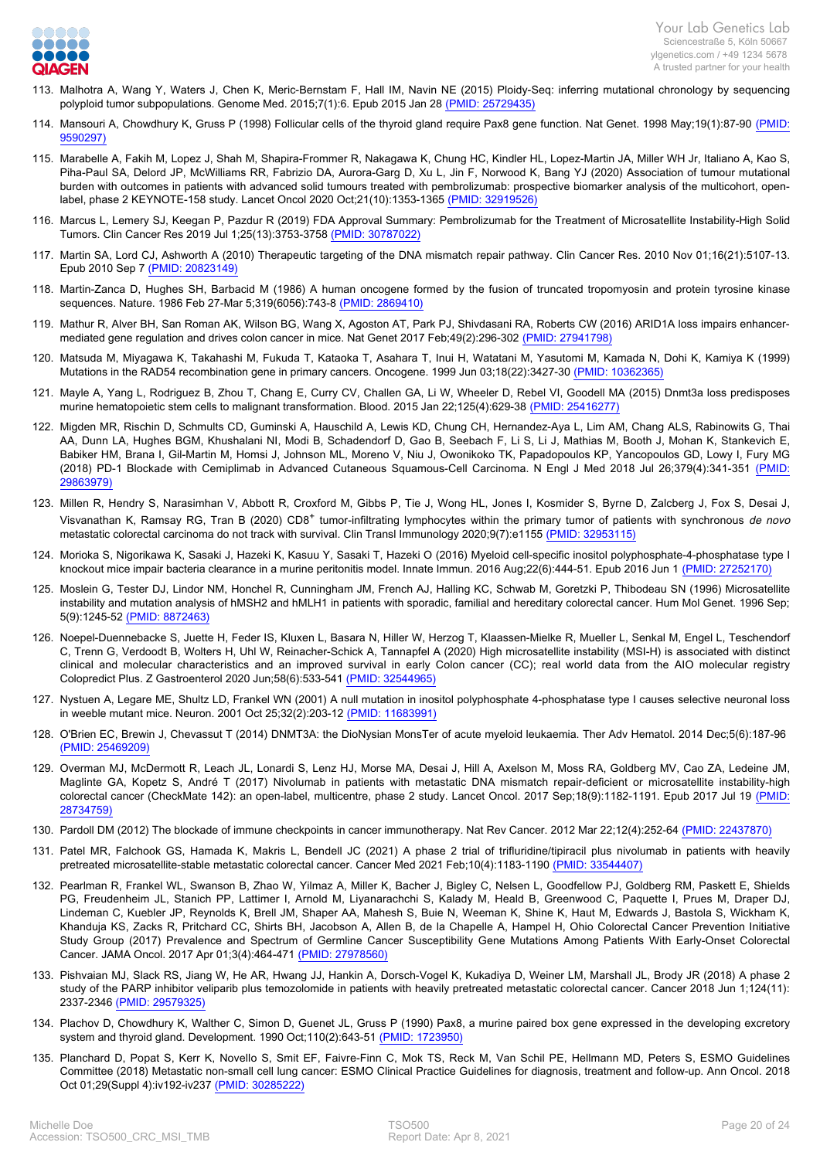

- 113. [Malhotra A, Wang Y, Waters J, Chen K, Meric-Bernstam F, Hall IM, Navin NE \(2015\) Ploidy-Seq: inferring mutational chronology by sequencing](https://www.ncbi.nlm.nih.gov/pubmed/25729435?dopt=Abstract) [polyploid tumor subpopulations. Genome Med. 2015;7\(1\):6. Epub 2015 Jan 28 \(PMID: 25729435\)](https://www.ncbi.nlm.nih.gov/pubmed/25729435?dopt=Abstract)
- 114. [Mansouri A, Chowdhury K, Gruss P \(1998\) Follicular cells of the thyroid gland require Pax8 gene function. Nat Genet. 1998 May;19\(1\):87-90 \(PMID:](https://www.ncbi.nlm.nih.gov/pubmed/9590297?dopt=Abstract) [9590297\)](https://www.ncbi.nlm.nih.gov/pubmed/9590297?dopt=Abstract)
- 115. [Marabelle A, Fakih M, Lopez J, Shah M, Shapira-Frommer R, Nakagawa K, Chung HC, Kindler HL, Lopez-Martin JA, Miller WH Jr, Italiano A, Kao S,](https://www.ncbi.nlm.nih.gov/pubmed/32919526?dopt=Abstract) [Piha-Paul SA, Delord JP, McWilliams RR, Fabrizio DA, Aurora-Garg D, Xu L, Jin F, Norwood K, Bang YJ \(2020\) Association of tumour mutational](https://www.ncbi.nlm.nih.gov/pubmed/32919526?dopt=Abstract) [burden with outcomes in patients with advanced solid tumours treated with pembrolizumab: prospective biomarker analysis of the multicohort, open](https://www.ncbi.nlm.nih.gov/pubmed/32919526?dopt=Abstract)[label, phase 2 KEYNOTE-158 study. Lancet Oncol 2020 Oct;21\(10\):1353-1365 \(PMID: 32919526\)](https://www.ncbi.nlm.nih.gov/pubmed/32919526?dopt=Abstract)
- 116. [Marcus L, Lemery SJ, Keegan P, Pazdur R \(2019\) FDA Approval Summary: Pembrolizumab for the Treatment of Microsatellite Instability-High Solid](https://www.ncbi.nlm.nih.gov/pubmed/30787022?dopt=Abstract) [Tumors. Clin Cancer Res 2019 Jul 1;25\(13\):3753-3758 \(PMID: 30787022\)](https://www.ncbi.nlm.nih.gov/pubmed/30787022?dopt=Abstract)
- 117. [Martin SA, Lord CJ, Ashworth A \(2010\) Therapeutic targeting of the DNA mismatch repair pathway. Clin Cancer Res. 2010 Nov 01;16\(21\):5107-13.](https://www.ncbi.nlm.nih.gov/pubmed/20823149?dopt=Abstract) [Epub 2010 Sep 7 \(PMID: 20823149\)](https://www.ncbi.nlm.nih.gov/pubmed/20823149?dopt=Abstract)
- 118. [Martin-Zanca D, Hughes SH, Barbacid M \(1986\) A human oncogene formed by the fusion of truncated tropomyosin and protein tyrosine kinase](https://www.ncbi.nlm.nih.gov/pubmed/2869410?dopt=Abstract) [sequences. Nature. 1986 Feb 27-Mar 5;319\(6056\):743-8 \(PMID: 2869410\)](https://www.ncbi.nlm.nih.gov/pubmed/2869410?dopt=Abstract)
- 119. [Mathur R, Alver BH, San Roman AK, Wilson BG, Wang X, Agoston AT, Park PJ, Shivdasani RA, Roberts CW \(2016\) ARID1A loss impairs enhancer](https://www.ncbi.nlm.nih.gov/pubmed/27941798?dopt=Abstract)[mediated gene regulation and drives colon cancer in mice. Nat Genet 2017 Feb;49\(2\):296-302 \(PMID: 27941798\)](https://www.ncbi.nlm.nih.gov/pubmed/27941798?dopt=Abstract)
- 120. [Matsuda M, Miyagawa K, Takahashi M, Fukuda T, Kataoka T, Asahara T, Inui H, Watatani M, Yasutomi M, Kamada N, Dohi K, Kamiya K \(1999\)](https://www.ncbi.nlm.nih.gov/pubmed/10362365?dopt=Abstract) [Mutations in the RAD54 recombination gene in primary cancers. Oncogene. 1999 Jun 03;18\(22\):3427-30 \(PMID: 10362365\)](https://www.ncbi.nlm.nih.gov/pubmed/10362365?dopt=Abstract)
- 121. [Mayle A, Yang L, Rodriguez B, Zhou T, Chang E, Curry CV, Challen GA, Li W, Wheeler D, Rebel VI, Goodell MA \(2015\) Dnmt3a loss predisposes](https://www.ncbi.nlm.nih.gov/pubmed/25416277?dopt=Abstract) [murine hematopoietic stem cells to malignant transformation. Blood. 2015 Jan 22;125\(4\):629-38 \(PMID: 25416277\)](https://www.ncbi.nlm.nih.gov/pubmed/25416277?dopt=Abstract)
- 122. [Migden MR, Rischin D, Schmults CD, Guminski A, Hauschild A, Lewis KD, Chung CH, Hernandez-Aya L, Lim AM, Chang ALS, Rabinowits G, Thai](https://www.ncbi.nlm.nih.gov/pubmed/29863979?dopt=Abstract) [AA, Dunn LA, Hughes BGM, Khushalani NI, Modi B, Schadendorf D, Gao B, Seebach F, Li S, Li J, Mathias M, Booth J, Mohan K, Stankevich E,](https://www.ncbi.nlm.nih.gov/pubmed/29863979?dopt=Abstract) [Babiker HM, Brana I, Gil-Martin M, Homsi J, Johnson ML, Moreno V, Niu J, Owonikoko TK, Papadopoulos KP, Yancopoulos GD, Lowy I, Fury MG](https://www.ncbi.nlm.nih.gov/pubmed/29863979?dopt=Abstract) [\(2018\) PD-1 Blockade with Cemiplimab in Advanced Cutaneous Squamous-Cell Carcinoma. N Engl J Med 2018 Jul 26;379\(4\):341-351 \(PMID:](https://www.ncbi.nlm.nih.gov/pubmed/29863979?dopt=Abstract) [29863979\)](https://www.ncbi.nlm.nih.gov/pubmed/29863979?dopt=Abstract)
- 123. [Millen R, Hendry S, Narasimhan V, Abbott R, Croxford M, Gibbs P, Tie J, Wong HL, Jones I, Kosmider S, Byrne D, Zalcberg J, Fox S, Desai J,](https://www.ncbi.nlm.nih.gov/pubmed/32953115?dopt=Abstract) Visvanathan K, Ramsay RG, Tran B (2020) CD8<sup>+</sup> tumor-infiltrating lymphocytes within the primary tumor of patients with synchronous *de novo* [metastatic colorectal carcinoma do not track with survival. Clin Transl Immunology 2020;9\(7\):e1155 \(PMID: 32953115\)](https://www.ncbi.nlm.nih.gov/pubmed/32953115?dopt=Abstract)
- 124. [Morioka S, Nigorikawa K, Sasaki J, Hazeki K, Kasuu Y, Sasaki T, Hazeki O \(2016\) Myeloid cell-specific inositol polyphosphate-4-phosphatase type I](https://www.ncbi.nlm.nih.gov/pubmed/27252170?dopt=Abstract) [knockout mice impair bacteria clearance in a murine peritonitis model. Innate Immun. 2016 Aug;22\(6\):444-51. Epub 2016 Jun 1 \(PMID: 27252170\)](https://www.ncbi.nlm.nih.gov/pubmed/27252170?dopt=Abstract)
- 125. [Moslein G, Tester DJ, Lindor NM, Honchel R, Cunningham JM, French AJ, Halling KC, Schwab M, Goretzki P, Thibodeau SN \(1996\) Microsatellite](https://www.ncbi.nlm.nih.gov/pubmed/8872463?dopt=Abstract) [instability and mutation analysis of hMSH2 and hMLH1 in patients with sporadic, familial and hereditary colorectal cancer. Hum Mol Genet. 1996 Sep;](https://www.ncbi.nlm.nih.gov/pubmed/8872463?dopt=Abstract) [5\(9\):1245-52 \(PMID: 8872463\)](https://www.ncbi.nlm.nih.gov/pubmed/8872463?dopt=Abstract)
- 126. [Noepel-Duennebacke S, Juette H, Feder IS, Kluxen L, Basara N, Hiller W, Herzog T, Klaassen-Mielke R, Mueller L, Senkal M, Engel L, Teschendorf](https://www.ncbi.nlm.nih.gov/pubmed/32544965?dopt=Abstract) [C, Trenn G, Verdoodt B, Wolters H, Uhl W, Reinacher-Schick A, Tannapfel A \(2020\) High microsatellite instability \(MSI-H\) is associated with distinct](https://www.ncbi.nlm.nih.gov/pubmed/32544965?dopt=Abstract) [clinical and molecular characteristics and an improved survival in early Colon cancer \(CC\); real world data from the AIO molecular registry](https://www.ncbi.nlm.nih.gov/pubmed/32544965?dopt=Abstract) [Colopredict Plus. Z Gastroenterol 2020 Jun;58\(6\):533-541 \(PMID: 32544965\)](https://www.ncbi.nlm.nih.gov/pubmed/32544965?dopt=Abstract)
- 127. [Nystuen A, Legare ME, Shultz LD, Frankel WN \(2001\) A null mutation in inositol polyphosphate 4-phosphatase type I causes selective neuronal loss](https://www.ncbi.nlm.nih.gov/pubmed/11683991?dopt=Abstract) [in weeble mutant mice. Neuron. 2001 Oct 25;32\(2\):203-12 \(PMID: 11683991\)](https://www.ncbi.nlm.nih.gov/pubmed/11683991?dopt=Abstract)
- 128. [O'Brien EC, Brewin J, Chevassut T \(2014\) DNMT3A: the DioNysian MonsTer of acute myeloid leukaemia. Ther Adv Hematol. 2014 Dec;5\(6\):187-96](https://www.ncbi.nlm.nih.gov/pubmed/25469209?dopt=Abstract)  [\(PMID: 25469209\)](https://www.ncbi.nlm.nih.gov/pubmed/25469209?dopt=Abstract)
- 129. [Overman MJ, McDermott R, Leach JL, Lonardi S, Lenz HJ, Morse MA, Desai J, Hill A, Axelson M, Moss RA, Goldberg MV, Cao ZA, Ledeine JM,](https://www.ncbi.nlm.nih.gov/pubmed/28734759?dopt=Abstract) [Maglinte GA, Kopetz S, André T \(2017\) Nivolumab in patients with metastatic DNA mismatch repair-deficient or microsatellite instability-high](https://www.ncbi.nlm.nih.gov/pubmed/28734759?dopt=Abstract) [colorectal cancer \(CheckMate 142\): an open-label, multicentre, phase 2 study. Lancet Oncol. 2017 Sep;18\(9\):1182-1191. Epub 2017 Jul 19 \(PMID:](https://www.ncbi.nlm.nih.gov/pubmed/28734759?dopt=Abstract) [28734759\)](https://www.ncbi.nlm.nih.gov/pubmed/28734759?dopt=Abstract)
- 130. [Pardoll DM \(2012\) The blockade of immune checkpoints in cancer immunotherapy. Nat Rev Cancer. 2012 Mar 22;12\(4\):252-64 \(PMID: 22437870\)](https://www.ncbi.nlm.nih.gov/pubmed/22437870?dopt=Abstract)
- 131. [Patel MR, Falchook GS, Hamada K, Makris L, Bendell JC \(2021\) A phase 2 trial of trifluridine/tipiracil plus nivolumab in patients with heavily](https://www.ncbi.nlm.nih.gov/pubmed/33544407?dopt=Abstract) [pretreated microsatellite-stable metastatic colorectal cancer. Cancer Med 2021 Feb;10\(4\):1183-1190 \(PMID: 33544407\)](https://www.ncbi.nlm.nih.gov/pubmed/33544407?dopt=Abstract)
- 132. [Pearlman R, Frankel WL, Swanson B, Zhao W, Yilmaz A, Miller K, Bacher J, Bigley C, Nelsen L, Goodfellow PJ, Goldberg RM, Paskett E, Shields](https://www.ncbi.nlm.nih.gov/pubmed/27978560?dopt=Abstract) [PG, Freudenheim JL, Stanich PP, Lattimer I, Arnold M, Liyanarachchi S, Kalady M, Heald B, Greenwood C, Paquette I, Prues M, Draper DJ,](https://www.ncbi.nlm.nih.gov/pubmed/27978560?dopt=Abstract) [Lindeman C, Kuebler JP, Reynolds K, Brell JM, Shaper AA, Mahesh S, Buie N, Weeman K, Shine K, Haut M, Edwards J, Bastola S, Wickham K,](https://www.ncbi.nlm.nih.gov/pubmed/27978560?dopt=Abstract) [Khanduja KS, Zacks R, Pritchard CC, Shirts BH, Jacobson A, Allen B, de la Chapelle A, Hampel H, Ohio Colorectal Cancer Prevention Initiative](https://www.ncbi.nlm.nih.gov/pubmed/27978560?dopt=Abstract) [Study Group \(2017\) Prevalence and Spectrum of Germline Cancer Susceptibility Gene Mutations Among Patients With Early-Onset Colorectal](https://www.ncbi.nlm.nih.gov/pubmed/27978560?dopt=Abstract) [Cancer. JAMA Oncol. 2017 Apr 01;3\(4\):464-471 \(PMID: 27978560\)](https://www.ncbi.nlm.nih.gov/pubmed/27978560?dopt=Abstract)
- 133. [Pishvaian MJ, Slack RS, Jiang W, He AR, Hwang JJ, Hankin A, Dorsch-Vogel K, Kukadiya D, Weiner LM, Marshall JL, Brody JR \(2018\) A phase 2](https://www.ncbi.nlm.nih.gov/pubmed/29579325?dopt=Abstract) [study of the PARP inhibitor veliparib plus temozolomide in patients with heavily pretreated metastatic colorectal cancer. Cancer 2018 Jun 1;124\(11\):](https://www.ncbi.nlm.nih.gov/pubmed/29579325?dopt=Abstract) [2337-2346 \(PMID: 29579325\)](https://www.ncbi.nlm.nih.gov/pubmed/29579325?dopt=Abstract)
- 134. [Plachov D, Chowdhury K, Walther C, Simon D, Guenet JL, Gruss P \(1990\) Pax8, a murine paired box gene expressed in the developing excretory](https://www.ncbi.nlm.nih.gov/pubmed/1723950?dopt=Abstract) [system and thyroid gland. Development. 1990 Oct;110\(2\):643-51 \(PMID: 1723950\)](https://www.ncbi.nlm.nih.gov/pubmed/1723950?dopt=Abstract)
- 135. [Planchard D, Popat S, Kerr K, Novello S, Smit EF, Faivre-Finn C, Mok TS, Reck M, Van Schil PE, Hellmann MD, Peters S, ESMO Guidelines](https://www.ncbi.nlm.nih.gov/pubmed/30285222?dopt=Abstract) [Committee \(2018\) Metastatic non-small cell lung cancer: ESMO Clinical Practice Guidelines for diagnosis, treatment and follow-up. Ann Oncol. 2018](https://www.ncbi.nlm.nih.gov/pubmed/30285222?dopt=Abstract) [Oct 01;29\(Suppl 4\):iv192-iv237 \(PMID: 30285222\)](https://www.ncbi.nlm.nih.gov/pubmed/30285222?dopt=Abstract)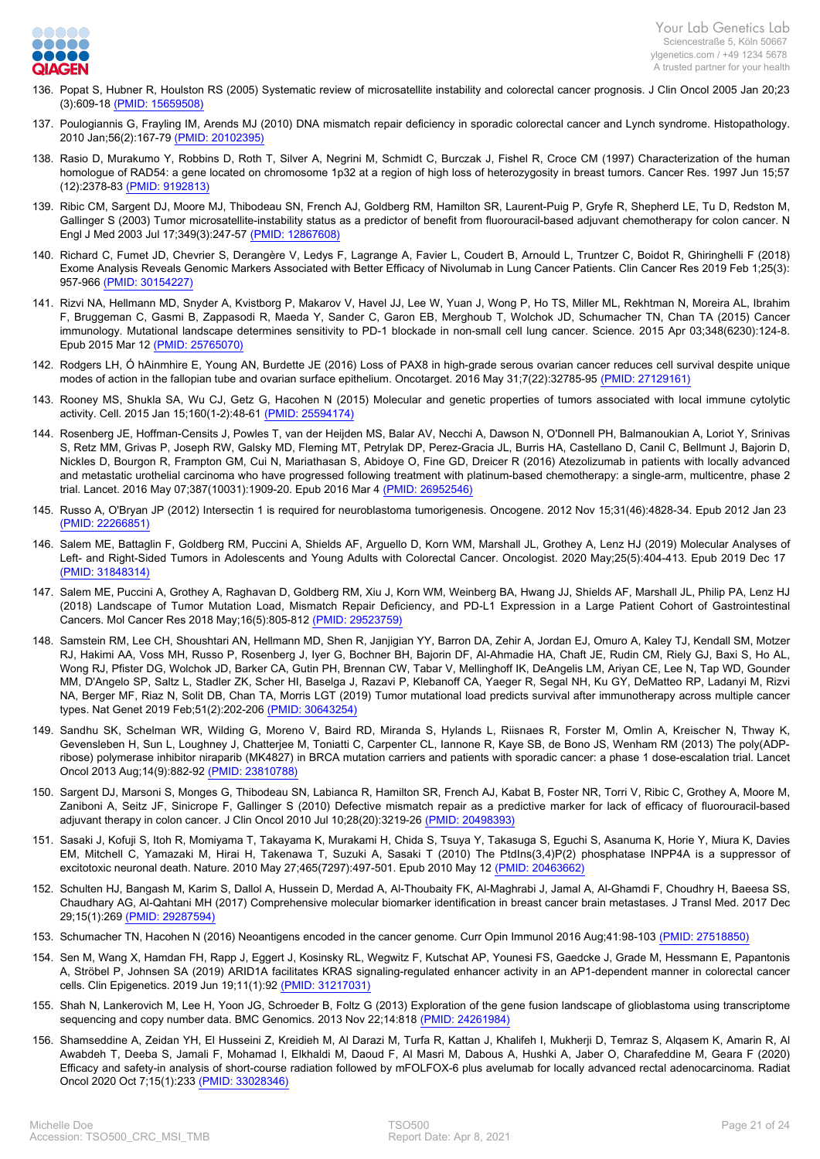

- 136. [Popat S, Hubner R, Houlston RS \(2005\) Systematic review of microsatellite instability and colorectal cancer prognosis. J Clin Oncol 2005 Jan 20;23](https://www.ncbi.nlm.nih.gov/pubmed/15659508?dopt=Abstract) [\(3\):609-18 \(PMID: 15659508\)](https://www.ncbi.nlm.nih.gov/pubmed/15659508?dopt=Abstract)
- 137. [Poulogiannis G, Frayling IM, Arends MJ \(2010\) DNA mismatch repair deficiency in sporadic colorectal cancer and Lynch syndrome. Histopathology.](https://www.ncbi.nlm.nih.gov/pubmed/20102395?dopt=Abstract) [2010 Jan;56\(2\):167-79 \(PMID: 20102395\)](https://www.ncbi.nlm.nih.gov/pubmed/20102395?dopt=Abstract)
- 138. [Rasio D, Murakumo Y, Robbins D, Roth T, Silver A, Negrini M, Schmidt C, Burczak J, Fishel R, Croce CM \(1997\) Characterization of the human](https://www.ncbi.nlm.nih.gov/pubmed/9192813?dopt=Abstract) [homologue of RAD54: a gene located on chromosome 1p32 at a region of high loss of heterozygosity in breast tumors. Cancer Res. 1997 Jun 15;57](https://www.ncbi.nlm.nih.gov/pubmed/9192813?dopt=Abstract) [\(12\):2378-83 \(PMID: 9192813\)](https://www.ncbi.nlm.nih.gov/pubmed/9192813?dopt=Abstract)
- 139. [Ribic CM, Sargent DJ, Moore MJ, Thibodeau SN, French AJ, Goldberg RM, Hamilton SR, Laurent-Puig P, Gryfe R, Shepherd LE, Tu D, Redston M,](https://www.ncbi.nlm.nih.gov/pubmed/12867608?dopt=Abstract) [Gallinger S \(2003\) Tumor microsatellite-instability status as a predictor of benefit from fluorouracil-based adjuvant chemotherapy for colon cancer. N](https://www.ncbi.nlm.nih.gov/pubmed/12867608?dopt=Abstract) [Engl J Med 2003 Jul 17;349\(3\):247-57 \(PMID: 12867608\)](https://www.ncbi.nlm.nih.gov/pubmed/12867608?dopt=Abstract)
- 140. [Richard C, Fumet JD, Chevrier S, Derangère V, Ledys F, Lagrange A, Favier L, Coudert B, Arnould L, Truntzer C, Boidot R, Ghiringhelli F \(2018\)](https://www.ncbi.nlm.nih.gov/pubmed/30154227?dopt=Abstract) [Exome Analysis Reveals Genomic Markers Associated with Better Efficacy of Nivolumab in Lung Cancer Patients. Clin Cancer Res 2019 Feb 1;25\(3\):](https://www.ncbi.nlm.nih.gov/pubmed/30154227?dopt=Abstract) [957-966 \(PMID: 30154227\)](https://www.ncbi.nlm.nih.gov/pubmed/30154227?dopt=Abstract)
- 141. [Rizvi NA, Hellmann MD, Snyder A, Kvistborg P, Makarov V, Havel JJ, Lee W, Yuan J, Wong P, Ho TS, Miller ML, Rekhtman N, Moreira AL, Ibrahim](https://www.ncbi.nlm.nih.gov/pubmed/25765070?dopt=Abstract) [F, Bruggeman C, Gasmi B, Zappasodi R, Maeda Y, Sander C, Garon EB, Merghoub T, Wolchok JD, Schumacher TN, Chan TA \(2015\) Cancer](https://www.ncbi.nlm.nih.gov/pubmed/25765070?dopt=Abstract) [immunology. Mutational landscape determines sensitivity to PD-1 blockade in non-small cell lung cancer. Science. 2015 Apr 03;348\(6230\):124-8.](https://www.ncbi.nlm.nih.gov/pubmed/25765070?dopt=Abstract) [Epub 2015 Mar 12 \(PMID: 25765070\)](https://www.ncbi.nlm.nih.gov/pubmed/25765070?dopt=Abstract)
- 142. [Rodgers LH, Ó hAinmhire E, Young AN, Burdette JE \(2016\) Loss of PAX8 in high-grade serous ovarian cancer reduces cell survival despite unique](https://www.ncbi.nlm.nih.gov/pubmed/27129161?dopt=Abstract) [modes of action in the fallopian tube and ovarian surface epithelium. Oncotarget. 2016 May 31;7\(22\):32785-95 \(PMID: 27129161\)](https://www.ncbi.nlm.nih.gov/pubmed/27129161?dopt=Abstract)
- 143. [Rooney MS, Shukla SA, Wu CJ, Getz G, Hacohen N \(2015\) Molecular and genetic properties of tumors associated with local immune cytolytic](https://www.ncbi.nlm.nih.gov/pubmed/25594174?dopt=Abstract) [activity. Cell. 2015 Jan 15;160\(1-2\):48-61 \(PMID: 25594174\)](https://www.ncbi.nlm.nih.gov/pubmed/25594174?dopt=Abstract)
- 144. [Rosenberg JE, Hoffman-Censits J, Powles T, van der Heijden MS, Balar AV, Necchi A, Dawson N, O'Donnell PH, Balmanoukian A, Loriot Y, Srinivas](https://www.ncbi.nlm.nih.gov/pubmed/26952546?dopt=Abstract) [S, Retz MM, Grivas P, Joseph RW, Galsky MD, Fleming MT, Petrylak DP, Perez-Gracia JL, Burris HA, Castellano D, Canil C, Bellmunt J, Bajorin D,](https://www.ncbi.nlm.nih.gov/pubmed/26952546?dopt=Abstract) [Nickles D, Bourgon R, Frampton GM, Cui N, Mariathasan S, Abidoye O, Fine GD, Dreicer R \(2016\) Atezolizumab in patients with locally advanced](https://www.ncbi.nlm.nih.gov/pubmed/26952546?dopt=Abstract) [and metastatic urothelial carcinoma who have progressed following treatment with platinum-based chemotherapy: a single-arm, multicentre, phase 2](https://www.ncbi.nlm.nih.gov/pubmed/26952546?dopt=Abstract) [trial. Lancet. 2016 May 07;387\(10031\):1909-20. Epub 2016 Mar 4 \(PMID: 26952546\)](https://www.ncbi.nlm.nih.gov/pubmed/26952546?dopt=Abstract)
- 145. [Russo A, O'Bryan JP \(2012\) Intersectin 1 is required for neuroblastoma tumorigenesis. Oncogene. 2012 Nov 15;31\(46\):4828-34. Epub 2012 Jan 23](https://www.ncbi.nlm.nih.gov/pubmed/22266851?dopt=Abstract)  [\(PMID: 22266851\)](https://www.ncbi.nlm.nih.gov/pubmed/22266851?dopt=Abstract)
- 146. [Salem ME, Battaglin F, Goldberg RM, Puccini A, Shields AF, Arguello D, Korn WM, Marshall JL, Grothey A, Lenz HJ \(2019\) Molecular Analyses of](https://www.ncbi.nlm.nih.gov/pubmed/31848314?dopt=Abstract) [Left- and Right-Sided Tumors in Adolescents and Young Adults with Colorectal Cancer. Oncologist. 2020 May;25\(5\):404-413. Epub 2019 Dec 17](https://www.ncbi.nlm.nih.gov/pubmed/31848314?dopt=Abstract)  [\(PMID: 31848314\)](https://www.ncbi.nlm.nih.gov/pubmed/31848314?dopt=Abstract)
- 147. [Salem ME, Puccini A, Grothey A, Raghavan D, Goldberg RM, Xiu J, Korn WM, Weinberg BA, Hwang JJ, Shields AF, Marshall JL, Philip PA, Lenz HJ](https://www.ncbi.nlm.nih.gov/pubmed/29523759?dopt=Abstract) [\(2018\) Landscape of Tumor Mutation Load, Mismatch Repair Deficiency, and PD-L1 Expression in a Large Patient Cohort of Gastrointestinal](https://www.ncbi.nlm.nih.gov/pubmed/29523759?dopt=Abstract) [Cancers. Mol Cancer Res 2018 May;16\(5\):805-812 \(PMID: 29523759\)](https://www.ncbi.nlm.nih.gov/pubmed/29523759?dopt=Abstract)
- 148. [Samstein RM, Lee CH, Shoushtari AN, Hellmann MD, Shen R, Janjigian YY, Barron DA, Zehir A, Jordan EJ, Omuro A, Kaley TJ, Kendall SM, Motzer](https://www.ncbi.nlm.nih.gov/pubmed/30643254?dopt=Abstract) [RJ, Hakimi AA, Voss MH, Russo P, Rosenberg J, Iyer G, Bochner BH, Bajorin DF, Al-Ahmadie HA, Chaft JE, Rudin CM, Riely GJ, Baxi S, Ho AL,](https://www.ncbi.nlm.nih.gov/pubmed/30643254?dopt=Abstract) [Wong RJ, Pfister DG, Wolchok JD, Barker CA, Gutin PH, Brennan CW, Tabar V, Mellinghoff IK, DeAngelis LM, Ariyan CE, Lee N, Tap WD, Gounder](https://www.ncbi.nlm.nih.gov/pubmed/30643254?dopt=Abstract) [MM, D'Angelo SP, Saltz L, Stadler ZK, Scher HI, Baselga J, Razavi P, Klebanoff CA, Yaeger R, Segal NH, Ku GY, DeMatteo RP, Ladanyi M, Rizvi](https://www.ncbi.nlm.nih.gov/pubmed/30643254?dopt=Abstract) [NA, Berger MF, Riaz N, Solit DB, Chan TA, Morris LGT \(2019\) Tumor mutational load predicts survival after immunotherapy across multiple cancer](https://www.ncbi.nlm.nih.gov/pubmed/30643254?dopt=Abstract) [types. Nat Genet 2019 Feb;51\(2\):202-206 \(PMID: 30643254\)](https://www.ncbi.nlm.nih.gov/pubmed/30643254?dopt=Abstract)
- 149. [Sandhu SK, Schelman WR, Wilding G, Moreno V, Baird RD, Miranda S, Hylands L, Riisnaes R, Forster M, Omlin A, Kreischer N, Thway K,](https://www.ncbi.nlm.nih.gov/pubmed/23810788?dopt=Abstract) [Gevensleben H, Sun L, Loughney J, Chatterjee M, Toniatti C, Carpenter CL, Iannone R, Kaye SB, de Bono JS, Wenham RM \(2013\) The poly\(ADP](https://www.ncbi.nlm.nih.gov/pubmed/23810788?dopt=Abstract)[ribose\) polymerase inhibitor niraparib \(MK4827\) in BRCA mutation carriers and patients with sporadic cancer: a phase 1 dose-escalation trial. Lancet](https://www.ncbi.nlm.nih.gov/pubmed/23810788?dopt=Abstract) [Oncol 2013 Aug;14\(9\):882-92 \(PMID: 23810788\)](https://www.ncbi.nlm.nih.gov/pubmed/23810788?dopt=Abstract)
- 150. [Sargent DJ, Marsoni S, Monges G, Thibodeau SN, Labianca R, Hamilton SR, French AJ, Kabat B, Foster NR, Torri V, Ribic C, Grothey A, Moore M,](https://www.ncbi.nlm.nih.gov/pubmed/20498393?dopt=Abstract) [Zaniboni A, Seitz JF, Sinicrope F, Gallinger S \(2010\) Defective mismatch repair as a predictive marker for lack of efficacy of fluorouracil-based](https://www.ncbi.nlm.nih.gov/pubmed/20498393?dopt=Abstract) [adjuvant therapy in colon cancer. J Clin Oncol 2010 Jul 10;28\(20\):3219-26 \(PMID: 20498393\)](https://www.ncbi.nlm.nih.gov/pubmed/20498393?dopt=Abstract)
- 151. [Sasaki J, Kofuji S, Itoh R, Momiyama T, Takayama K, Murakami H, Chida S, Tsuya Y, Takasuga S, Eguchi S, Asanuma K, Horie Y, Miura K, Davies](https://www.ncbi.nlm.nih.gov/pubmed/20463662?dopt=Abstract) [EM, Mitchell C, Yamazaki M, Hirai H, Takenawa T, Suzuki A, Sasaki T \(2010\) The PtdIns\(3,4\)P\(2\) phosphatase INPP4A is a suppressor of](https://www.ncbi.nlm.nih.gov/pubmed/20463662?dopt=Abstract) [excitotoxic neuronal death. Nature. 2010 May 27;465\(7297\):497-501. Epub 2010 May 12 \(PMID: 20463662\)](https://www.ncbi.nlm.nih.gov/pubmed/20463662?dopt=Abstract)
- 152. [Schulten HJ, Bangash M, Karim S, Dallol A, Hussein D, Merdad A, Al-Thoubaity FK, Al-Maghrabi J, Jamal A, Al-Ghamdi F, Choudhry H, Baeesa SS,](https://www.ncbi.nlm.nih.gov/pubmed/29287594?dopt=Abstract) [Chaudhary AG, Al-Qahtani MH \(2017\) Comprehensive molecular biomarker identification in breast cancer brain metastases. J Transl Med. 2017 Dec](https://www.ncbi.nlm.nih.gov/pubmed/29287594?dopt=Abstract) [29;15\(1\):269 \(PMID: 29287594\)](https://www.ncbi.nlm.nih.gov/pubmed/29287594?dopt=Abstract)
- 153. [Schumacher TN, Hacohen N \(2016\) Neoantigens encoded in the cancer genome. Curr Opin Immunol 2016 Aug;41:98-103 \(PMID: 27518850\)](https://www.ncbi.nlm.nih.gov/pubmed/27518850?dopt=Abstract)
- 154. [Sen M, Wang X, Hamdan FH, Rapp J, Eggert J, Kosinsky RL, Wegwitz F, Kutschat AP, Younesi FS, Gaedcke J, Grade M, Hessmann E, Papantonis](https://www.ncbi.nlm.nih.gov/pubmed/31217031?dopt=Abstract) [A, Ströbel P, Johnsen SA \(2019\) ARID1A facilitates KRAS signaling-regulated enhancer activity in an AP1-dependent manner in colorectal cancer](https://www.ncbi.nlm.nih.gov/pubmed/31217031?dopt=Abstract) [cells. Clin Epigenetics. 2019 Jun 19;11\(1\):92 \(PMID: 31217031\)](https://www.ncbi.nlm.nih.gov/pubmed/31217031?dopt=Abstract)
- 155. [Shah N, Lankerovich M, Lee H, Yoon JG, Schroeder B, Foltz G \(2013\) Exploration of the gene fusion landscape of glioblastoma using transcriptome](https://www.ncbi.nlm.nih.gov/pubmed/24261984?dopt=Abstract) [sequencing and copy number data. BMC Genomics. 2013 Nov 22;14:818 \(PMID: 24261984\)](https://www.ncbi.nlm.nih.gov/pubmed/24261984?dopt=Abstract)
- 156. [Shamseddine A, Zeidan YH, El Husseini Z, Kreidieh M, Al Darazi M, Turfa R, Kattan J, Khalifeh I, Mukherji D, Temraz S, Alqasem K, Amarin R, Al](https://www.ncbi.nlm.nih.gov/pubmed/33028346?dopt=Abstract) [Awabdeh T, Deeba S, Jamali F, Mohamad I, Elkhaldi M, Daoud F, Al Masri M, Dabous A, Hushki A, Jaber O, Charafeddine M, Geara F \(2020\)](https://www.ncbi.nlm.nih.gov/pubmed/33028346?dopt=Abstract) [Efficacy and safety-in analysis of short-course radiation followed by mFOLFOX-6 plus avelumab for locally advanced rectal adenocarcinoma. Radiat](https://www.ncbi.nlm.nih.gov/pubmed/33028346?dopt=Abstract) [Oncol 2020 Oct 7;15\(1\):233 \(PMID: 33028346\)](https://www.ncbi.nlm.nih.gov/pubmed/33028346?dopt=Abstract)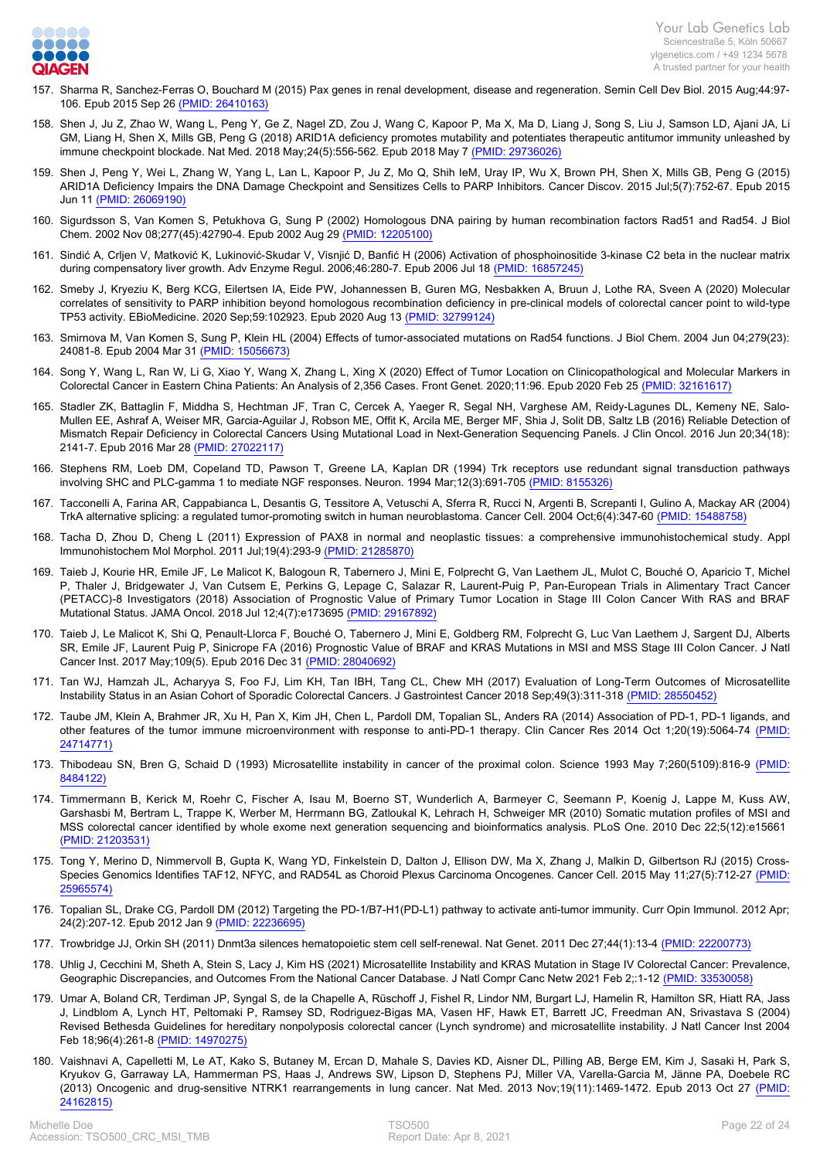

- 157. [Sharma R, Sanchez-Ferras O, Bouchard M \(2015\) Pax genes in renal development, disease and regeneration. Semin Cell Dev Biol. 2015 Aug;44:97-](https://www.ncbi.nlm.nih.gov/pubmed/26410163?dopt=Abstract) [106. Epub 2015 Sep 26 \(PMID: 26410163\)](https://www.ncbi.nlm.nih.gov/pubmed/26410163?dopt=Abstract)
- 158. [Shen J, Ju Z, Zhao W, Wang L, Peng Y, Ge Z, Nagel ZD, Zou J, Wang C, Kapoor P, Ma X, Ma D, Liang J, Song S, Liu J, Samson LD, Ajani JA, Li](https://www.ncbi.nlm.nih.gov/pubmed/29736026?dopt=Abstract) [GM, Liang H, Shen X, Mills GB, Peng G \(2018\) ARID1A deficiency promotes mutability and potentiates therapeutic antitumor immunity unleashed by](https://www.ncbi.nlm.nih.gov/pubmed/29736026?dopt=Abstract) [immune checkpoint blockade. Nat Med. 2018 May;24\(5\):556-562. Epub 2018 May 7 \(PMID: 29736026\)](https://www.ncbi.nlm.nih.gov/pubmed/29736026?dopt=Abstract)
- 159. [Shen J, Peng Y, Wei L, Zhang W, Yang L, Lan L, Kapoor P, Ju Z, Mo Q, Shih IeM, Uray IP, Wu X, Brown PH, Shen X, Mills GB, Peng G \(2015\)](https://www.ncbi.nlm.nih.gov/pubmed/26069190?dopt=Abstract) [ARID1A Deficiency Impairs the DNA Damage Checkpoint and Sensitizes Cells to PARP Inhibitors. Cancer Discov. 2015 Jul;5\(7\):752-67. Epub 2015](https://www.ncbi.nlm.nih.gov/pubmed/26069190?dopt=Abstract) [Jun 11 \(PMID: 26069190\)](https://www.ncbi.nlm.nih.gov/pubmed/26069190?dopt=Abstract)
- 160. [Sigurdsson S, Van Komen S, Petukhova G, Sung P \(2002\) Homologous DNA pairing by human recombination factors Rad51 and Rad54. J Biol](https://www.ncbi.nlm.nih.gov/pubmed/12205100?dopt=Abstract) [Chem. 2002 Nov 08;277\(45\):42790-4. Epub 2002 Aug 29 \(PMID: 12205100\)](https://www.ncbi.nlm.nih.gov/pubmed/12205100?dopt=Abstract)
- 161. [Sindić A, Crljen V, Matković K, Lukinović-Skudar V, Visnjić D, Banfić H \(2006\) Activation of phosphoinositide 3-kinase C2 beta in the nuclear matrix](https://www.ncbi.nlm.nih.gov/pubmed/16857245?dopt=Abstract) [during compensatory liver growth. Adv Enzyme Regul. 2006;46:280-7. Epub 2006 Jul 18 \(PMID: 16857245\)](https://www.ncbi.nlm.nih.gov/pubmed/16857245?dopt=Abstract)
- 162. [Smeby J, Kryeziu K, Berg KCG, Eilertsen IA, Eide PW, Johannessen B, Guren MG, Nesbakken A, Bruun J, Lothe RA, Sveen A \(2020\) Molecular](https://www.ncbi.nlm.nih.gov/pubmed/32799124?dopt=Abstract) [correlates of sensitivity to PARP inhibition beyond homologous recombination deficiency in pre-clinical models of colorectal cancer point to wild-type](https://www.ncbi.nlm.nih.gov/pubmed/32799124?dopt=Abstract) [TP53 activity. EBioMedicine. 2020 Sep;59:102923. Epub 2020 Aug 13 \(PMID: 32799124\)](https://www.ncbi.nlm.nih.gov/pubmed/32799124?dopt=Abstract)
- 163. [Smirnova M, Van Komen S, Sung P, Klein HL \(2004\) Effects of tumor-associated mutations on Rad54 functions. J Biol Chem. 2004 Jun 04;279\(23\):](https://www.ncbi.nlm.nih.gov/pubmed/15056673?dopt=Abstract) [24081-8. Epub 2004 Mar 31 \(PMID: 15056673\)](https://www.ncbi.nlm.nih.gov/pubmed/15056673?dopt=Abstract)
- 164. [Song Y, Wang L, Ran W, Li G, Xiao Y, Wang X, Zhang L, Xing X \(2020\) Effect of Tumor Location on Clinicopathological and Molecular Markers in](https://www.ncbi.nlm.nih.gov/pubmed/32161617?dopt=Abstract) [Colorectal Cancer in Eastern China Patients: An Analysis of 2,356 Cases. Front Genet. 2020;11:96. Epub 2020 Feb 25 \(PMID: 32161617\)](https://www.ncbi.nlm.nih.gov/pubmed/32161617?dopt=Abstract)
- 165. [Stadler ZK, Battaglin F, Middha S, Hechtman JF, Tran C, Cercek A, Yaeger R, Segal NH, Varghese AM, Reidy-Lagunes DL, Kemeny NE, Salo-](https://www.ncbi.nlm.nih.gov/pubmed/27022117?dopt=Abstract)[Mullen EE, Ashraf A, Weiser MR, Garcia-Aguilar J, Robson ME, Offit K, Arcila ME, Berger MF, Shia J, Solit DB, Saltz LB \(2016\) Reliable Detection of](https://www.ncbi.nlm.nih.gov/pubmed/27022117?dopt=Abstract) [Mismatch Repair Deficiency in Colorectal Cancers Using Mutational Load in Next-Generation Sequencing Panels. J Clin Oncol. 2016 Jun 20;34\(18\):](https://www.ncbi.nlm.nih.gov/pubmed/27022117?dopt=Abstract) [2141-7. Epub 2016 Mar 28 \(PMID: 27022117\)](https://www.ncbi.nlm.nih.gov/pubmed/27022117?dopt=Abstract)
- 166. [Stephens RM, Loeb DM, Copeland TD, Pawson T, Greene LA, Kaplan DR \(1994\) Trk receptors use redundant signal transduction pathways](https://www.ncbi.nlm.nih.gov/pubmed/8155326?dopt=Abstract) [involving SHC and PLC-gamma 1 to mediate NGF responses. Neuron. 1994 Mar;12\(3\):691-705 \(PMID: 8155326\)](https://www.ncbi.nlm.nih.gov/pubmed/8155326?dopt=Abstract)
- 167. [Tacconelli A, Farina AR, Cappabianca L, Desantis G, Tessitore A, Vetuschi A, Sferra R, Rucci N, Argenti B, Screpanti I, Gulino A, Mackay AR \(2004\)](https://www.ncbi.nlm.nih.gov/pubmed/15488758?dopt=Abstract) [TrkA alternative splicing: a regulated tumor-promoting switch in human neuroblastoma. Cancer Cell. 2004 Oct;6\(4\):347-60 \(PMID: 15488758\)](https://www.ncbi.nlm.nih.gov/pubmed/15488758?dopt=Abstract)
- 168. [Tacha D, Zhou D, Cheng L \(2011\) Expression of PAX8 in normal and neoplastic tissues: a comprehensive immunohistochemical study. Appl](https://www.ncbi.nlm.nih.gov/pubmed/21285870?dopt=Abstract) [Immunohistochem Mol Morphol. 2011 Jul;19\(4\):293-9 \(PMID: 21285870\)](https://www.ncbi.nlm.nih.gov/pubmed/21285870?dopt=Abstract)
- 169. [Taieb J, Kourie HR, Emile JF, Le Malicot K, Balogoun R, Tabernero J, Mini E, Folprecht G, Van Laethem JL, Mulot C, Bouché O, Aparicio T, Michel](https://www.ncbi.nlm.nih.gov/pubmed/29167892?dopt=Abstract) [P, Thaler J, Bridgewater J, Van Cutsem E, Perkins G, Lepage C, Salazar R, Laurent-Puig P, Pan-European Trials in Alimentary Tract Cancer](https://www.ncbi.nlm.nih.gov/pubmed/29167892?dopt=Abstract) [\(PETACC\)-8 Investigators \(2018\) Association of Prognostic Value of Primary Tumor Location in Stage III Colon Cancer With RAS and BRAF](https://www.ncbi.nlm.nih.gov/pubmed/29167892?dopt=Abstract) [Mutational Status. JAMA Oncol. 2018 Jul 12;4\(7\):e173695 \(PMID: 29167892\)](https://www.ncbi.nlm.nih.gov/pubmed/29167892?dopt=Abstract)
- 170. [Taieb J, Le Malicot K, Shi Q, Penault-Llorca F, Bouché O, Tabernero J, Mini E, Goldberg RM, Folprecht G, Luc Van Laethem J, Sargent DJ, Alberts](https://www.ncbi.nlm.nih.gov/pubmed/28040692?dopt=Abstract) [SR, Emile JF, Laurent Puig P, Sinicrope FA \(2016\) Prognostic Value of BRAF and KRAS Mutations in MSI and MSS Stage III Colon Cancer. J Natl](https://www.ncbi.nlm.nih.gov/pubmed/28040692?dopt=Abstract) [Cancer Inst. 2017 May;109\(5\). Epub 2016 Dec 31 \(PMID: 28040692\)](https://www.ncbi.nlm.nih.gov/pubmed/28040692?dopt=Abstract)
- 171. [Tan WJ, Hamzah JL, Acharyya S, Foo FJ, Lim KH, Tan IBH, Tang CL, Chew MH \(2017\) Evaluation of Long-Term Outcomes of Microsatellite](https://www.ncbi.nlm.nih.gov/pubmed/28550452?dopt=Abstract) [Instability Status in an Asian Cohort of Sporadic Colorectal Cancers. J Gastrointest Cancer 2018 Sep;49\(3\):311-318 \(PMID: 28550452\)](https://www.ncbi.nlm.nih.gov/pubmed/28550452?dopt=Abstract)
- 172. [Taube JM, Klein A, Brahmer JR, Xu H, Pan X, Kim JH, Chen L, Pardoll DM, Topalian SL, Anders RA \(2014\) Association of PD-1, PD-1 ligands, and](https://www.ncbi.nlm.nih.gov/pubmed/24714771?dopt=Abstract) [other features of the tumor immune microenvironment with response to anti-PD-1 therapy. Clin Cancer Res 2014 Oct 1;20\(19\):5064-74 \(PMID:](https://www.ncbi.nlm.nih.gov/pubmed/24714771?dopt=Abstract) [24714771\)](https://www.ncbi.nlm.nih.gov/pubmed/24714771?dopt=Abstract)
- 173. [Thibodeau SN, Bren G, Schaid D \(1993\) Microsatellite instability in cancer of the proximal colon. Science 1993 May 7;260\(5109\):816-9 \(PMID:](https://www.ncbi.nlm.nih.gov/pubmed/8484122?dopt=Abstract) [8484122\)](https://www.ncbi.nlm.nih.gov/pubmed/8484122?dopt=Abstract)
- 174. [Timmermann B, Kerick M, Roehr C, Fischer A, Isau M, Boerno ST, Wunderlich A, Barmeyer C, Seemann P, Koenig J, Lappe M, Kuss AW,](https://www.ncbi.nlm.nih.gov/pubmed/21203531?dopt=Abstract) [Garshasbi M, Bertram L, Trappe K, Werber M, Herrmann BG, Zatloukal K, Lehrach H, Schweiger MR \(2010\) Somatic mutation profiles of MSI and](https://www.ncbi.nlm.nih.gov/pubmed/21203531?dopt=Abstract) [MSS colorectal cancer identified by whole exome next generation sequencing and bioinformatics analysis. PLoS One. 2010 Dec 22;5\(12\):e15661](https://www.ncbi.nlm.nih.gov/pubmed/21203531?dopt=Abstract)  [\(PMID: 21203531\)](https://www.ncbi.nlm.nih.gov/pubmed/21203531?dopt=Abstract)
- 175. [Tong Y, Merino D, Nimmervoll B, Gupta K, Wang YD, Finkelstein D, Dalton J, Ellison DW, Ma X, Zhang J, Malkin D, Gilbertson RJ \(2015\) Cross-](https://www.ncbi.nlm.nih.gov/pubmed/25965574?dopt=Abstract)[Species Genomics Identifies TAF12, NFYC, and RAD54L as Choroid Plexus Carcinoma Oncogenes. Cancer Cell. 2015 May 11;27\(5\):712-27 \(PMID:](https://www.ncbi.nlm.nih.gov/pubmed/25965574?dopt=Abstract) [25965574\)](https://www.ncbi.nlm.nih.gov/pubmed/25965574?dopt=Abstract)
- 176. [Topalian SL, Drake CG, Pardoll DM \(2012\) Targeting the PD-1/B7-H1\(PD-L1\) pathway to activate anti-tumor immunity. Curr Opin Immunol. 2012 Apr;](https://www.ncbi.nlm.nih.gov/pubmed/22236695?dopt=Abstract) [24\(2\):207-12. Epub 2012 Jan 9 \(PMID: 22236695\)](https://www.ncbi.nlm.nih.gov/pubmed/22236695?dopt=Abstract)
- 177. [Trowbridge JJ, Orkin SH \(2011\) Dnmt3a silences hematopoietic stem cell self-renewal. Nat Genet. 2011 Dec 27;44\(1\):13-4 \(PMID: 22200773\)](https://www.ncbi.nlm.nih.gov/pubmed/22200773?dopt=Abstract)
- 178. [Uhlig J, Cecchini M, Sheth A, Stein S, Lacy J, Kim HS \(2021\) Microsatellite Instability and KRAS Mutation in Stage IV Colorectal Cancer: Prevalence,](https://www.ncbi.nlm.nih.gov/pubmed/33530058?dopt=Abstract) [Geographic Discrepancies, and Outcomes From the National Cancer Database. J Natl Compr Canc Netw 2021 Feb 2;:1-12 \(PMID: 33530058\)](https://www.ncbi.nlm.nih.gov/pubmed/33530058?dopt=Abstract)
- 179. [Umar A, Boland CR, Terdiman JP, Syngal S, de la Chapelle A, Rüschoff J, Fishel R, Lindor NM, Burgart LJ, Hamelin R, Hamilton SR, Hiatt RA, Jass](https://www.ncbi.nlm.nih.gov/pubmed/14970275?dopt=Abstract) [J, Lindblom A, Lynch HT, Peltomaki P, Ramsey SD, Rodriguez-Bigas MA, Vasen HF, Hawk ET, Barrett JC, Freedman AN, Srivastava S \(2004\)](https://www.ncbi.nlm.nih.gov/pubmed/14970275?dopt=Abstract) [Revised Bethesda Guidelines for hereditary nonpolyposis colorectal cancer \(Lynch syndrome\) and microsatellite instability. J Natl Cancer Inst 2004](https://www.ncbi.nlm.nih.gov/pubmed/14970275?dopt=Abstract) [Feb 18;96\(4\):261-8 \(PMID: 14970275\)](https://www.ncbi.nlm.nih.gov/pubmed/14970275?dopt=Abstract)
- 180. [Vaishnavi A, Capelletti M, Le AT, Kako S, Butaney M, Ercan D, Mahale S, Davies KD, Aisner DL, Pilling AB, Berge EM, Kim J, Sasaki H, Park S,](https://www.ncbi.nlm.nih.gov/pubmed/24162815?dopt=Abstract) [Kryukov G, Garraway LA, Hammerman PS, Haas J, Andrews SW, Lipson D, Stephens PJ, Miller VA, Varella-Garcia M, Jänne PA, Doebele RC](https://www.ncbi.nlm.nih.gov/pubmed/24162815?dopt=Abstract) [\(2013\) Oncogenic and drug-sensitive NTRK1 rearrangements in lung cancer. Nat Med. 2013 Nov;19\(11\):1469-1472. Epub 2013 Oct 27 \(PMID:](https://www.ncbi.nlm.nih.gov/pubmed/24162815?dopt=Abstract) [24162815\)](https://www.ncbi.nlm.nih.gov/pubmed/24162815?dopt=Abstract)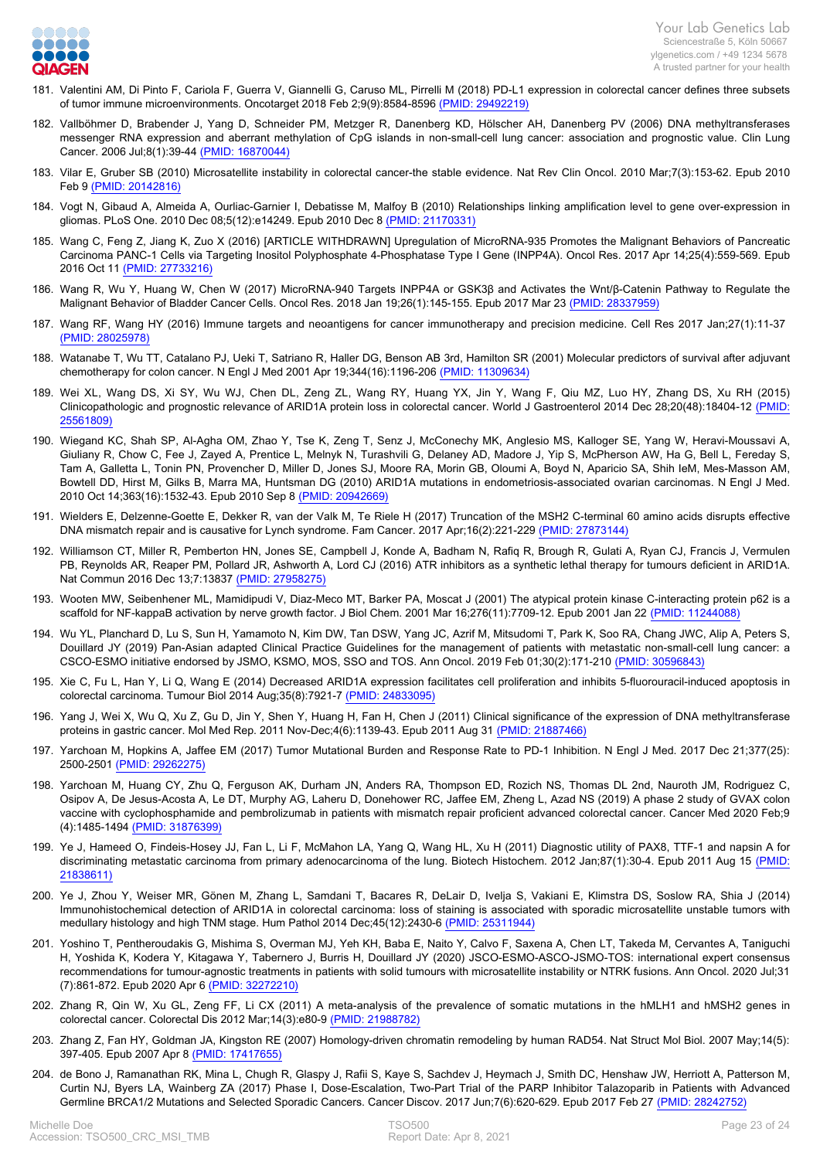

- 181. [Valentini AM, Di Pinto F, Cariola F, Guerra V, Giannelli G, Caruso ML, Pirrelli M \(2018\) PD-L1 expression in colorectal cancer defines three subsets](https://www.ncbi.nlm.nih.gov/pubmed/29492219?dopt=Abstract) [of tumor immune microenvironments. Oncotarget 2018 Feb 2;9\(9\):8584-8596 \(PMID: 29492219\)](https://www.ncbi.nlm.nih.gov/pubmed/29492219?dopt=Abstract)
- 182. [Vallböhmer D, Brabender J, Yang D, Schneider PM, Metzger R, Danenberg KD, Hölscher AH, Danenberg PV \(2006\) DNA methyltransferases](https://www.ncbi.nlm.nih.gov/pubmed/16870044?dopt=Abstract) [messenger RNA expression and aberrant methylation of CpG islands in non-small-cell lung cancer: association and prognostic value. Clin Lung](https://www.ncbi.nlm.nih.gov/pubmed/16870044?dopt=Abstract) [Cancer. 2006 Jul;8\(1\):39-44 \(PMID: 16870044\)](https://www.ncbi.nlm.nih.gov/pubmed/16870044?dopt=Abstract)
- 183. [Vilar E, Gruber SB \(2010\) Microsatellite instability in colorectal cancer-the stable evidence. Nat Rev Clin Oncol. 2010 Mar;7\(3\):153-62. Epub 2010](https://www.ncbi.nlm.nih.gov/pubmed/20142816?dopt=Abstract) [Feb 9 \(PMID: 20142816\)](https://www.ncbi.nlm.nih.gov/pubmed/20142816?dopt=Abstract)
- 184. [Vogt N, Gibaud A, Almeida A, Ourliac-Garnier I, Debatisse M, Malfoy B \(2010\) Relationships linking amplification level to gene over-expression in](https://www.ncbi.nlm.nih.gov/pubmed/21170331?dopt=Abstract) [gliomas. PLoS One. 2010 Dec 08;5\(12\):e14249. Epub 2010 Dec 8 \(PMID: 21170331\)](https://www.ncbi.nlm.nih.gov/pubmed/21170331?dopt=Abstract)
- 185. [Wang C, Feng Z, Jiang K, Zuo X \(2016\) \[ARTICLE WITHDRAWN\] Upregulation of MicroRNA-935 Promotes the Malignant Behaviors of Pancreatic](https://www.ncbi.nlm.nih.gov/pubmed/27733216?dopt=Abstract) [Carcinoma PANC-1 Cells via Targeting Inositol Polyphosphate 4-Phosphatase Type I Gene \(INPP4A\). Oncol Res. 2017 Apr 14;25\(4\):559-569. Epub](https://www.ncbi.nlm.nih.gov/pubmed/27733216?dopt=Abstract) [2016 Oct 11 \(PMID: 27733216\)](https://www.ncbi.nlm.nih.gov/pubmed/27733216?dopt=Abstract)
- 186. [Wang R, Wu Y, Huang W, Chen W \(2017\) MicroRNA-940 Targets INPP4A or GSK3β and Activates the Wnt/β-Catenin Pathway to Regulate the](https://www.ncbi.nlm.nih.gov/pubmed/28337959?dopt=Abstract) [Malignant Behavior of Bladder Cancer Cells. Oncol Res. 2018 Jan 19;26\(1\):145-155. Epub 2017 Mar 23 \(PMID: 28337959\)](https://www.ncbi.nlm.nih.gov/pubmed/28337959?dopt=Abstract)
- 187. [Wang RF, Wang HY \(2016\) Immune targets and neoantigens for cancer immunotherapy and precision medicine. Cell Res 2017 Jan;27\(1\):11-37](https://www.ncbi.nlm.nih.gov/pubmed/28025978?dopt=Abstract)  [\(PMID: 28025978\)](https://www.ncbi.nlm.nih.gov/pubmed/28025978?dopt=Abstract)
- 188. [Watanabe T, Wu TT, Catalano PJ, Ueki T, Satriano R, Haller DG, Benson AB 3rd, Hamilton SR \(2001\) Molecular predictors of survival after adjuvant](https://www.ncbi.nlm.nih.gov/pubmed/11309634?dopt=Abstract) [chemotherapy for colon cancer. N Engl J Med 2001 Apr 19;344\(16\):1196-206 \(PMID: 11309634\)](https://www.ncbi.nlm.nih.gov/pubmed/11309634?dopt=Abstract)
- 189. [Wei XL, Wang DS, Xi SY, Wu WJ, Chen DL, Zeng ZL, Wang RY, Huang YX, Jin Y, Wang F, Qiu MZ, Luo HY, Zhang DS, Xu RH \(2015\)](https://www.ncbi.nlm.nih.gov/pubmed/25561809?dopt=Abstract) [Clinicopathologic and prognostic relevance of ARID1A protein loss in colorectal cancer. World J Gastroenterol 2014 Dec 28;20\(48\):18404-12 \(PMID:](https://www.ncbi.nlm.nih.gov/pubmed/25561809?dopt=Abstract) [25561809\)](https://www.ncbi.nlm.nih.gov/pubmed/25561809?dopt=Abstract)
- 190. [Wiegand KC, Shah SP, Al-Agha OM, Zhao Y, Tse K, Zeng T, Senz J, McConechy MK, Anglesio MS, Kalloger SE, Yang W, Heravi-Moussavi A,](https://www.ncbi.nlm.nih.gov/pubmed/20942669?dopt=Abstract) [Giuliany R, Chow C, Fee J, Zayed A, Prentice L, Melnyk N, Turashvili G, Delaney AD, Madore J, Yip S, McPherson AW, Ha G, Bell L, Fereday S,](https://www.ncbi.nlm.nih.gov/pubmed/20942669?dopt=Abstract) [Tam A, Galletta L, Tonin PN, Provencher D, Miller D, Jones SJ, Moore RA, Morin GB, Oloumi A, Boyd N, Aparicio SA, Shih IeM, Mes-Masson AM,](https://www.ncbi.nlm.nih.gov/pubmed/20942669?dopt=Abstract) [Bowtell DD, Hirst M, Gilks B, Marra MA, Huntsman DG \(2010\) ARID1A mutations in endometriosis-associated ovarian carcinomas. N Engl J Med.](https://www.ncbi.nlm.nih.gov/pubmed/20942669?dopt=Abstract) [2010 Oct 14;363\(16\):1532-43. Epub 2010 Sep 8 \(PMID: 20942669\)](https://www.ncbi.nlm.nih.gov/pubmed/20942669?dopt=Abstract)
- 191. [Wielders E, Delzenne-Goette E, Dekker R, van der Valk M, Te Riele H \(2017\) Truncation of the MSH2 C-terminal 60 amino acids disrupts effective](https://www.ncbi.nlm.nih.gov/pubmed/27873144?dopt=Abstract) [DNA mismatch repair and is causative for Lynch syndrome. Fam Cancer. 2017 Apr;16\(2\):221-229 \(PMID: 27873144\)](https://www.ncbi.nlm.nih.gov/pubmed/27873144?dopt=Abstract)
- 192. [Williamson CT, Miller R, Pemberton HN, Jones SE, Campbell J, Konde A, Badham N, Rafiq R, Brough R, Gulati A, Ryan CJ, Francis J, Vermulen](https://www.ncbi.nlm.nih.gov/pubmed/27958275?dopt=Abstract) [PB, Reynolds AR, Reaper PM, Pollard JR, Ashworth A, Lord CJ \(2016\) ATR inhibitors as a synthetic lethal therapy for tumours deficient in ARID1A.](https://www.ncbi.nlm.nih.gov/pubmed/27958275?dopt=Abstract) [Nat Commun 2016 Dec 13;7:13837 \(PMID: 27958275\)](https://www.ncbi.nlm.nih.gov/pubmed/27958275?dopt=Abstract)
- 193. [Wooten MW, Seibenhener ML, Mamidipudi V, Diaz-Meco MT, Barker PA, Moscat J \(2001\) The atypical protein kinase C-interacting protein p62 is a](https://www.ncbi.nlm.nih.gov/pubmed/11244088?dopt=Abstract) [scaffold for NF-kappaB activation by nerve growth factor. J Biol Chem. 2001 Mar 16;276\(11\):7709-12. Epub 2001 Jan 22 \(PMID: 11244088\)](https://www.ncbi.nlm.nih.gov/pubmed/11244088?dopt=Abstract)
- 194. [Wu YL, Planchard D, Lu S, Sun H, Yamamoto N, Kim DW, Tan DSW, Yang JC, Azrif M, Mitsudomi T, Park K, Soo RA, Chang JWC, Alip A, Peters S,](https://www.ncbi.nlm.nih.gov/pubmed/30596843?dopt=Abstract) [Douillard JY \(2019\) Pan-Asian adapted Clinical Practice Guidelines for the management of patients with metastatic non-small-cell lung cancer: a](https://www.ncbi.nlm.nih.gov/pubmed/30596843?dopt=Abstract) [CSCO-ESMO initiative endorsed by JSMO, KSMO, MOS, SSO and TOS. Ann Oncol. 2019 Feb 01;30\(2\):171-210 \(PMID: 30596843\)](https://www.ncbi.nlm.nih.gov/pubmed/30596843?dopt=Abstract)
- 195. [Xie C, Fu L, Han Y, Li Q, Wang E \(2014\) Decreased ARID1A expression facilitates cell proliferation and inhibits 5-fluorouracil-induced apoptosis in](https://www.ncbi.nlm.nih.gov/pubmed/24833095?dopt=Abstract) [colorectal carcinoma. Tumour Biol 2014 Aug;35\(8\):7921-7 \(PMID: 24833095\)](https://www.ncbi.nlm.nih.gov/pubmed/24833095?dopt=Abstract)
- 196. [Yang J, Wei X, Wu Q, Xu Z, Gu D, Jin Y, Shen Y, Huang H, Fan H, Chen J \(2011\) Clinical significance of the expression of DNA methyltransferase](https://www.ncbi.nlm.nih.gov/pubmed/21887466?dopt=Abstract) [proteins in gastric cancer. Mol Med Rep. 2011 Nov-Dec;4\(6\):1139-43. Epub 2011 Aug 31 \(PMID: 21887466\)](https://www.ncbi.nlm.nih.gov/pubmed/21887466?dopt=Abstract)
- 197. [Yarchoan M, Hopkins A, Jaffee EM \(2017\) Tumor Mutational Burden and Response Rate to PD-1 Inhibition. N Engl J Med. 2017 Dec 21;377\(25\):](https://www.ncbi.nlm.nih.gov/pubmed/29262275?dopt=Abstract) [2500-2501 \(PMID: 29262275\)](https://www.ncbi.nlm.nih.gov/pubmed/29262275?dopt=Abstract)
- 198. [Yarchoan M, Huang CY, Zhu Q, Ferguson AK, Durham JN, Anders RA, Thompson ED, Rozich NS, Thomas DL 2nd, Nauroth JM, Rodriguez C,](https://www.ncbi.nlm.nih.gov/pubmed/31876399?dopt=Abstract) [Osipov A, De Jesus-Acosta A, Le DT, Murphy AG, Laheru D, Donehower RC, Jaffee EM, Zheng L, Azad NS \(2019\) A phase 2 study of GVAX colon](https://www.ncbi.nlm.nih.gov/pubmed/31876399?dopt=Abstract) [vaccine with cyclophosphamide and pembrolizumab in patients with mismatch repair proficient advanced colorectal cancer. Cancer Med 2020 Feb;9](https://www.ncbi.nlm.nih.gov/pubmed/31876399?dopt=Abstract) [\(4\):1485-1494 \(PMID: 31876399\)](https://www.ncbi.nlm.nih.gov/pubmed/31876399?dopt=Abstract)
- 199. [Ye J, Hameed O, Findeis-Hosey JJ, Fan L, Li F, McMahon LA, Yang Q, Wang HL, Xu H \(2011\) Diagnostic utility of PAX8, TTF-1 and napsin A for](https://www.ncbi.nlm.nih.gov/pubmed/21838611?dopt=Abstract) [discriminating metastatic carcinoma from primary adenocarcinoma of the lung. Biotech Histochem. 2012 Jan;87\(1\):30-4. Epub 2011 Aug 15 \(PMID:](https://www.ncbi.nlm.nih.gov/pubmed/21838611?dopt=Abstract) [21838611\)](https://www.ncbi.nlm.nih.gov/pubmed/21838611?dopt=Abstract)
- 200. [Ye J, Zhou Y, Weiser MR, Gönen M, Zhang L, Samdani T, Bacares R, DeLair D, Ivelja S, Vakiani E, Klimstra DS, Soslow RA, Shia J \(2014\)](https://www.ncbi.nlm.nih.gov/pubmed/25311944?dopt=Abstract) [Immunohistochemical detection of ARID1A in colorectal carcinoma: loss of staining is associated with sporadic microsatellite unstable tumors with](https://www.ncbi.nlm.nih.gov/pubmed/25311944?dopt=Abstract) [medullary histology and high TNM stage. Hum Pathol 2014 Dec;45\(12\):2430-6 \(PMID: 25311944\)](https://www.ncbi.nlm.nih.gov/pubmed/25311944?dopt=Abstract)
- 201. [Yoshino T, Pentheroudakis G, Mishima S, Overman MJ, Yeh KH, Baba E, Naito Y, Calvo F, Saxena A, Chen LT, Takeda M, Cervantes A, Taniguchi](https://www.ncbi.nlm.nih.gov/pubmed/32272210?dopt=Abstract) [H, Yoshida K, Kodera Y, Kitagawa Y, Tabernero J, Burris H, Douillard JY \(2020\) JSCO-ESMO-ASCO-JSMO-TOS: international expert consensus](https://www.ncbi.nlm.nih.gov/pubmed/32272210?dopt=Abstract) [recommendations for tumour-agnostic treatments in patients with solid tumours with microsatellite instability or NTRK fusions. Ann Oncol. 2020 Jul;31](https://www.ncbi.nlm.nih.gov/pubmed/32272210?dopt=Abstract) [\(7\):861-872. Epub 2020 Apr 6 \(PMID: 32272210\)](https://www.ncbi.nlm.nih.gov/pubmed/32272210?dopt=Abstract)
- 202. [Zhang R, Qin W, Xu GL, Zeng FF, Li CX \(2011\) A meta-analysis of the prevalence of somatic mutations in the hMLH1 and hMSH2 genes in](https://www.ncbi.nlm.nih.gov/pubmed/21988782?dopt=Abstract) [colorectal cancer. Colorectal Dis 2012 Mar;14\(3\):e80-9 \(PMID: 21988782\)](https://www.ncbi.nlm.nih.gov/pubmed/21988782?dopt=Abstract)
- 203. [Zhang Z, Fan HY, Goldman JA, Kingston RE \(2007\) Homology-driven chromatin remodeling by human RAD54. Nat Struct Mol Biol. 2007 May;14\(5\):](https://www.ncbi.nlm.nih.gov/pubmed/17417655?dopt=Abstract) [397-405. Epub 2007 Apr 8 \(PMID: 17417655\)](https://www.ncbi.nlm.nih.gov/pubmed/17417655?dopt=Abstract)
- 204. [de Bono J, Ramanathan RK, Mina L, Chugh R, Glaspy J, Rafii S, Kaye S, Sachdev J, Heymach J, Smith DC, Henshaw JW, Herriott A, Patterson M,](https://www.ncbi.nlm.nih.gov/pubmed/28242752?dopt=Abstract) [Curtin NJ, Byers LA, Wainberg ZA \(2017\) Phase I, Dose-Escalation, Two-Part Trial of the PARP Inhibitor Talazoparib in Patients with Advanced](https://www.ncbi.nlm.nih.gov/pubmed/28242752?dopt=Abstract) [Germline BRCA1/2 Mutations and Selected Sporadic Cancers. Cancer Discov. 2017 Jun;7\(6\):620-629. Epub 2017 Feb 27 \(PMID: 28242752\)](https://www.ncbi.nlm.nih.gov/pubmed/28242752?dopt=Abstract)